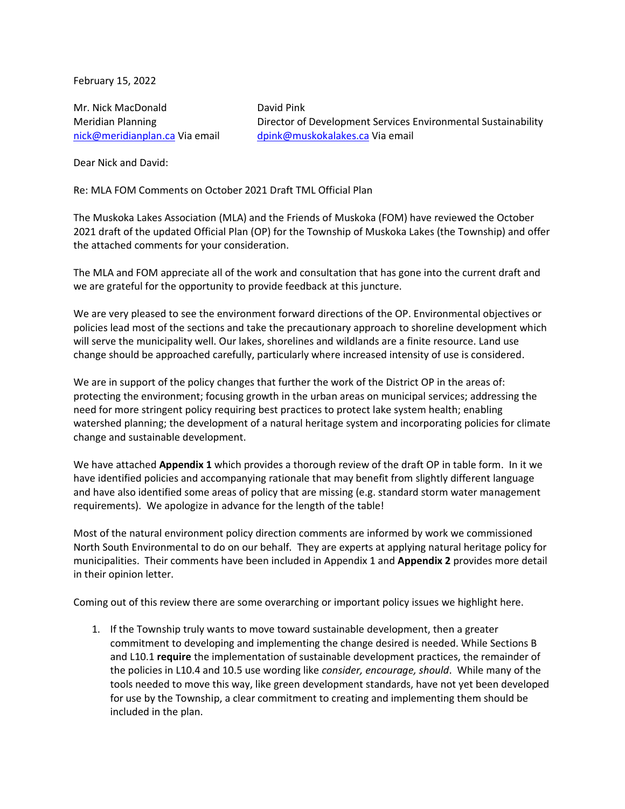February 15, 2022

Mr. Nick MacDonald David Pink

Meridian Planning **Director of Development Services Environmental Sustainability** [nick@meridianplan.ca](mailto:nick@meridianplan.ca) Via email [dpink@muskokalakes.ca](mailto:dpink@muskokalakes.ca) Via email

Dear Nick and David:

Re: MLA FOM Comments on October 2021 Draft TML Official Plan

The Muskoka Lakes Association (MLA) and the Friends of Muskoka (FOM) have reviewed the October 2021 draft of the updated Official Plan (OP) for the Township of Muskoka Lakes (the Township) and offer the attached comments for your consideration.

The MLA and FOM appreciate all of the work and consultation that has gone into the current draft and we are grateful for the opportunity to provide feedback at this juncture.

We are very pleased to see the environment forward directions of the OP. Environmental objectives or policies lead most of the sections and take the precautionary approach to shoreline development which will serve the municipality well. Our lakes, shorelines and wildlands are a finite resource. Land use change should be approached carefully, particularly where increased intensity of use is considered.

We are in support of the policy changes that further the work of the District OP in the areas of: protecting the environment; focusing growth in the urban areas on municipal services; addressing the need for more stringent policy requiring best practices to protect lake system health; enabling watershed planning; the development of a natural heritage system and incorporating policies for climate change and sustainable development.

We have attached **Appendix 1** which provides a thorough review of the draft OP in table form. In it we have identified policies and accompanying rationale that may benefit from slightly different language and have also identified some areas of policy that are missing (e.g. standard storm water management requirements). We apologize in advance for the length of the table!

Most of the natural environment policy direction comments are informed by work we commissioned North South Environmental to do on our behalf. They are experts at applying natural heritage policy for municipalities. Their comments have been included in Appendix 1 and **Appendix 2** provides more detail in their opinion letter.

Coming out of this review there are some overarching or important policy issues we highlight here.

1. If the Township truly wants to move toward sustainable development, then a greater commitment to developing and implementing the change desired is needed. While Sections B and L10.1 **require** the implementation of sustainable development practices, the remainder of the policies in L10.4 and 10.5 use wording like *consider, encourage, should*. While many of the tools needed to move this way, like green development standards, have not yet been developed for use by the Township, a clear commitment to creating and implementing them should be included in the plan.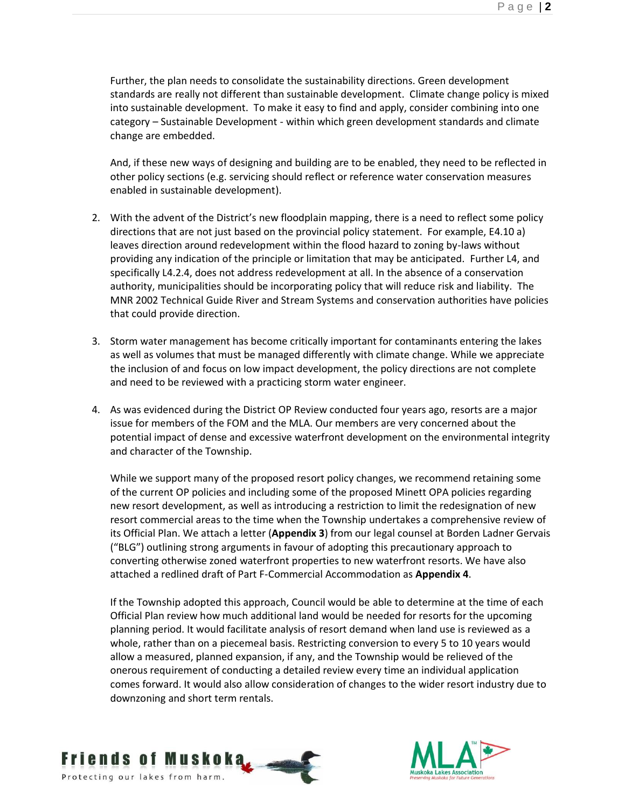Further, the plan needs to consolidate the sustainability directions. Green development standards are really not different than sustainable development. Climate change policy is mixed into sustainable development. To make it easy to find and apply, consider combining into one category – Sustainable Development - within which green development standards and climate change are embedded.

And, if these new ways of designing and building are to be enabled, they need to be reflected in other policy sections (e.g. servicing should reflect or reference water conservation measures enabled in sustainable development).

- 2. With the advent of the District's new floodplain mapping, there is a need to reflect some policy directions that are not just based on the provincial policy statement. For example, E4.10 a) leaves direction around redevelopment within the flood hazard to zoning by-laws without providing any indication of the principle or limitation that may be anticipated. Further L4, and specifically L4.2.4, does not address redevelopment at all. In the absence of a conservation authority, municipalities should be incorporating policy that will reduce risk and liability. The MNR 2002 Technical Guide River and Stream Systems and conservation authorities have policies that could provide direction.
- 3. Storm water management has become critically important for contaminants entering the lakes as well as volumes that must be managed differently with climate change. While we appreciate the inclusion of and focus on low impact development, the policy directions are not complete and need to be reviewed with a practicing storm water engineer.
- 4. As was evidenced during the District OP Review conducted four years ago, resorts are a major issue for members of the FOM and the MLA. Our members are very concerned about the potential impact of dense and excessive waterfront development on the environmental integrity and character of the Township.

While we support many of the proposed resort policy changes, we recommend retaining some of the current OP policies and including some of the proposed Minett OPA policies regarding new resort development, as well as introducing a restriction to limit the redesignation of new resort commercial areas to the time when the Township undertakes a comprehensive review of its Official Plan. We attach a letter (**Appendix 3**) from our legal counsel at Borden Ladner Gervais ("BLG") outlining strong arguments in favour of adopting this precautionary approach to converting otherwise zoned waterfront properties to new waterfront resorts. We have also attached a redlined draft of Part F-Commercial Accommodation as **Appendix 4**.

If the Township adopted this approach, Council would be able to determine at the time of each Official Plan review how much additional land would be needed for resorts for the upcoming planning period. It would facilitate analysis of resort demand when land use is reviewed as a whole, rather than on a piecemeal basis. Restricting conversion to every 5 to 10 years would allow a measured, planned expansion, if any, and the Township would be relieved of the onerous requirement of conducting a detailed review every time an individual application comes forward. It would also allow consideration of changes to the wider resort industry due to downzoning and short term rentals.



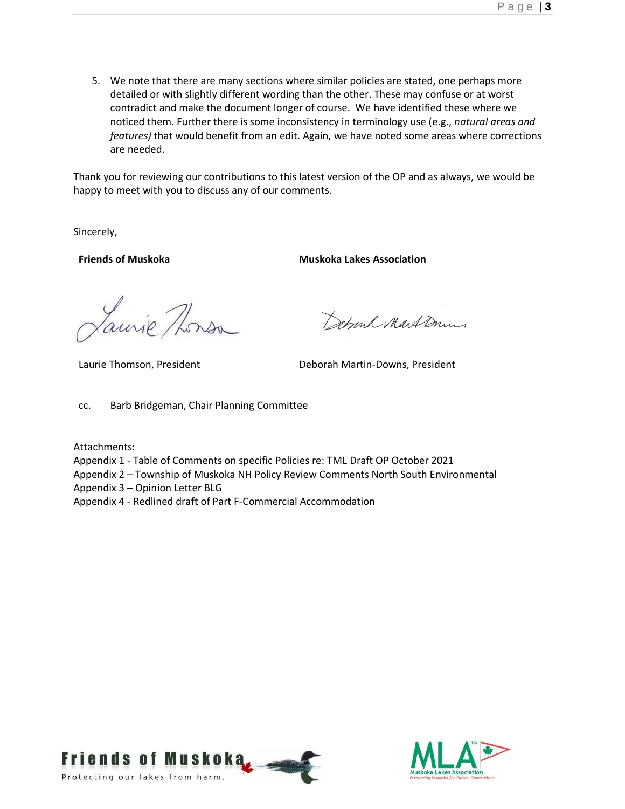5. We note that there are many sections where similar policies are stated, one perhaps more detailed or with slightly different wording than the other. These may confuse or at worst contradict and make the document longer of course. We have identified these where we noticed them. Further there is some inconsistency in terminology use (e.g., *natural areas and features)* that would benefit from an edit. Again, we have noted some areas where corrections are needed.

Thank you for reviewing our contributions to this latest version of the OP and as always, we would be happy to meet with you to discuss any of our comments.

Sincerely,

**Friends of Muskoka Muskoka Muskoka Lakes Association** 

aurie Thorsa

Debronk Mart Down

Laurie Thomson, President **Deborah Martin-Downs, President** 

cc. Barb Bridgeman, Chair Planning Committee

Attachments:

- Appendix 1 Table of Comments on specific Policies re: TML Draft OP October 2021
- Appendix 2 Township of Muskoka NH Policy Review Comments North South Environmental

Appendix 3 – Opinion Letter BLG

Appendix 4 - Redlined draft of Part F-Commercial Accommodation



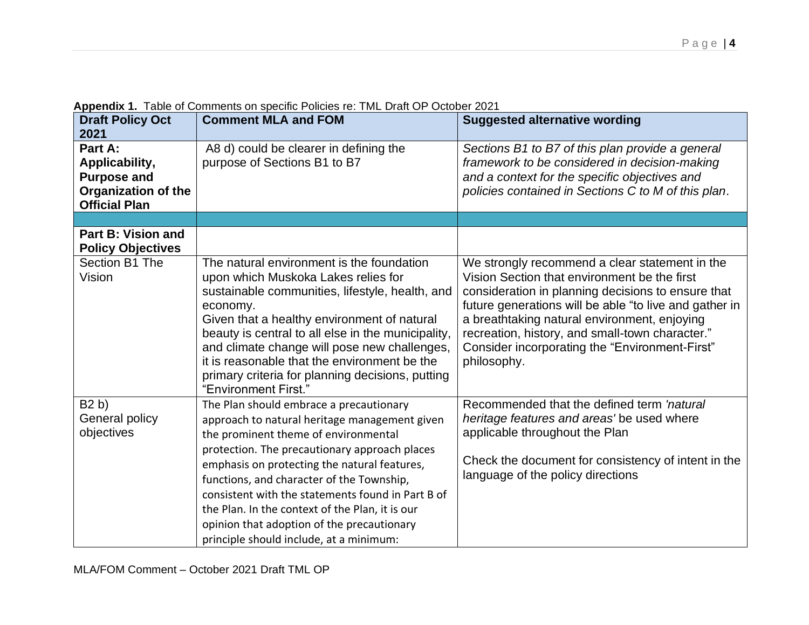| <b>Draft Policy Oct</b>                               | <b>Comment MLA and FOM</b>                         | <b>Suggested alternative wording</b>                   |
|-------------------------------------------------------|----------------------------------------------------|--------------------------------------------------------|
| 2021                                                  |                                                    |                                                        |
| Part A:                                               | A8 d) could be clearer in defining the             | Sections B1 to B7 of this plan provide a general       |
| Applicability,                                        | purpose of Sections B1 to B7                       | framework to be considered in decision-making          |
| <b>Purpose and</b>                                    |                                                    | and a context for the specific objectives and          |
| <b>Organization of the</b>                            |                                                    | policies contained in Sections C to M of this plan.    |
| <b>Official Plan</b>                                  |                                                    |                                                        |
|                                                       |                                                    |                                                        |
| <b>Part B: Vision and</b><br><b>Policy Objectives</b> |                                                    |                                                        |
| Section B1 The                                        | The natural environment is the foundation          | We strongly recommend a clear statement in the         |
| Vision                                                | upon which Muskoka Lakes relies for                | Vision Section that environment be the first           |
|                                                       | sustainable communities, lifestyle, health, and    | consideration in planning decisions to ensure that     |
|                                                       | economy.                                           | future generations will be able "to live and gather in |
|                                                       | Given that a healthy environment of natural        | a breathtaking natural environment, enjoying           |
|                                                       | beauty is central to all else in the municipality, | recreation, history, and small-town character."        |
|                                                       | and climate change will pose new challenges,       | Consider incorporating the "Environment-First"         |
|                                                       | it is reasonable that the environment be the       | philosophy.                                            |
|                                                       | primary criteria for planning decisions, putting   |                                                        |
|                                                       | "Environment First."                               |                                                        |
| B2 b)                                                 | The Plan should embrace a precautionary            | Recommended that the defined term 'natural             |
| General policy                                        | approach to natural heritage management given      | heritage features and areas' be used where             |
| objectives                                            | the prominent theme of environmental               | applicable throughout the Plan                         |
|                                                       | protection. The precautionary approach places      |                                                        |
|                                                       | emphasis on protecting the natural features,       | Check the document for consistency of intent in the    |
|                                                       | functions, and character of the Township,          | language of the policy directions                      |
|                                                       | consistent with the statements found in Part B of  |                                                        |
|                                                       | the Plan. In the context of the Plan, it is our    |                                                        |
|                                                       | opinion that adoption of the precautionary         |                                                        |
|                                                       | principle should include, at a minimum:            |                                                        |

**Appendix 1.** Table of Comments on specific Policies re: TML Draft OP October 2021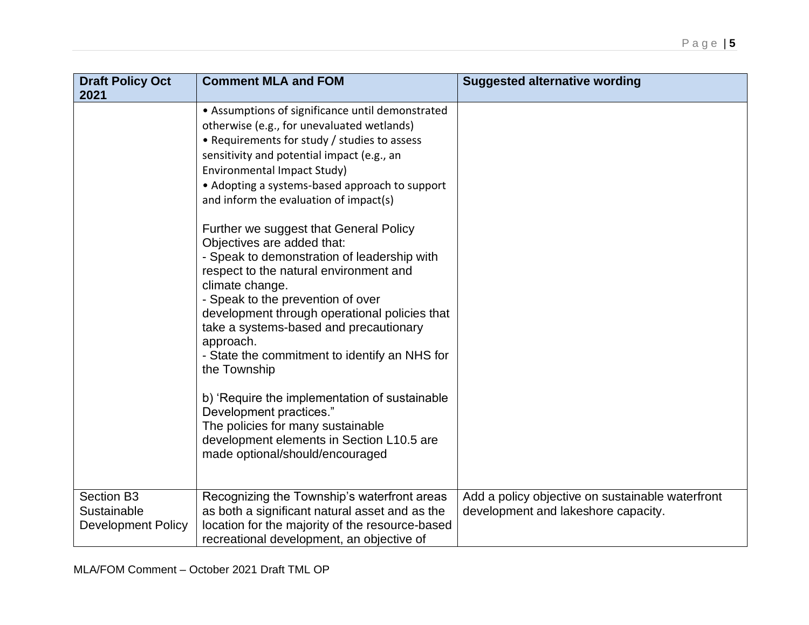| <b>Draft Policy Oct</b><br>2021                        | <b>Comment MLA and FOM</b>                                                                                                                                                                                                                                                                                                                                                                                                                                                                                                                                                                                                                                                                                                                                                                                                                                                                                                 | <b>Suggested alternative wording</b>                                                    |
|--------------------------------------------------------|----------------------------------------------------------------------------------------------------------------------------------------------------------------------------------------------------------------------------------------------------------------------------------------------------------------------------------------------------------------------------------------------------------------------------------------------------------------------------------------------------------------------------------------------------------------------------------------------------------------------------------------------------------------------------------------------------------------------------------------------------------------------------------------------------------------------------------------------------------------------------------------------------------------------------|-----------------------------------------------------------------------------------------|
|                                                        | • Assumptions of significance until demonstrated<br>otherwise (e.g., for unevaluated wetlands)<br>• Requirements for study / studies to assess<br>sensitivity and potential impact (e.g., an<br>Environmental Impact Study)<br>• Adopting a systems-based approach to support<br>and inform the evaluation of impact(s)<br>Further we suggest that General Policy<br>Objectives are added that:<br>- Speak to demonstration of leadership with<br>respect to the natural environment and<br>climate change.<br>- Speak to the prevention of over<br>development through operational policies that<br>take a systems-based and precautionary<br>approach.<br>- State the commitment to identify an NHS for<br>the Township<br>b) 'Require the implementation of sustainable<br>Development practices."<br>The policies for many sustainable<br>development elements in Section L10.5 are<br>made optional/should/encouraged |                                                                                         |
| Section B3<br>Sustainable<br><b>Development Policy</b> | Recognizing the Township's waterfront areas<br>as both a significant natural asset and as the<br>location for the majority of the resource-based<br>recreational development, an objective of                                                                                                                                                                                                                                                                                                                                                                                                                                                                                                                                                                                                                                                                                                                              | Add a policy objective on sustainable waterfront<br>development and lakeshore capacity. |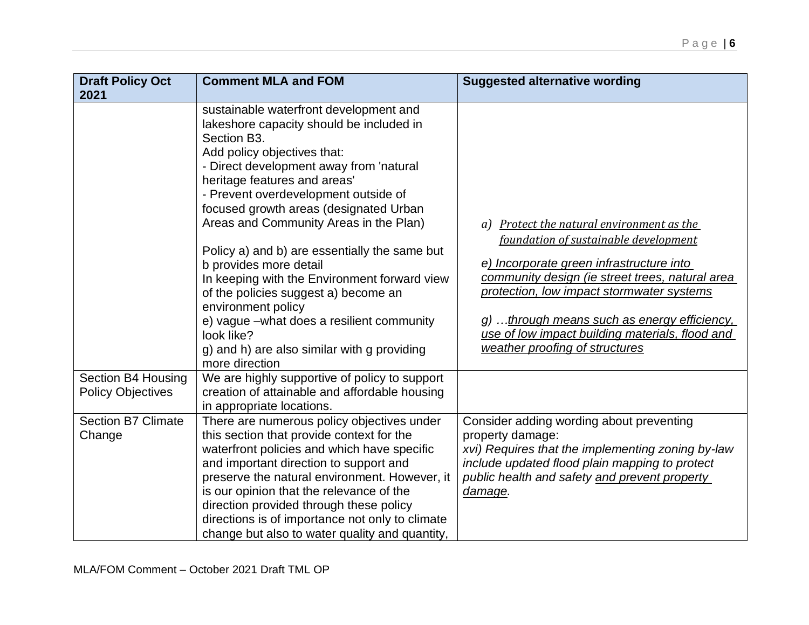| <b>Draft Policy Oct</b><br>2021                | <b>Comment MLA and FOM</b>                                                                                                                                                                                                                                                                                                                                                                                                                                                                                                                                                                                                                                   | <b>Suggested alternative wording</b>                                                                                                                                                                                                                                                                                                                               |
|------------------------------------------------|--------------------------------------------------------------------------------------------------------------------------------------------------------------------------------------------------------------------------------------------------------------------------------------------------------------------------------------------------------------------------------------------------------------------------------------------------------------------------------------------------------------------------------------------------------------------------------------------------------------------------------------------------------------|--------------------------------------------------------------------------------------------------------------------------------------------------------------------------------------------------------------------------------------------------------------------------------------------------------------------------------------------------------------------|
|                                                | sustainable waterfront development and<br>lakeshore capacity should be included in<br>Section B3.<br>Add policy objectives that:<br>- Direct development away from 'natural<br>heritage features and areas'<br>- Prevent overdevelopment outside of<br>focused growth areas (designated Urban<br>Areas and Community Areas in the Plan)<br>Policy a) and b) are essentially the same but<br>b provides more detail<br>In keeping with the Environment forward view<br>of the policies suggest a) become an<br>environment policy<br>e) vague -what does a resilient community<br>look like?<br>g) and h) are also similar with g providing<br>more direction | a) Protect the natural environment as the<br>foundation of sustainable development<br>e) Incorporate green infrastructure into<br>community design (ie street trees, natural area<br>protection, low impact stormwater systems<br>g) through means such as energy efficiency,<br>use of low impact building materials, flood and<br>weather proofing of structures |
| Section B4 Housing<br><b>Policy Objectives</b> | We are highly supportive of policy to support<br>creation of attainable and affordable housing<br>in appropriate locations.                                                                                                                                                                                                                                                                                                                                                                                                                                                                                                                                  |                                                                                                                                                                                                                                                                                                                                                                    |
| <b>Section B7 Climate</b><br>Change            | There are numerous policy objectives under<br>this section that provide context for the<br>waterfront policies and which have specific<br>and important direction to support and<br>preserve the natural environment. However, it<br>is our opinion that the relevance of the<br>direction provided through these policy<br>directions is of importance not only to climate<br>change but also to water quality and quantity,                                                                                                                                                                                                                                | Consider adding wording about preventing<br>property damage:<br>xvi) Requires that the implementing zoning by-law<br>include updated flood plain mapping to protect<br>public health and safety and prevent property<br>damage.                                                                                                                                    |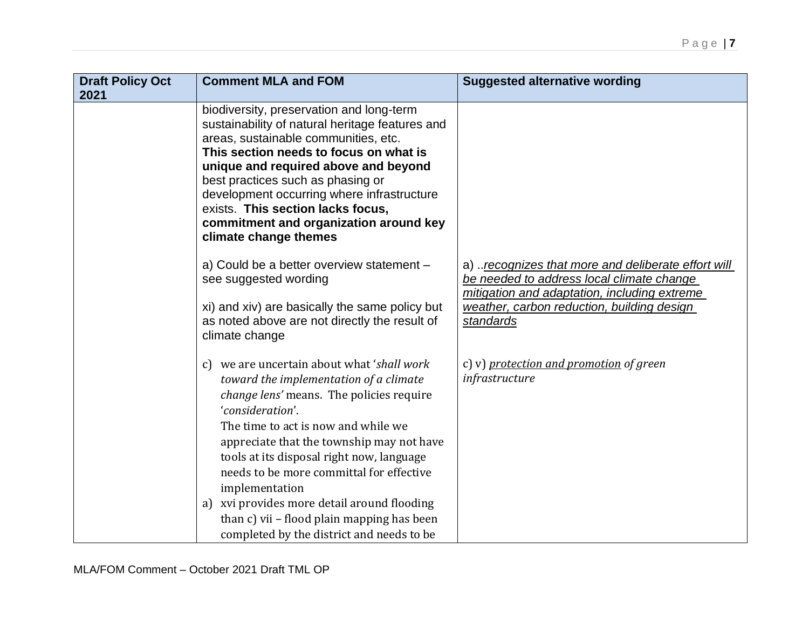| <b>Draft Policy Oct</b><br>2021 | <b>Comment MLA and FOM</b>                                                                                                                                                                                                                                                                                                                                                                                                                                                                           | <b>Suggested alternative wording</b>                                                                                                                                                                       |
|---------------------------------|------------------------------------------------------------------------------------------------------------------------------------------------------------------------------------------------------------------------------------------------------------------------------------------------------------------------------------------------------------------------------------------------------------------------------------------------------------------------------------------------------|------------------------------------------------------------------------------------------------------------------------------------------------------------------------------------------------------------|
|                                 | biodiversity, preservation and long-term<br>sustainability of natural heritage features and<br>areas, sustainable communities, etc.<br>This section needs to focus on what is<br>unique and required above and beyond<br>best practices such as phasing or<br>development occurring where infrastructure<br>exists. This section lacks focus,<br>commitment and organization around key<br>climate change themes                                                                                     |                                                                                                                                                                                                            |
|                                 | a) Could be a better overview statement -<br>see suggested wording<br>xi) and xiv) are basically the same policy but<br>as noted above are not directly the result of<br>climate change                                                                                                                                                                                                                                                                                                              | a) recognizes that more and deliberate effort will<br>be needed to address local climate change<br>mitigation and adaptation, including extreme<br>weather, carbon reduction, building design<br>standards |
|                                 | c) we are uncertain about what 'shall work<br>toward the implementation of a climate<br><i>change lens'</i> means. The policies require<br>'consideration'.<br>The time to act is now and while we<br>appreciate that the township may not have<br>tools at its disposal right now, language<br>needs to be more committal for effective<br>implementation<br>a) xvi provides more detail around flooding<br>than c) vii - flood plain mapping has been<br>completed by the district and needs to be | c) v) protection and promotion of green<br>infrastructure                                                                                                                                                  |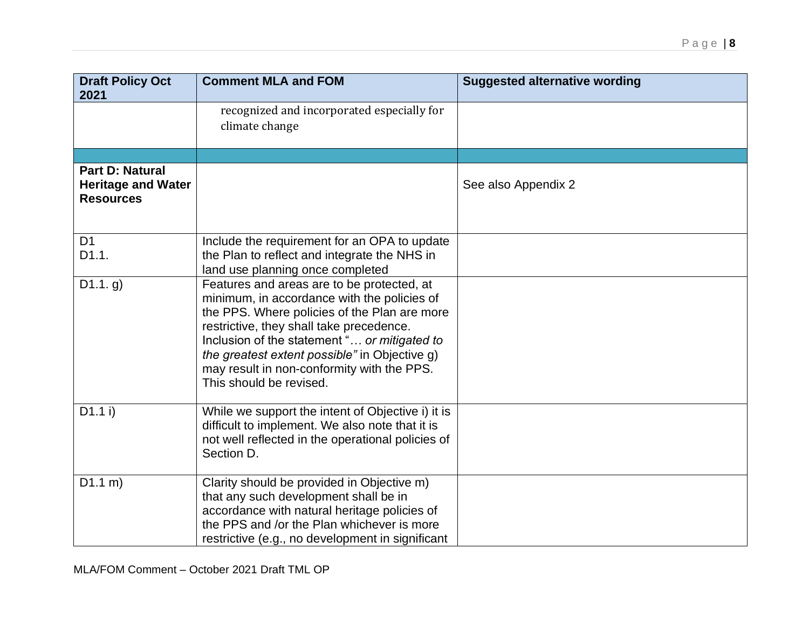| <b>Draft Policy Oct</b><br>2021                                         | <b>Comment MLA and FOM</b>                                                                                                                                                                                                                                                                                                                                      | <b>Suggested alternative wording</b> |
|-------------------------------------------------------------------------|-----------------------------------------------------------------------------------------------------------------------------------------------------------------------------------------------------------------------------------------------------------------------------------------------------------------------------------------------------------------|--------------------------------------|
|                                                                         | recognized and incorporated especially for<br>climate change                                                                                                                                                                                                                                                                                                    |                                      |
|                                                                         |                                                                                                                                                                                                                                                                                                                                                                 |                                      |
| <b>Part D: Natural</b><br><b>Heritage and Water</b><br><b>Resources</b> |                                                                                                                                                                                                                                                                                                                                                                 | See also Appendix 2                  |
| D <sub>1</sub><br>D1.1.                                                 | Include the requirement for an OPA to update<br>the Plan to reflect and integrate the NHS in<br>land use planning once completed                                                                                                                                                                                                                                |                                      |
| D1.1. g)                                                                | Features and areas are to be protected, at<br>minimum, in accordance with the policies of<br>the PPS. Where policies of the Plan are more<br>restrictive, they shall take precedence.<br>Inclusion of the statement " or mitigated to<br>the greatest extent possible" in Objective g)<br>may result in non-conformity with the PPS.<br>This should be revised. |                                      |
| $D1.1$ i)                                                               | While we support the intent of Objective i) it is<br>difficult to implement. We also note that it is<br>not well reflected in the operational policies of<br>Section D.                                                                                                                                                                                         |                                      |
| D1.1 m)                                                                 | Clarity should be provided in Objective m)<br>that any such development shall be in<br>accordance with natural heritage policies of<br>the PPS and /or the Plan whichever is more<br>restrictive (e.g., no development in significant                                                                                                                           |                                      |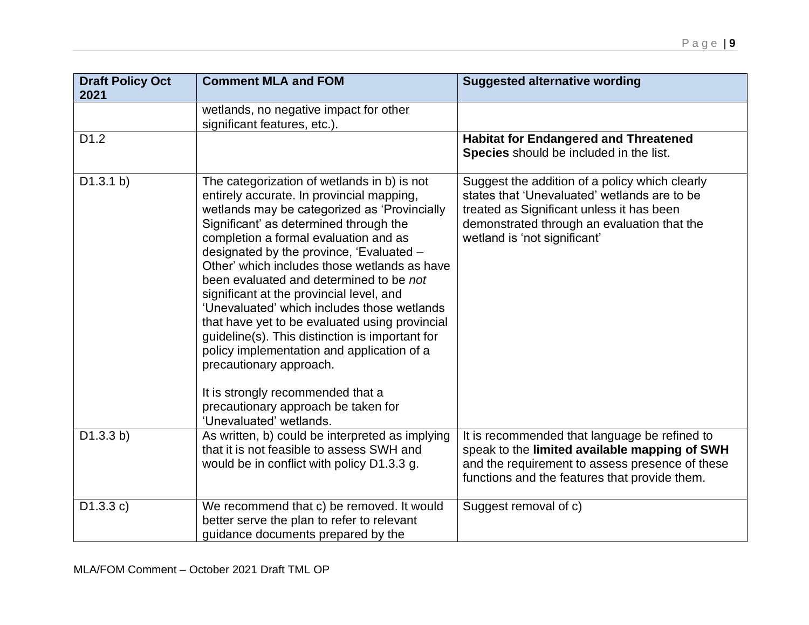| <b>Draft Policy Oct</b><br>2021 | <b>Comment MLA and FOM</b>                                                                                                                                                                                                                                                                                                                                                                                                                                                                                                                                                                                                                  | <b>Suggested alternative wording</b>                                                                                                                                                                                       |
|---------------------------------|---------------------------------------------------------------------------------------------------------------------------------------------------------------------------------------------------------------------------------------------------------------------------------------------------------------------------------------------------------------------------------------------------------------------------------------------------------------------------------------------------------------------------------------------------------------------------------------------------------------------------------------------|----------------------------------------------------------------------------------------------------------------------------------------------------------------------------------------------------------------------------|
|                                 | wetlands, no negative impact for other<br>significant features, etc.).                                                                                                                                                                                                                                                                                                                                                                                                                                                                                                                                                                      |                                                                                                                                                                                                                            |
| D <sub>1.2</sub>                |                                                                                                                                                                                                                                                                                                                                                                                                                                                                                                                                                                                                                                             | <b>Habitat for Endangered and Threatened</b><br>Species should be included in the list.                                                                                                                                    |
| D1.3.1 b)                       | The categorization of wetlands in b) is not<br>entirely accurate. In provincial mapping,<br>wetlands may be categorized as 'Provincially<br>Significant' as determined through the<br>completion a formal evaluation and as<br>designated by the province, 'Evaluated –<br>Other' which includes those wetlands as have<br>been evaluated and determined to be not<br>significant at the provincial level, and<br>'Unevaluated' which includes those wetlands<br>that have yet to be evaluated using provincial<br>guideline(s). This distinction is important for<br>policy implementation and application of a<br>precautionary approach. | Suggest the addition of a policy which clearly<br>states that 'Unevaluated' wetlands are to be<br>treated as Significant unless it has been<br>demonstrated through an evaluation that the<br>wetland is 'not significant' |
|                                 | It is strongly recommended that a<br>precautionary approach be taken for<br>'Unevaluated' wetlands.                                                                                                                                                                                                                                                                                                                                                                                                                                                                                                                                         |                                                                                                                                                                                                                            |
| D1.3.3 b)                       | As written, b) could be interpreted as implying<br>that it is not feasible to assess SWH and<br>would be in conflict with policy D1.3.3 g.                                                                                                                                                                                                                                                                                                                                                                                                                                                                                                  | It is recommended that language be refined to<br>speak to the limited available mapping of SWH<br>and the requirement to assess presence of these<br>functions and the features that provide them.                         |
| D1.3.3 c)                       | We recommend that c) be removed. It would<br>better serve the plan to refer to relevant<br>guidance documents prepared by the                                                                                                                                                                                                                                                                                                                                                                                                                                                                                                               | Suggest removal of c)                                                                                                                                                                                                      |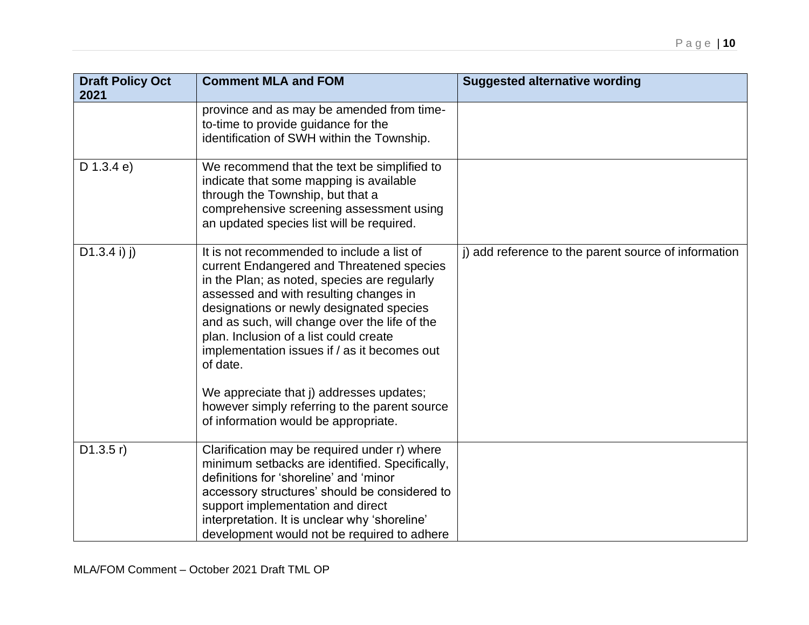| <b>Draft Policy Oct</b><br>2021 | <b>Comment MLA and FOM</b>                                                                                                                                                                                                                                                                                                                                                                                                                                                                                                | <b>Suggested alternative wording</b>                 |
|---------------------------------|---------------------------------------------------------------------------------------------------------------------------------------------------------------------------------------------------------------------------------------------------------------------------------------------------------------------------------------------------------------------------------------------------------------------------------------------------------------------------------------------------------------------------|------------------------------------------------------|
|                                 | province and as may be amended from time-<br>to-time to provide guidance for the<br>identification of SWH within the Township.                                                                                                                                                                                                                                                                                                                                                                                            |                                                      |
| $D$ 1.3.4 e)                    | We recommend that the text be simplified to<br>indicate that some mapping is available<br>through the Township, but that a<br>comprehensive screening assessment using<br>an updated species list will be required.                                                                                                                                                                                                                                                                                                       |                                                      |
| $D1.3.4 i)$ j)                  | It is not recommended to include a list of<br>current Endangered and Threatened species<br>in the Plan; as noted, species are regularly<br>assessed and with resulting changes in<br>designations or newly designated species<br>and as such, will change over the life of the<br>plan. Inclusion of a list could create<br>implementation issues if / as it becomes out<br>of date.<br>We appreciate that j) addresses updates;<br>however simply referring to the parent source<br>of information would be appropriate. | j) add reference to the parent source of information |
| D1.3.5 r)                       | Clarification may be required under r) where<br>minimum setbacks are identified. Specifically,<br>definitions for 'shoreline' and 'minor<br>accessory structures' should be considered to<br>support implementation and direct<br>interpretation. It is unclear why 'shoreline'<br>development would not be required to adhere                                                                                                                                                                                            |                                                      |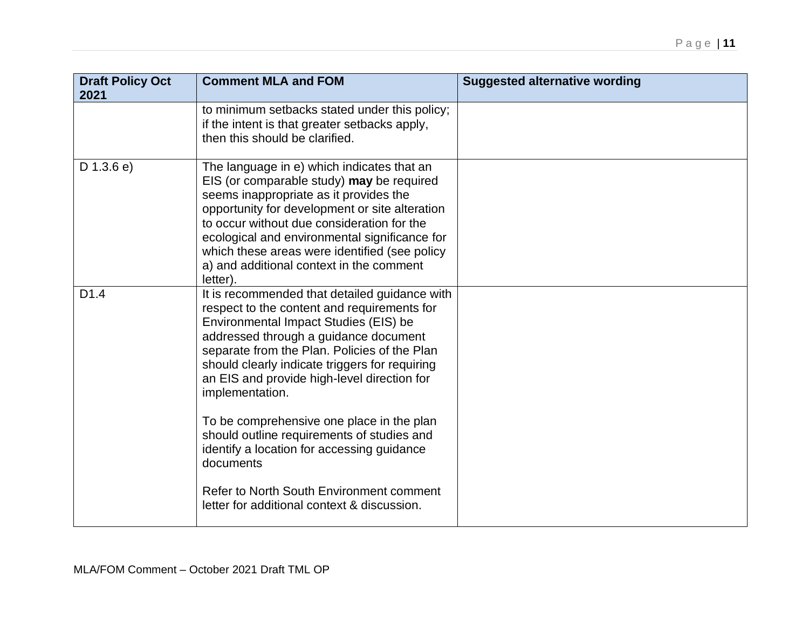| <b>Draft Policy Oct</b><br>2021 | <b>Comment MLA and FOM</b>                                                                                                                                                                                                                                                                                                                                                                  | <b>Suggested alternative wording</b> |
|---------------------------------|---------------------------------------------------------------------------------------------------------------------------------------------------------------------------------------------------------------------------------------------------------------------------------------------------------------------------------------------------------------------------------------------|--------------------------------------|
|                                 | to minimum setbacks stated under this policy;<br>if the intent is that greater setbacks apply,<br>then this should be clarified.                                                                                                                                                                                                                                                            |                                      |
| $D$ 1.3.6 e)                    | The language in e) which indicates that an<br>EIS (or comparable study) may be required<br>seems inappropriate as it provides the<br>opportunity for development or site alteration<br>to occur without due consideration for the<br>ecological and environmental significance for<br>which these areas were identified (see policy<br>a) and additional context in the comment<br>letter). |                                      |
| D <sub>1.4</sub>                | It is recommended that detailed guidance with<br>respect to the content and requirements for<br>Environmental Impact Studies (EIS) be<br>addressed through a guidance document<br>separate from the Plan. Policies of the Plan<br>should clearly indicate triggers for requiring<br>an EIS and provide high-level direction for<br>implementation.                                          |                                      |
|                                 | To be comprehensive one place in the plan<br>should outline requirements of studies and<br>identify a location for accessing guidance<br>documents                                                                                                                                                                                                                                          |                                      |
|                                 | Refer to North South Environment comment<br>letter for additional context & discussion.                                                                                                                                                                                                                                                                                                     |                                      |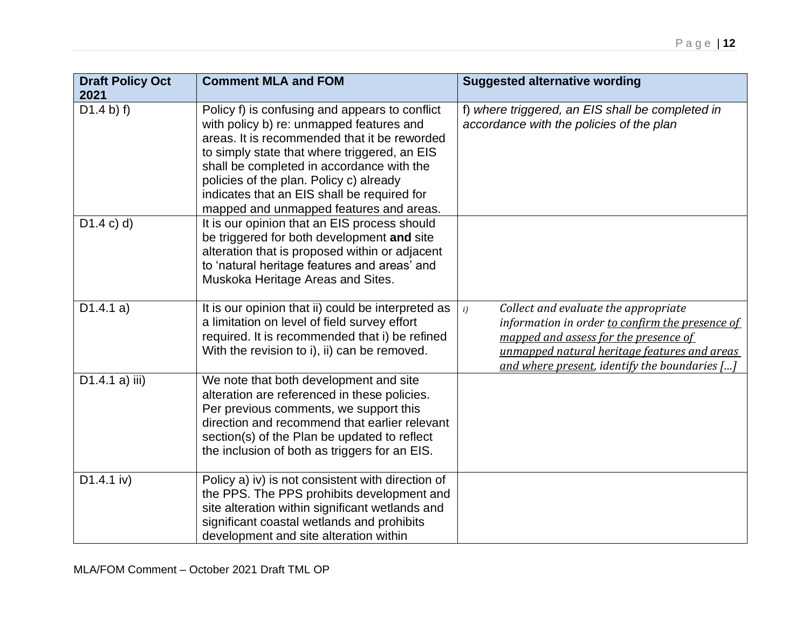| <b>Draft Policy Oct</b><br>2021 | <b>Comment MLA and FOM</b>                                                                                                                                                                                                                                                                                                                                                   | <b>Suggested alternative wording</b>                                                                                                                                                                                                           |
|---------------------------------|------------------------------------------------------------------------------------------------------------------------------------------------------------------------------------------------------------------------------------------------------------------------------------------------------------------------------------------------------------------------------|------------------------------------------------------------------------------------------------------------------------------------------------------------------------------------------------------------------------------------------------|
| D1.4 b) f)                      | Policy f) is confusing and appears to conflict<br>with policy b) re: unmapped features and<br>areas. It is recommended that it be reworded<br>to simply state that where triggered, an EIS<br>shall be completed in accordance with the<br>policies of the plan. Policy c) already<br>indicates that an EIS shall be required for<br>mapped and unmapped features and areas. | f) where triggered, an EIS shall be completed in<br>accordance with the policies of the plan                                                                                                                                                   |
| D1.4 c) d)                      | It is our opinion that an EIS process should<br>be triggered for both development and site<br>alteration that is proposed within or adjacent<br>to 'natural heritage features and areas' and<br>Muskoka Heritage Areas and Sites.                                                                                                                                            |                                                                                                                                                                                                                                                |
| D1.4.1 a)                       | It is our opinion that ii) could be interpreted as<br>a limitation on level of field survey effort<br>required. It is recommended that i) be refined<br>With the revision to i), ii) can be removed.                                                                                                                                                                         | Collect and evaluate the appropriate<br>i)<br>information in order to confirm the presence of<br>mapped and assess for the presence of<br>unmapped natural heritage features and areas<br>and where present, identify the boundaries $[\dots]$ |
| D1.4.1 a) iii)                  | We note that both development and site<br>alteration are referenced in these policies.<br>Per previous comments, we support this<br>direction and recommend that earlier relevant<br>section(s) of the Plan be updated to reflect<br>the inclusion of both as triggers for an EIS.                                                                                           |                                                                                                                                                                                                                                                |
| $D1.4.1$ iv)                    | Policy a) iv) is not consistent with direction of<br>the PPS. The PPS prohibits development and<br>site alteration within significant wetlands and<br>significant coastal wetlands and prohibits<br>development and site alteration within                                                                                                                                   |                                                                                                                                                                                                                                                |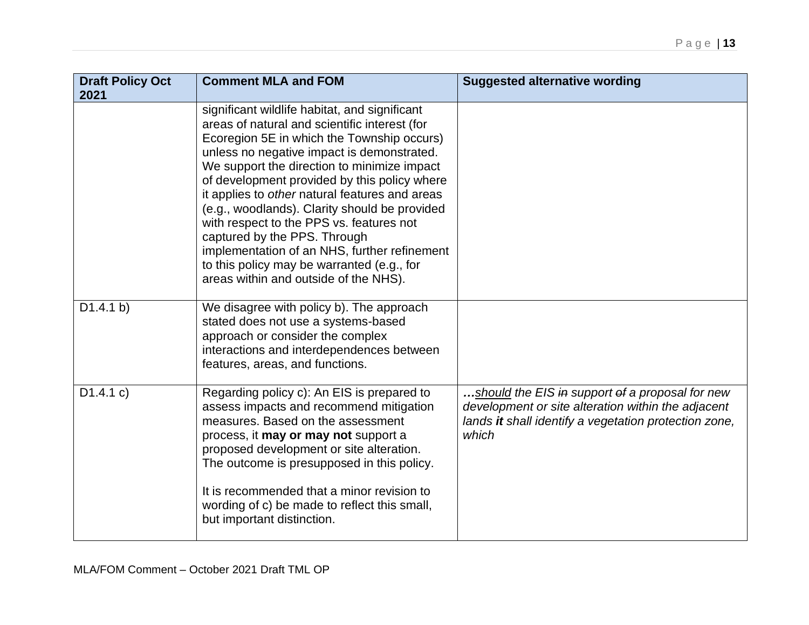| <b>Draft Policy Oct</b><br>2021 | <b>Comment MLA and FOM</b>                                                                                                                                                                                                                                                                                                                                                                                                                                                                                                                                                                                      | <b>Suggested alternative wording</b>                                                                                                                                    |
|---------------------------------|-----------------------------------------------------------------------------------------------------------------------------------------------------------------------------------------------------------------------------------------------------------------------------------------------------------------------------------------------------------------------------------------------------------------------------------------------------------------------------------------------------------------------------------------------------------------------------------------------------------------|-------------------------------------------------------------------------------------------------------------------------------------------------------------------------|
|                                 | significant wildlife habitat, and significant<br>areas of natural and scientific interest (for<br>Ecoregion 5E in which the Township occurs)<br>unless no negative impact is demonstrated.<br>We support the direction to minimize impact<br>of development provided by this policy where<br>it applies to other natural features and areas<br>(e.g., woodlands). Clarity should be provided<br>with respect to the PPS vs. features not<br>captured by the PPS. Through<br>implementation of an NHS, further refinement<br>to this policy may be warranted (e.g., for<br>areas within and outside of the NHS). |                                                                                                                                                                         |
| D1.4.1 b)                       | We disagree with policy b). The approach<br>stated does not use a systems-based<br>approach or consider the complex<br>interactions and interdependences between<br>features, areas, and functions.                                                                                                                                                                                                                                                                                                                                                                                                             |                                                                                                                                                                         |
| D1.4.1 c)                       | Regarding policy c): An EIS is prepared to<br>assess impacts and recommend mitigation<br>measures. Based on the assessment<br>process, it may or may not support a<br>proposed development or site alteration.<br>The outcome is presupposed in this policy.<br>It is recommended that a minor revision to<br>wording of c) be made to reflect this small,<br>but important distinction.                                                                                                                                                                                                                        | should the EIS in support of a proposal for new<br>development or site alteration within the adjacent<br>lands it shall identify a vegetation protection zone,<br>which |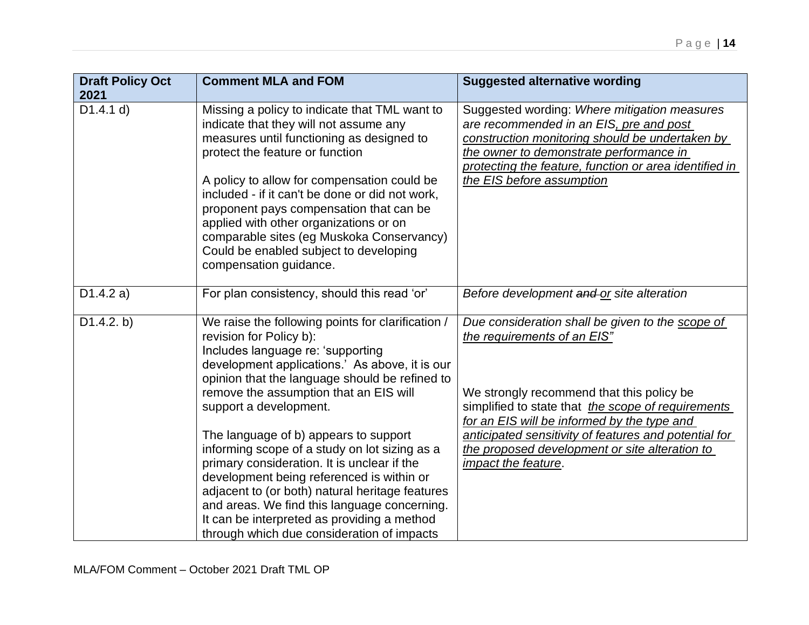| <b>Draft Policy Oct</b><br>2021 | <b>Comment MLA and FOM</b>                                                                                                                                                                                                                                                                                                                                                                                                                                                                                                                                                                                                        | <b>Suggested alternative wording</b>                                                                                                                                                                                                                                                                                                                                |
|---------------------------------|-----------------------------------------------------------------------------------------------------------------------------------------------------------------------------------------------------------------------------------------------------------------------------------------------------------------------------------------------------------------------------------------------------------------------------------------------------------------------------------------------------------------------------------------------------------------------------------------------------------------------------------|---------------------------------------------------------------------------------------------------------------------------------------------------------------------------------------------------------------------------------------------------------------------------------------------------------------------------------------------------------------------|
| D1.4.1 d)                       | Missing a policy to indicate that TML want to<br>indicate that they will not assume any<br>measures until functioning as designed to<br>protect the feature or function<br>A policy to allow for compensation could be<br>included - if it can't be done or did not work,<br>proponent pays compensation that can be<br>applied with other organizations or on<br>comparable sites (eg Muskoka Conservancy)<br>Could be enabled subject to developing<br>compensation guidance.                                                                                                                                                   | Suggested wording: Where mitigation measures<br>are recommended in an EIS, pre and post<br>construction monitoring should be undertaken by<br>the owner to demonstrate performance in<br>protecting the feature, function or area identified in<br>the EIS before assumption                                                                                        |
| D1.4.2 a)                       | For plan consistency, should this read 'or'                                                                                                                                                                                                                                                                                                                                                                                                                                                                                                                                                                                       | Before development and or site alteration                                                                                                                                                                                                                                                                                                                           |
| D1.4.2. b)                      | We raise the following points for clarification /<br>revision for Policy b):<br>Includes language re: 'supporting<br>development applications.' As above, it is our<br>opinion that the language should be refined to<br>remove the assumption that an EIS will<br>support a development.<br>The language of b) appears to support<br>informing scope of a study on lot sizing as a<br>primary consideration. It is unclear if the<br>development being referenced is within or<br>adjacent to (or both) natural heritage features<br>and areas. We find this language concerning.<br>It can be interpreted as providing a method | Due consideration shall be given to the scope of<br>the requirements of an EIS"<br>We strongly recommend that this policy be<br>simplified to state that the scope of requirements<br>for an EIS will be informed by the type and<br>anticipated sensitivity of features and potential for<br>the proposed development or site alteration to<br>impact the feature. |
|                                 | through which due consideration of impacts                                                                                                                                                                                                                                                                                                                                                                                                                                                                                                                                                                                        |                                                                                                                                                                                                                                                                                                                                                                     |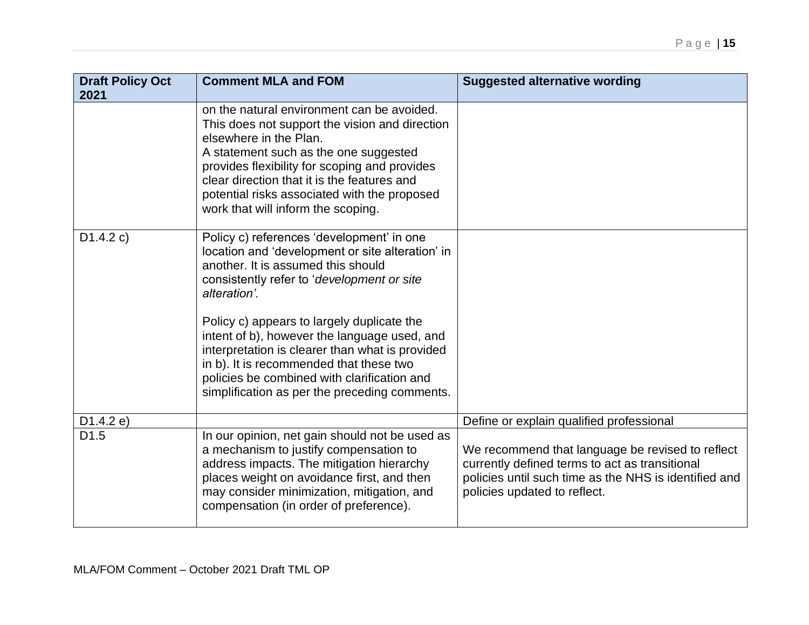| <b>Draft Policy Oct</b><br>2021 | <b>Comment MLA and FOM</b>                                                                                                                                                                                                                                                                                                                                                                                                                                                                    | <b>Suggested alternative wording</b>                                                                                                                                                        |
|---------------------------------|-----------------------------------------------------------------------------------------------------------------------------------------------------------------------------------------------------------------------------------------------------------------------------------------------------------------------------------------------------------------------------------------------------------------------------------------------------------------------------------------------|---------------------------------------------------------------------------------------------------------------------------------------------------------------------------------------------|
|                                 | on the natural environment can be avoided.<br>This does not support the vision and direction<br>elsewhere in the Plan.<br>A statement such as the one suggested<br>provides flexibility for scoping and provides<br>clear direction that it is the features and<br>potential risks associated with the proposed<br>work that will inform the scoping.                                                                                                                                         |                                                                                                                                                                                             |
| D1.4.2 c)                       | Policy c) references 'development' in one<br>location and 'development or site alteration' in<br>another. It is assumed this should<br>consistently refer to 'development or site<br>alteration'.<br>Policy c) appears to largely duplicate the<br>intent of b), however the language used, and<br>interpretation is clearer than what is provided<br>in b). It is recommended that these two<br>policies be combined with clarification and<br>simplification as per the preceding comments. |                                                                                                                                                                                             |
| D1.4.2 e)                       |                                                                                                                                                                                                                                                                                                                                                                                                                                                                                               | Define or explain qualified professional                                                                                                                                                    |
| D <sub>1.5</sub>                | In our opinion, net gain should not be used as<br>a mechanism to justify compensation to<br>address impacts. The mitigation hierarchy<br>places weight on avoidance first, and then<br>may consider minimization, mitigation, and<br>compensation (in order of preference).                                                                                                                                                                                                                   | We recommend that language be revised to reflect<br>currently defined terms to act as transitional<br>policies until such time as the NHS is identified and<br>policies updated to reflect. |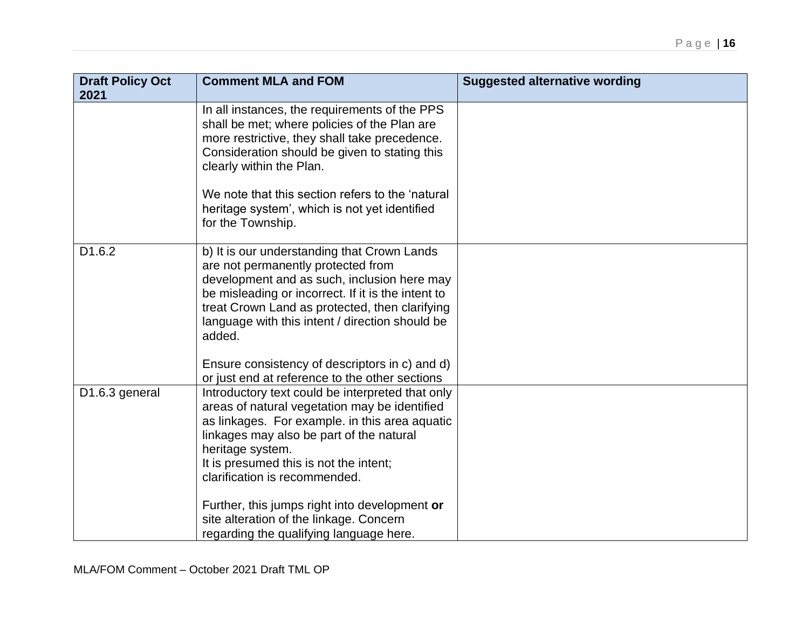| <b>Draft Policy Oct</b><br>2021 | <b>Comment MLA and FOM</b>                                                                                                                                                                                                                                                                            | <b>Suggested alternative wording</b> |
|---------------------------------|-------------------------------------------------------------------------------------------------------------------------------------------------------------------------------------------------------------------------------------------------------------------------------------------------------|--------------------------------------|
|                                 | In all instances, the requirements of the PPS<br>shall be met; where policies of the Plan are<br>more restrictive, they shall take precedence.<br>Consideration should be given to stating this<br>clearly within the Plan.                                                                           |                                      |
|                                 | We note that this section refers to the 'natural<br>heritage system', which is not yet identified<br>for the Township.                                                                                                                                                                                |                                      |
| D1.6.2                          | b) It is our understanding that Crown Lands<br>are not permanently protected from<br>development and as such, inclusion here may<br>be misleading or incorrect. If it is the intent to<br>treat Crown Land as protected, then clarifying<br>language with this intent / direction should be<br>added. |                                      |
|                                 | Ensure consistency of descriptors in c) and d)<br>or just end at reference to the other sections                                                                                                                                                                                                      |                                      |
| D1.6.3 general                  | Introductory text could be interpreted that only<br>areas of natural vegetation may be identified<br>as linkages. For example. in this area aquatic<br>linkages may also be part of the natural<br>heritage system.<br>It is presumed this is not the intent;<br>clarification is recommended.        |                                      |
|                                 | Further, this jumps right into development or<br>site alteration of the linkage. Concern<br>regarding the qualifying language here.                                                                                                                                                                   |                                      |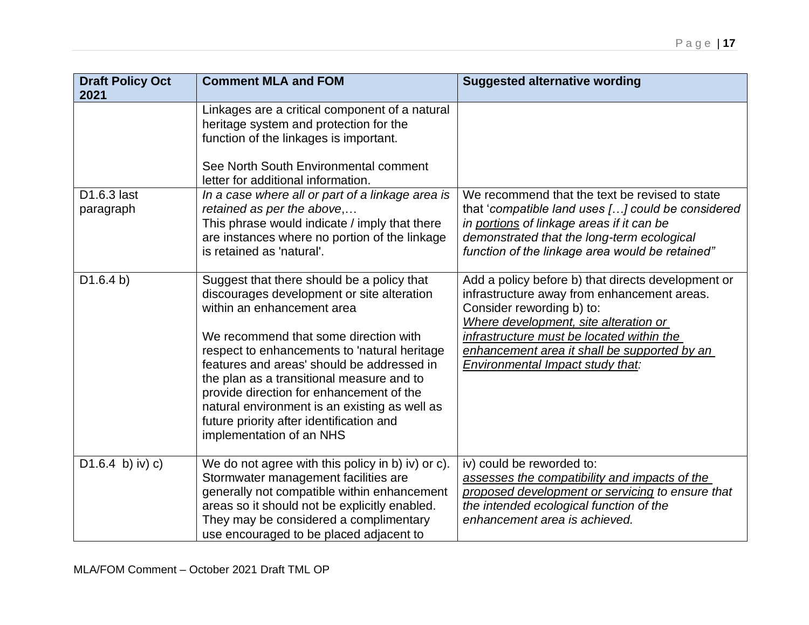| <b>Draft Policy Oct</b><br>2021 | <b>Comment MLA and FOM</b>                                                                                                                                                                                                                                                                                                                                                                                                                                                      | <b>Suggested alternative wording</b>                                                                                                                                                                                                                                                                     |
|---------------------------------|---------------------------------------------------------------------------------------------------------------------------------------------------------------------------------------------------------------------------------------------------------------------------------------------------------------------------------------------------------------------------------------------------------------------------------------------------------------------------------|----------------------------------------------------------------------------------------------------------------------------------------------------------------------------------------------------------------------------------------------------------------------------------------------------------|
|                                 | Linkages are a critical component of a natural<br>heritage system and protection for the<br>function of the linkages is important.<br>See North South Environmental comment<br>letter for additional information.                                                                                                                                                                                                                                                               |                                                                                                                                                                                                                                                                                                          |
| D1.6.3 last<br>paragraph        | In a case where all or part of a linkage area is<br>retained as per the above,<br>This phrase would indicate / imply that there<br>are instances where no portion of the linkage<br>is retained as 'natural'.                                                                                                                                                                                                                                                                   | We recommend that the text be revised to state<br>that 'compatible land uses [] could be considered<br>in portions of linkage areas if it can be<br>demonstrated that the long-term ecological<br>function of the linkage area would be retained"                                                        |
| D1.6.4 b)                       | Suggest that there should be a policy that<br>discourages development or site alteration<br>within an enhancement area<br>We recommend that some direction with<br>respect to enhancements to 'natural heritage<br>features and areas' should be addressed in<br>the plan as a transitional measure and to<br>provide direction for enhancement of the<br>natural environment is an existing as well as<br>future priority after identification and<br>implementation of an NHS | Add a policy before b) that directs development or<br>infrastructure away from enhancement areas.<br>Consider rewording b) to:<br>Where development, site alteration or<br>infrastructure must be located within the<br>enhancement area it shall be supported by an<br>Environmental Impact study that: |
| $D1.6.4$ b) iv) c)              | We do not agree with this policy in b) iv) or c).<br>Stormwater management facilities are<br>generally not compatible within enhancement<br>areas so it should not be explicitly enabled.<br>They may be considered a complimentary<br>use encouraged to be placed adjacent to                                                                                                                                                                                                  | iv) could be reworded to:<br>assesses the compatibility and impacts of the<br>proposed development or servicing to ensure that<br>the intended ecological function of the<br>enhancement area is achieved.                                                                                               |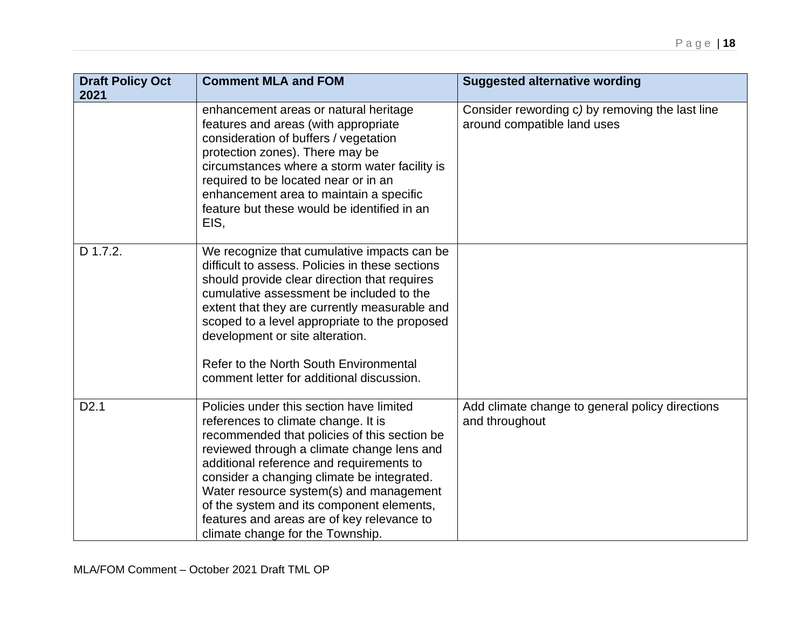| <b>Draft Policy Oct</b><br>2021 | <b>Comment MLA and FOM</b>                                                                                                                                                                                                                                                                                                                                                                                                                        | <b>Suggested alternative wording</b>                                           |
|---------------------------------|---------------------------------------------------------------------------------------------------------------------------------------------------------------------------------------------------------------------------------------------------------------------------------------------------------------------------------------------------------------------------------------------------------------------------------------------------|--------------------------------------------------------------------------------|
|                                 | enhancement areas or natural heritage<br>features and areas (with appropriate<br>consideration of buffers / vegetation<br>protection zones). There may be<br>circumstances where a storm water facility is<br>required to be located near or in an<br>enhancement area to maintain a specific<br>feature but these would be identified in an<br>EIS,                                                                                              | Consider rewording c) by removing the last line<br>around compatible land uses |
| D 1.7.2.                        | We recognize that cumulative impacts can be<br>difficult to assess. Policies in these sections<br>should provide clear direction that requires<br>cumulative assessment be included to the<br>extent that they are currently measurable and<br>scoped to a level appropriate to the proposed<br>development or site alteration.<br>Refer to the North South Environmental<br>comment letter for additional discussion.                            |                                                                                |
| D <sub>2.1</sub>                | Policies under this section have limited<br>references to climate change. It is<br>recommended that policies of this section be<br>reviewed through a climate change lens and<br>additional reference and requirements to<br>consider a changing climate be integrated.<br>Water resource system(s) and management<br>of the system and its component elements,<br>features and areas are of key relevance to<br>climate change for the Township. | Add climate change to general policy directions<br>and throughout              |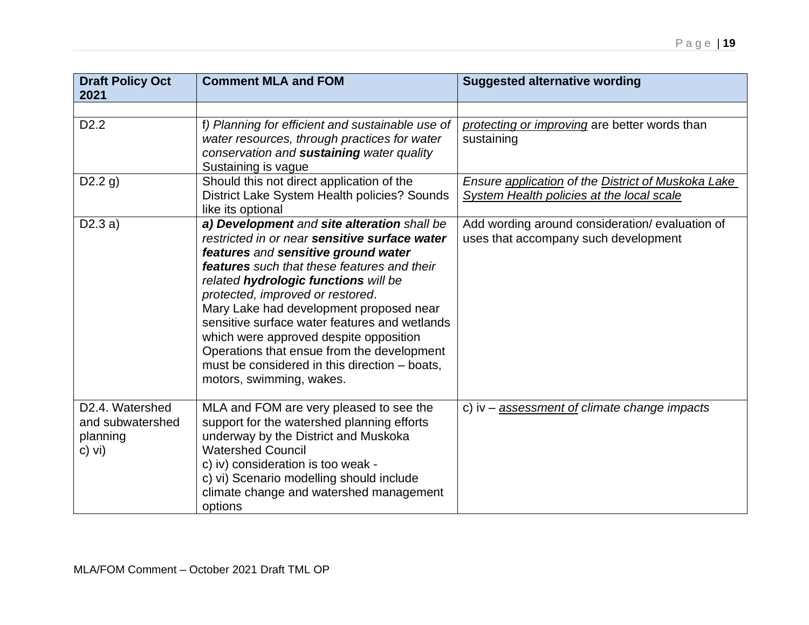| <b>Draft Policy Oct</b><br>2021                           | <b>Comment MLA and FOM</b>                                                                                                                                                                                                                                                                                                                                                                                                                                                                                                             | <b>Suggested alternative wording</b>                                                            |
|-----------------------------------------------------------|----------------------------------------------------------------------------------------------------------------------------------------------------------------------------------------------------------------------------------------------------------------------------------------------------------------------------------------------------------------------------------------------------------------------------------------------------------------------------------------------------------------------------------------|-------------------------------------------------------------------------------------------------|
|                                                           |                                                                                                                                                                                                                                                                                                                                                                                                                                                                                                                                        |                                                                                                 |
| D <sub>2.2</sub>                                          | f) Planning for efficient and sustainable use of<br>water resources, through practices for water<br>conservation and sustaining water quality<br>Sustaining is vague                                                                                                                                                                                                                                                                                                                                                                   | protecting or improving are better words than<br>sustaining                                     |
| D2.2 g)                                                   | Should this not direct application of the<br>District Lake System Health policies? Sounds<br>like its optional                                                                                                                                                                                                                                                                                                                                                                                                                         | Ensure application of the District of Muskoka Lake<br>System Health policies at the local scale |
| D2.3a)                                                    | a) Development and site alteration shall be<br>restricted in or near sensitive surface water<br>features and sensitive ground water<br><b>features</b> such that these features and their<br>related hydrologic functions will be<br>protected, improved or restored.<br>Mary Lake had development proposed near<br>sensitive surface water features and wetlands<br>which were approved despite opposition<br>Operations that ensue from the development<br>must be considered in this direction - boats,<br>motors, swimming, wakes. | Add wording around consideration/evaluation of<br>uses that accompany such development          |
| D2.4. Watershed<br>and subwatershed<br>planning<br>c) vi) | MLA and FOM are very pleased to see the<br>support for the watershed planning efforts<br>underway by the District and Muskoka<br><b>Watershed Council</b><br>c) iv) consideration is too weak -<br>c) vi) Scenario modelling should include<br>climate change and watershed management<br>options                                                                                                                                                                                                                                      | c) iv $-$ assessment of climate change impacts                                                  |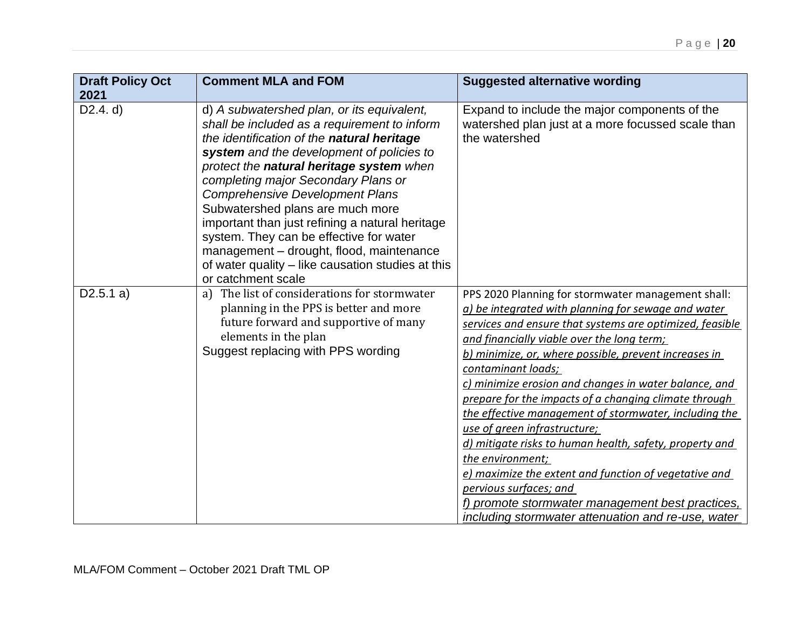| <b>Draft Policy Oct</b><br>2021 | <b>Comment MLA and FOM</b>                                                                                                                                                                                                                                                                                                                                                                                                                                                                                                                                                  | <b>Suggested alternative wording</b>                                                                                                                                                                                                                                                                                                                                                                                                                                                                                                                                                                                                                                                                                                                                                      |
|---------------------------------|-----------------------------------------------------------------------------------------------------------------------------------------------------------------------------------------------------------------------------------------------------------------------------------------------------------------------------------------------------------------------------------------------------------------------------------------------------------------------------------------------------------------------------------------------------------------------------|-------------------------------------------------------------------------------------------------------------------------------------------------------------------------------------------------------------------------------------------------------------------------------------------------------------------------------------------------------------------------------------------------------------------------------------------------------------------------------------------------------------------------------------------------------------------------------------------------------------------------------------------------------------------------------------------------------------------------------------------------------------------------------------------|
| D2.4. d)                        | d) A subwatershed plan, or its equivalent,<br>shall be included as a requirement to inform<br>the identification of the natural heritage<br>system and the development of policies to<br>protect the natural heritage system when<br>completing major Secondary Plans or<br><b>Comprehensive Development Plans</b><br>Subwatershed plans are much more<br>important than just refining a natural heritage<br>system. They can be effective for water<br>management - drought, flood, maintenance<br>of water quality – like causation studies at this<br>or catchment scale | Expand to include the major components of the<br>watershed plan just at a more focussed scale than<br>the watershed                                                                                                                                                                                                                                                                                                                                                                                                                                                                                                                                                                                                                                                                       |
| D2.5.1 a)                       | a) The list of considerations for stormwater<br>planning in the PPS is better and more<br>future forward and supportive of many<br>elements in the plan<br>Suggest replacing with PPS wording                                                                                                                                                                                                                                                                                                                                                                               | PPS 2020 Planning for stormwater management shall:<br>a) be integrated with planning for sewage and water<br>services and ensure that systems are optimized, feasible<br>and financially viable over the long term;<br>b) minimize, or, where possible, prevent increases in<br>contaminant loads;<br>c) minimize erosion and changes in water balance, and<br>prepare for the impacts of a changing climate through<br>the effective management of stormwater, including the<br>use of green infrastructure;<br>d) mitigate risks to human health, safety, property and<br>the environment;<br>e) maximize the extent and function of vegetative and<br>pervious surfaces; and<br>f) promote stormwater management best practices,<br>including stormwater attenuation and re-use, water |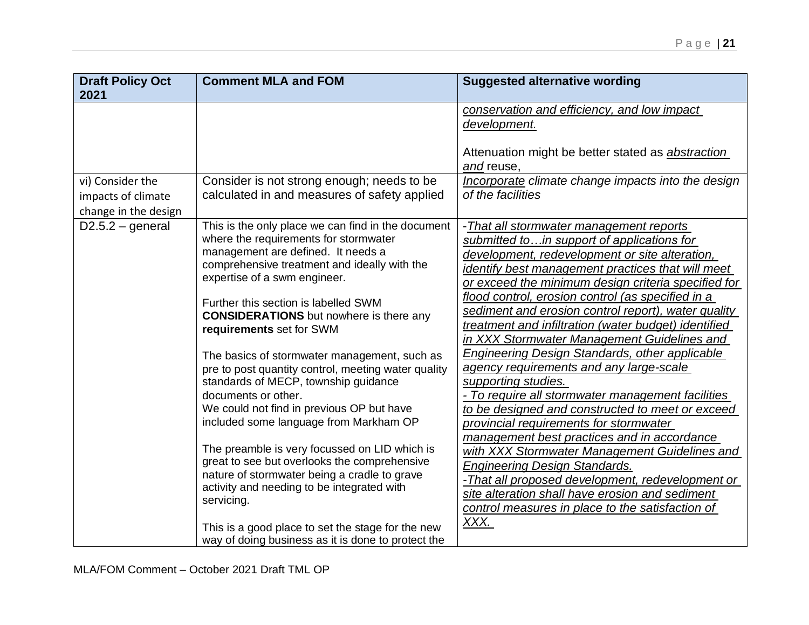| <b>Draft Policy Oct</b> | <b>Comment MLA and FOM</b>                          | <b>Suggested alternative wording</b>                     |
|-------------------------|-----------------------------------------------------|----------------------------------------------------------|
| 2021                    |                                                     |                                                          |
|                         |                                                     | conservation and efficiency, and low impact              |
|                         |                                                     | development.                                             |
|                         |                                                     |                                                          |
|                         |                                                     | Attenuation might be better stated as <i>abstraction</i> |
|                         |                                                     | and reuse,                                               |
| vi) Consider the        | Consider is not strong enough; needs to be          | Incorporate climate change impacts into the design       |
| impacts of climate      | calculated in and measures of safety applied        | of the facilities                                        |
| change in the design    |                                                     |                                                          |
| $D2.5.2 - general$      | This is the only place we can find in the document  | -That all stormwater management reports                  |
|                         | where the requirements for stormwater               | submitted toin support of applications for               |
|                         | management are defined. It needs a                  | development, redevelopment or site alteration,           |
|                         | comprehensive treatment and ideally with the        | identify best management practices that will meet        |
|                         | expertise of a swm engineer.                        | or exceed the minimum design criteria specified for      |
|                         | Further this section is labelled SWM                | flood control, erosion control (as specified in a        |
|                         | <b>CONSIDERATIONS</b> but nowhere is there any      | sediment and erosion control report), water quality      |
|                         | requirements set for SWM                            | treatment and infiltration (water budget) identified     |
|                         |                                                     | in XXX Stormwater Management Guidelines and              |
|                         | The basics of stormwater management, such as        | <b>Engineering Design Standards, other applicable</b>    |
|                         | pre to post quantity control, meeting water quality | agency requirements and any large-scale                  |
|                         | standards of MECP, township guidance                | supporting studies.                                      |
|                         | documents or other.                                 | - To require all stormwater management facilities        |
|                         | We could not find in previous OP but have           | to be designed and constructed to meet or exceed         |
|                         | included some language from Markham OP              | provincial requirements for stormwater                   |
|                         | The preamble is very focussed on LID which is       | management best practices and in accordance              |
|                         | great to see but overlooks the comprehensive        | with XXX Stormwater Management Guidelines and            |
|                         | nature of stormwater being a cradle to grave        | <b>Engineering Design Standards.</b>                     |
|                         | activity and needing to be integrated with          | -That all proposed development, redevelopment or         |
|                         | servicing.                                          | site alteration shall have erosion and sediment          |
|                         |                                                     | control measures in place to the satisfaction of         |
|                         | This is a good place to set the stage for the new   | XXX.                                                     |
|                         | way of doing business as it is done to protect the  |                                                          |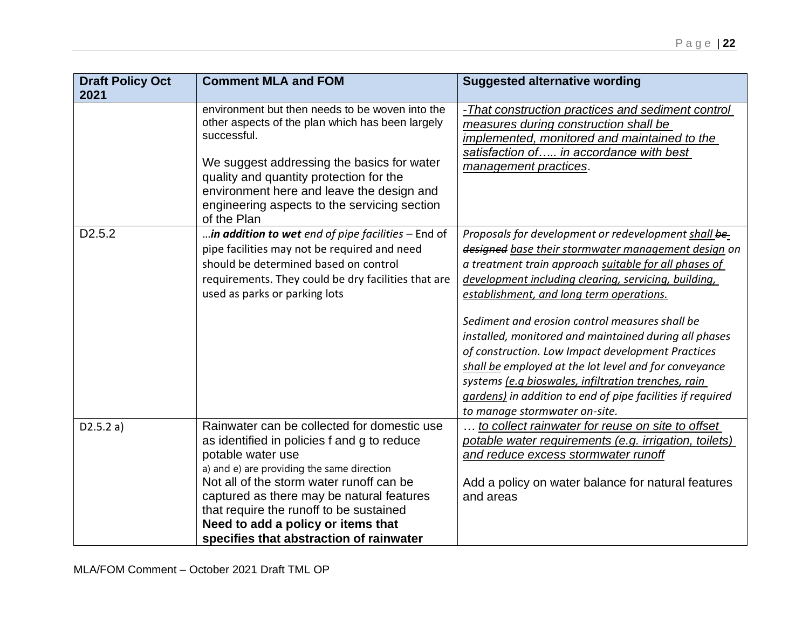| <b>Draft Policy Oct</b><br>2021 | <b>Comment MLA and FOM</b>                                                                                                                                                                                                                                                                                                                                                         | <b>Suggested alternative wording</b>                                                                                                                                                                                                                                                                                                                                                                                                                                                                                                                                                                                                                    |
|---------------------------------|------------------------------------------------------------------------------------------------------------------------------------------------------------------------------------------------------------------------------------------------------------------------------------------------------------------------------------------------------------------------------------|---------------------------------------------------------------------------------------------------------------------------------------------------------------------------------------------------------------------------------------------------------------------------------------------------------------------------------------------------------------------------------------------------------------------------------------------------------------------------------------------------------------------------------------------------------------------------------------------------------------------------------------------------------|
|                                 | environment but then needs to be woven into the<br>other aspects of the plan which has been largely<br>successful.<br>We suggest addressing the basics for water<br>quality and quantity protection for the<br>environment here and leave the design and<br>engineering aspects to the servicing section<br>of the Plan                                                            | -That construction practices and sediment control<br>measures during construction shall be<br>implemented, monitored and maintained to the<br>satisfaction of in accordance with best<br>management practices.                                                                                                                                                                                                                                                                                                                                                                                                                                          |
| D <sub>2.5.2</sub>              | in addition to wet end of pipe facilities - End of<br>pipe facilities may not be required and need<br>should be determined based on control<br>requirements. They could be dry facilities that are<br>used as parks or parking lots                                                                                                                                                | Proposals for development or redevelopment shall be-<br>designed base their stormwater management design on<br>a treatment train approach suitable for all phases of<br>development including clearing, servicing, building,<br>establishment, and long term operations.<br>Sediment and erosion control measures shall be<br>installed, monitored and maintained during all phases<br>of construction. Low Impact development Practices<br>shall be employed at the lot level and for conveyance<br>systems (e.g bioswales, infiltration trenches, rain<br>gardens) in addition to end of pipe facilities if required<br>to manage stormwater on-site. |
| D2.5.2 a)                       | Rainwater can be collected for domestic use<br>as identified in policies f and g to reduce<br>potable water use<br>a) and e) are providing the same direction<br>Not all of the storm water runoff can be<br>captured as there may be natural features<br>that require the runoff to be sustained<br>Need to add a policy or items that<br>specifies that abstraction of rainwater | to collect rainwater for reuse on site to offset<br>potable water requirements (e.g. irrigation, toilets)<br>and reduce excess stormwater runoff<br>Add a policy on water balance for natural features<br>and areas                                                                                                                                                                                                                                                                                                                                                                                                                                     |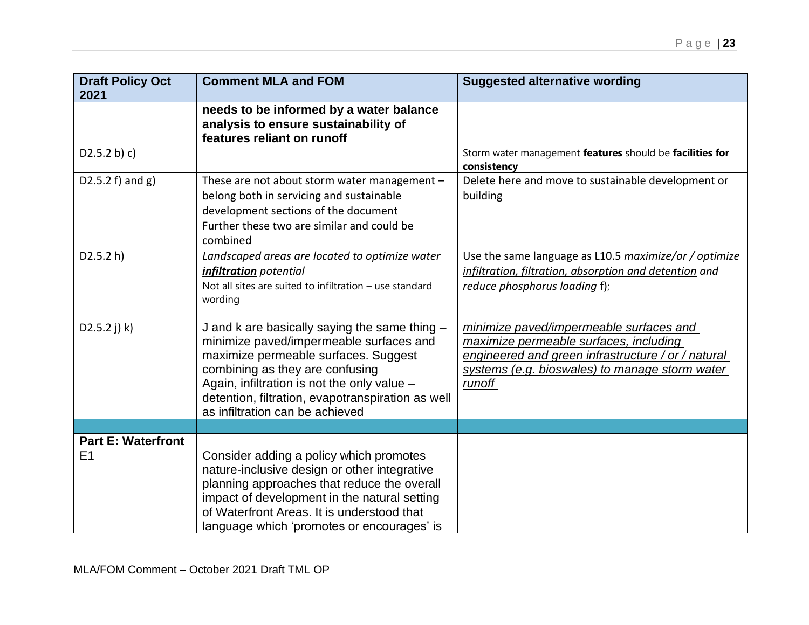| <b>Draft Policy Oct</b><br>2021             | <b>Comment MLA and FOM</b>                                                                                                                                                                                                                                                                                 | <b>Suggested alternative wording</b>                                                                                                                                                                |
|---------------------------------------------|------------------------------------------------------------------------------------------------------------------------------------------------------------------------------------------------------------------------------------------------------------------------------------------------------------|-----------------------------------------------------------------------------------------------------------------------------------------------------------------------------------------------------|
|                                             | needs to be informed by a water balance<br>analysis to ensure sustainability of<br>features reliant on runoff                                                                                                                                                                                              |                                                                                                                                                                                                     |
| D2.5.2 b) c)                                |                                                                                                                                                                                                                                                                                                            | Storm water management features should be facilities for<br>consistency                                                                                                                             |
| D2.5.2 $f$ ) and $g$ )                      | These are not about storm water management -<br>belong both in servicing and sustainable<br>development sections of the document<br>Further these two are similar and could be<br>combined                                                                                                                 | Delete here and move to sustainable development or<br>building                                                                                                                                      |
| D2.5.2 h)                                   | Landscaped areas are located to optimize water<br>infiltration potential<br>Not all sites are suited to infiltration - use standard<br>wording                                                                                                                                                             | Use the same language as L10.5 maximize/or / optimize<br>infiltration, filtration, absorption and detention and<br>reduce phosphorus loading f);                                                    |
| $D2.5.2$ j) k)                              | J and k are basically saying the same thing -<br>minimize paved/impermeable surfaces and<br>maximize permeable surfaces. Suggest<br>combining as they are confusing<br>Again, infiltration is not the only value -<br>detention, filtration, evapotranspiration as well<br>as infiltration can be achieved | minimize paved/impermeable surfaces and<br>maximize permeable surfaces, including<br>engineered and green infrastructure / or / natural<br>systems (e.g. bioswales) to manage storm water<br>runoff |
|                                             |                                                                                                                                                                                                                                                                                                            |                                                                                                                                                                                                     |
| <b>Part E: Waterfront</b><br>E <sub>1</sub> |                                                                                                                                                                                                                                                                                                            |                                                                                                                                                                                                     |
|                                             | Consider adding a policy which promotes<br>nature-inclusive design or other integrative<br>planning approaches that reduce the overall<br>impact of development in the natural setting<br>of Waterfront Areas. It is understood that<br>language which 'promotes or encourages' is                         |                                                                                                                                                                                                     |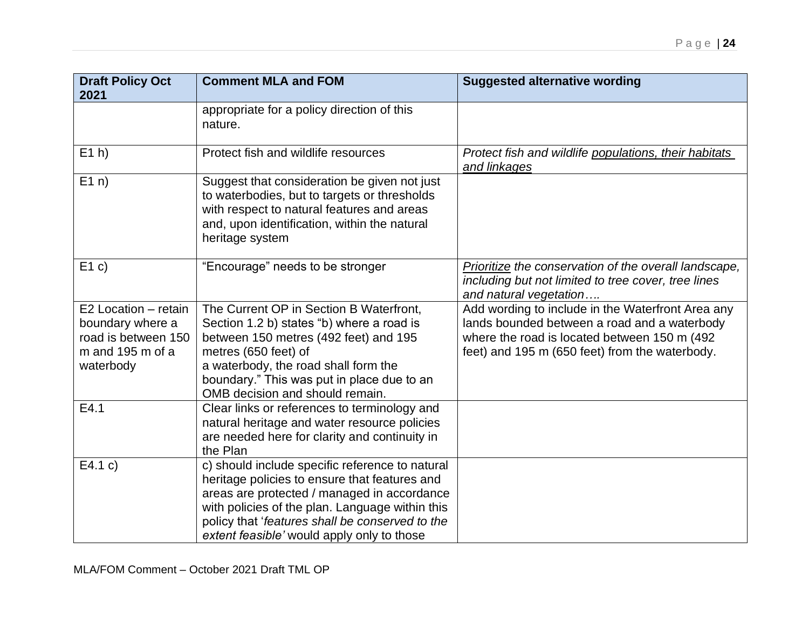| <b>Draft Policy Oct</b> | <b>Comment MLA and FOM</b>                                                                                                                                                                                    | <b>Suggested alternative wording</b>                                                                                                   |
|-------------------------|---------------------------------------------------------------------------------------------------------------------------------------------------------------------------------------------------------------|----------------------------------------------------------------------------------------------------------------------------------------|
| 2021                    |                                                                                                                                                                                                               |                                                                                                                                        |
|                         | appropriate for a policy direction of this<br>nature.                                                                                                                                                         |                                                                                                                                        |
| $E1$ h)                 | Protect fish and wildlife resources                                                                                                                                                                           | Protect fish and wildlife populations, their habitats<br>and linkages                                                                  |
| E1n)                    | Suggest that consideration be given not just<br>to waterbodies, but to targets or thresholds<br>with respect to natural features and areas<br>and, upon identification, within the natural<br>heritage system |                                                                                                                                        |
| E1c)                    | "Encourage" needs to be stronger                                                                                                                                                                              | Prioritize the conservation of the overall landscape,<br>including but not limited to tree cover, tree lines<br>and natural vegetation |
| E2 Location - retain    | The Current OP in Section B Waterfront,                                                                                                                                                                       | Add wording to include in the Waterfront Area any                                                                                      |
| boundary where a        | Section 1.2 b) states "b) where a road is                                                                                                                                                                     | lands bounded between a road and a waterbody                                                                                           |
| road is between 150     | between 150 metres (492 feet) and 195                                                                                                                                                                         | where the road is located between 150 m (492)                                                                                          |
| m and 195 m of a        | metres (650 feet) of                                                                                                                                                                                          | feet) and 195 m (650 feet) from the waterbody.                                                                                         |
| waterbody               | a waterbody, the road shall form the                                                                                                                                                                          |                                                                                                                                        |
|                         | boundary." This was put in place due to an<br>OMB decision and should remain.                                                                                                                                 |                                                                                                                                        |
| E4.1                    | Clear links or references to terminology and                                                                                                                                                                  |                                                                                                                                        |
|                         | natural heritage and water resource policies                                                                                                                                                                  |                                                                                                                                        |
|                         | are needed here for clarity and continuity in<br>the Plan                                                                                                                                                     |                                                                                                                                        |
| E4.1 c)                 | c) should include specific reference to natural                                                                                                                                                               |                                                                                                                                        |
|                         | heritage policies to ensure that features and                                                                                                                                                                 |                                                                                                                                        |
|                         | areas are protected / managed in accordance                                                                                                                                                                   |                                                                                                                                        |
|                         | with policies of the plan. Language within this                                                                                                                                                               |                                                                                                                                        |
|                         | policy that 'features shall be conserved to the                                                                                                                                                               |                                                                                                                                        |
|                         | extent feasible' would apply only to those                                                                                                                                                                    |                                                                                                                                        |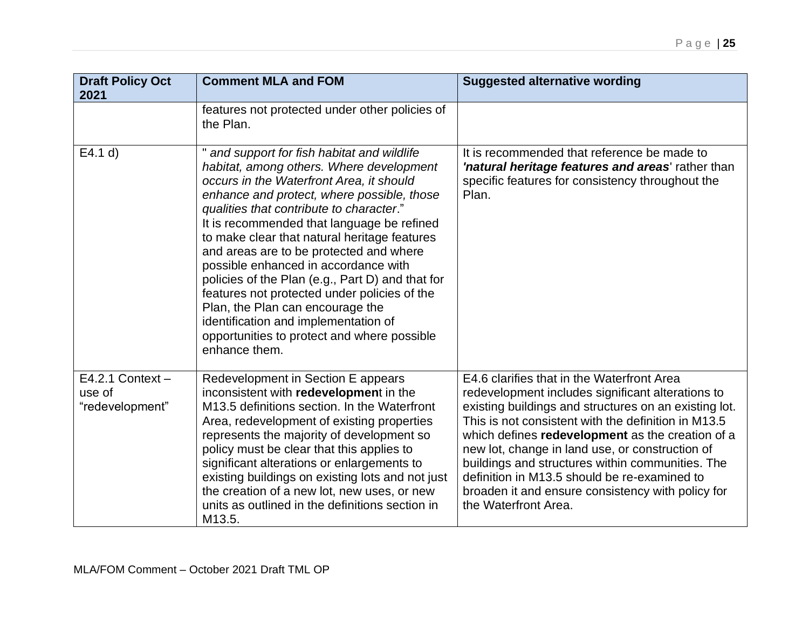| <b>Draft Policy Oct</b><br>2021                 | <b>Comment MLA and FOM</b>                                                                                                                                                                                                                                                                                                                                                                                                                                                                                                                                                                                                                                   | <b>Suggested alternative wording</b>                                                                                                                                                                                                                                                                                                                                                                                                                                                                    |
|-------------------------------------------------|--------------------------------------------------------------------------------------------------------------------------------------------------------------------------------------------------------------------------------------------------------------------------------------------------------------------------------------------------------------------------------------------------------------------------------------------------------------------------------------------------------------------------------------------------------------------------------------------------------------------------------------------------------------|---------------------------------------------------------------------------------------------------------------------------------------------------------------------------------------------------------------------------------------------------------------------------------------------------------------------------------------------------------------------------------------------------------------------------------------------------------------------------------------------------------|
|                                                 | features not protected under other policies of<br>the Plan.                                                                                                                                                                                                                                                                                                                                                                                                                                                                                                                                                                                                  |                                                                                                                                                                                                                                                                                                                                                                                                                                                                                                         |
| E4.1 d                                          | and support for fish habitat and wildlife<br>habitat, among others. Where development<br>occurs in the Waterfront Area, it should<br>enhance and protect, where possible, those<br>qualities that contribute to character."<br>It is recommended that language be refined<br>to make clear that natural heritage features<br>and areas are to be protected and where<br>possible enhanced in accordance with<br>policies of the Plan (e.g., Part D) and that for<br>features not protected under policies of the<br>Plan, the Plan can encourage the<br>identification and implementation of<br>opportunities to protect and where possible<br>enhance them. | It is recommended that reference be made to<br>'natural heritage features and areas' rather than<br>specific features for consistency throughout the<br>Plan.                                                                                                                                                                                                                                                                                                                                           |
| $E4.2.1$ Context -<br>use of<br>"redevelopment" | Redevelopment in Section E appears<br>inconsistent with redevelopment in the<br>M13.5 definitions section. In the Waterfront<br>Area, redevelopment of existing properties<br>represents the majority of development so<br>policy must be clear that this applies to<br>significant alterations or enlargements to<br>existing buildings on existing lots and not just<br>the creation of a new lot, new uses, or new<br>units as outlined in the definitions section in<br>M13.5.                                                                                                                                                                           | E4.6 clarifies that in the Waterfront Area<br>redevelopment includes significant alterations to<br>existing buildings and structures on an existing lot.<br>This is not consistent with the definition in M13.5<br>which defines redevelopment as the creation of a<br>new lot, change in land use, or construction of<br>buildings and structures within communities. The<br>definition in M13.5 should be re-examined to<br>broaden it and ensure consistency with policy for<br>the Waterfront Area. |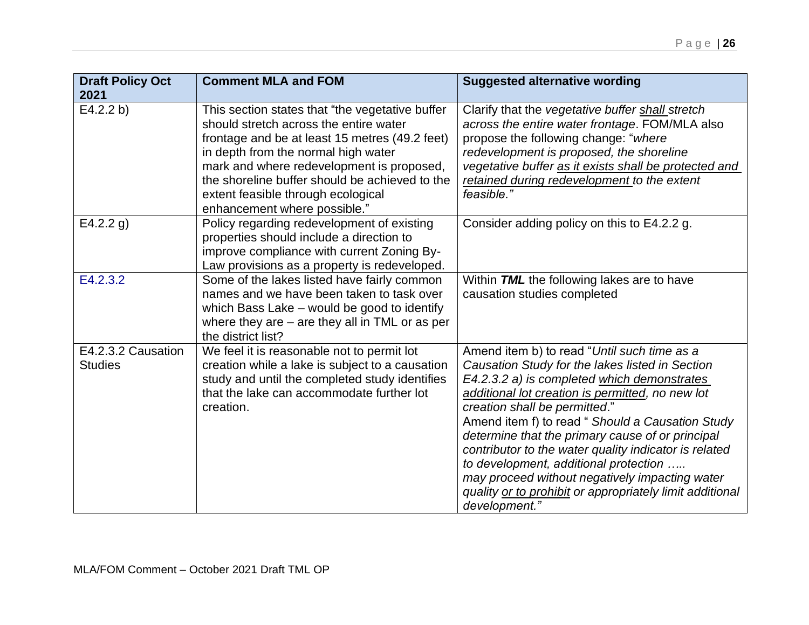| <b>Draft Policy Oct</b><br>2021      | <b>Comment MLA and FOM</b>                                                                                                                                                                                                                                                                                                                              | <b>Suggested alternative wording</b>                                                                                                                                                                                                                                                                                                                                                                                                                                                                                                                                        |
|--------------------------------------|---------------------------------------------------------------------------------------------------------------------------------------------------------------------------------------------------------------------------------------------------------------------------------------------------------------------------------------------------------|-----------------------------------------------------------------------------------------------------------------------------------------------------------------------------------------------------------------------------------------------------------------------------------------------------------------------------------------------------------------------------------------------------------------------------------------------------------------------------------------------------------------------------------------------------------------------------|
| E4.2.2 b)                            | This section states that "the vegetative buffer<br>should stretch across the entire water<br>frontage and be at least 15 metres (49.2 feet)<br>in depth from the normal high water<br>mark and where redevelopment is proposed,<br>the shoreline buffer should be achieved to the<br>extent feasible through ecological<br>enhancement where possible." | Clarify that the vegetative buffer shall stretch<br>across the entire water frontage. FOM/MLA also<br>propose the following change: "where<br>redevelopment is proposed, the shoreline<br>vegetative buffer as it exists shall be protected and<br>retained during redevelopment to the extent<br>feasible."                                                                                                                                                                                                                                                                |
| E4.2.2 g)                            | Policy regarding redevelopment of existing<br>properties should include a direction to<br>improve compliance with current Zoning By-<br>Law provisions as a property is redeveloped.                                                                                                                                                                    | Consider adding policy on this to E4.2.2 g.                                                                                                                                                                                                                                                                                                                                                                                                                                                                                                                                 |
| E4.2.3.2                             | Some of the lakes listed have fairly common<br>names and we have been taken to task over<br>which Bass Lake - would be good to identify<br>where they are $-$ are they all in TML or as per<br>the district list?                                                                                                                                       | Within TML the following lakes are to have<br>causation studies completed                                                                                                                                                                                                                                                                                                                                                                                                                                                                                                   |
| E4.2.3.2 Causation<br><b>Studies</b> | We feel it is reasonable not to permit lot<br>creation while a lake is subject to a causation<br>study and until the completed study identifies<br>that the lake can accommodate further lot<br>creation.                                                                                                                                               | Amend item b) to read "Until such time as a<br>Causation Study for the lakes listed in Section<br>E4.2.3.2 a) is completed which demonstrates<br>additional lot creation is permitted, no new lot<br>creation shall be permitted."<br>Amend item f) to read " Should a Causation Study<br>determine that the primary cause of or principal<br>contributor to the water quality indicator is related<br>to development, additional protection<br>may proceed without negatively impacting water<br>quality or to prohibit or appropriately limit additional<br>development." |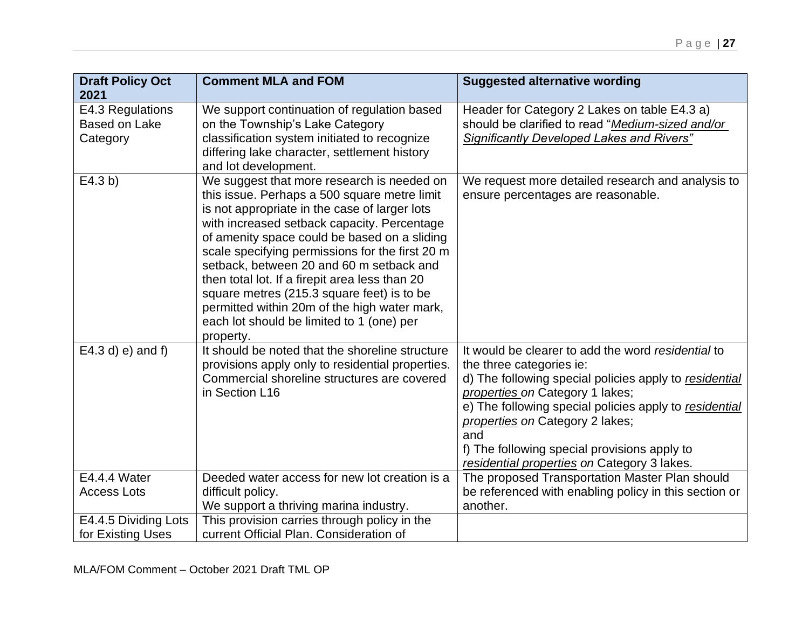| <b>Draft Policy Oct</b><br>2021                      | <b>Comment MLA and FOM</b>                                                                                                                                                                                                                                                                                                                                                                                                                                                                                                                          | <b>Suggested alternative wording</b>                                                                                                                                                                                                                                                                                                                                           |
|------------------------------------------------------|-----------------------------------------------------------------------------------------------------------------------------------------------------------------------------------------------------------------------------------------------------------------------------------------------------------------------------------------------------------------------------------------------------------------------------------------------------------------------------------------------------------------------------------------------------|--------------------------------------------------------------------------------------------------------------------------------------------------------------------------------------------------------------------------------------------------------------------------------------------------------------------------------------------------------------------------------|
| E4.3 Regulations<br><b>Based on Lake</b><br>Category | We support continuation of regulation based<br>on the Township's Lake Category<br>classification system initiated to recognize<br>differing lake character, settlement history<br>and lot development.                                                                                                                                                                                                                                                                                                                                              | Header for Category 2 Lakes on table E4.3 a)<br>should be clarified to read "Medium-sized and/or<br><b>Significantly Developed Lakes and Rivers"</b>                                                                                                                                                                                                                           |
| E4.3 b)                                              | We suggest that more research is needed on<br>this issue. Perhaps a 500 square metre limit<br>is not appropriate in the case of larger lots<br>with increased setback capacity. Percentage<br>of amenity space could be based on a sliding<br>scale specifying permissions for the first 20 m<br>setback, between 20 and 60 m setback and<br>then total lot. If a firepit area less than 20<br>square metres (215.3 square feet) is to be<br>permitted within 20m of the high water mark,<br>each lot should be limited to 1 (one) per<br>property. | We request more detailed research and analysis to<br>ensure percentages are reasonable.                                                                                                                                                                                                                                                                                        |
| $E4.3 d$ ) e) and f)                                 | It should be noted that the shoreline structure<br>provisions apply only to residential properties.<br>Commercial shoreline structures are covered<br>in Section L16                                                                                                                                                                                                                                                                                                                                                                                | It would be clearer to add the word residential to<br>the three categories ie:<br>d) The following special policies apply to residential<br>properties on Category 1 lakes;<br>e) The following special policies apply to residential<br>properties on Category 2 lakes;<br>and<br>f) The following special provisions apply to<br>residential properties on Category 3 lakes. |
| $\overline{E4.4}$ .4 Water                           | Deeded water access for new lot creation is a                                                                                                                                                                                                                                                                                                                                                                                                                                                                                                       | The proposed Transportation Master Plan should                                                                                                                                                                                                                                                                                                                                 |
| <b>Access Lots</b>                                   | difficult policy.<br>We support a thriving marina industry.                                                                                                                                                                                                                                                                                                                                                                                                                                                                                         | be referenced with enabling policy in this section or<br>another.                                                                                                                                                                                                                                                                                                              |
| E4.4.5 Dividing Lots                                 | This provision carries through policy in the                                                                                                                                                                                                                                                                                                                                                                                                                                                                                                        |                                                                                                                                                                                                                                                                                                                                                                                |
| for Existing Uses                                    | current Official Plan. Consideration of                                                                                                                                                                                                                                                                                                                                                                                                                                                                                                             |                                                                                                                                                                                                                                                                                                                                                                                |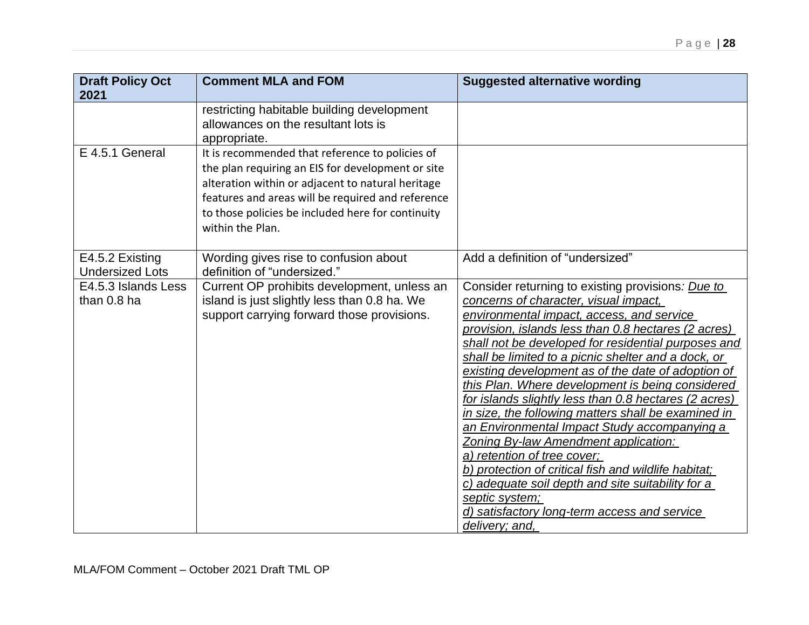| <b>Draft Policy Oct</b><br>2021           | <b>Comment MLA and FOM</b>                                                                                                                                                                                                                                                              | <b>Suggested alternative wording</b>                                                                                                                                                                                                                                                                                                                                                                                                                                                                                                                                                                                                                                                                                                                                                                                                                           |
|-------------------------------------------|-----------------------------------------------------------------------------------------------------------------------------------------------------------------------------------------------------------------------------------------------------------------------------------------|----------------------------------------------------------------------------------------------------------------------------------------------------------------------------------------------------------------------------------------------------------------------------------------------------------------------------------------------------------------------------------------------------------------------------------------------------------------------------------------------------------------------------------------------------------------------------------------------------------------------------------------------------------------------------------------------------------------------------------------------------------------------------------------------------------------------------------------------------------------|
|                                           | restricting habitable building development<br>allowances on the resultant lots is<br>appropriate.                                                                                                                                                                                       |                                                                                                                                                                                                                                                                                                                                                                                                                                                                                                                                                                                                                                                                                                                                                                                                                                                                |
| E 4.5.1 General                           | It is recommended that reference to policies of<br>the plan requiring an EIS for development or site<br>alteration within or adjacent to natural heritage<br>features and areas will be required and reference<br>to those policies be included here for continuity<br>within the Plan. |                                                                                                                                                                                                                                                                                                                                                                                                                                                                                                                                                                                                                                                                                                                                                                                                                                                                |
| E4.5.2 Existing<br><b>Undersized Lots</b> | Wording gives rise to confusion about<br>definition of "undersized."                                                                                                                                                                                                                    | Add a definition of "undersized"                                                                                                                                                                                                                                                                                                                                                                                                                                                                                                                                                                                                                                                                                                                                                                                                                               |
| E4.5.3 Islands Less<br>than 0.8 ha        | Current OP prohibits development, unless an<br>island is just slightly less than 0.8 ha. We<br>support carrying forward those provisions.                                                                                                                                               | Consider returning to existing provisions: Due to<br>concerns of character, visual impact,<br>environmental impact, access, and service<br>provision, islands less than 0.8 hectares (2 acres)<br>shall not be developed for residential purposes and<br>shall be limited to a picnic shelter and a dock, or<br>existing development as of the date of adoption of<br>this Plan. Where development is being considered<br>for islands slightly less than 0.8 hectares (2 acres)<br>in size, the following matters shall be examined in<br>an Environmental Impact Study accompanying a<br>Zoning By-law Amendment application:<br>a) retention of tree cover;<br>b) protection of critical fish and wildlife habitat;<br>c) adequate soil depth and site suitability for a<br>septic system;<br>d) satisfactory long-term access and service<br>delivery; and, |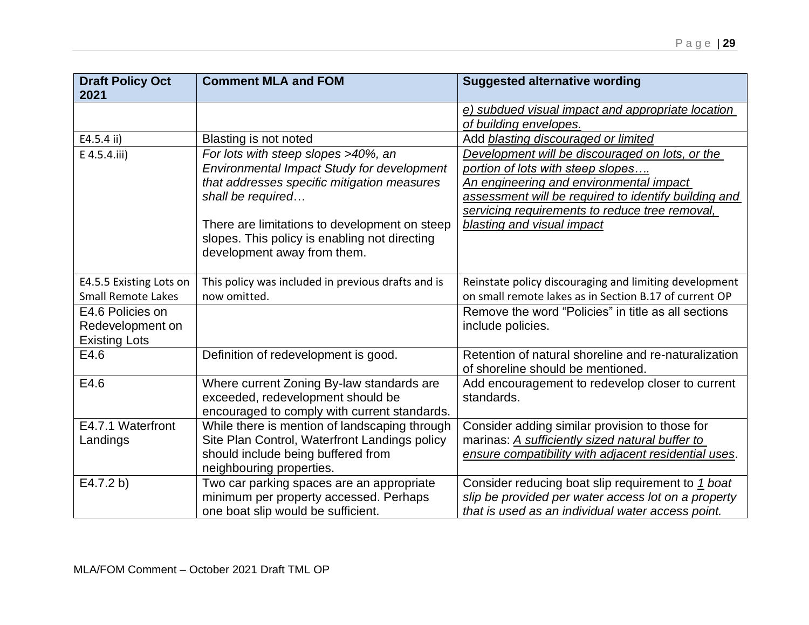| <b>Draft Policy Oct</b><br>2021      | <b>Comment MLA and FOM</b>                                                                                                                                                                                                                                                             | <b>Suggested alternative wording</b>                                                                                                                                                                                                                                    |
|--------------------------------------|----------------------------------------------------------------------------------------------------------------------------------------------------------------------------------------------------------------------------------------------------------------------------------------|-------------------------------------------------------------------------------------------------------------------------------------------------------------------------------------------------------------------------------------------------------------------------|
|                                      |                                                                                                                                                                                                                                                                                        | e) subdued visual impact and appropriate location<br>of building envelopes.                                                                                                                                                                                             |
| E4.5.4 ii)                           | Blasting is not noted                                                                                                                                                                                                                                                                  | Add blasting discouraged or limited                                                                                                                                                                                                                                     |
| E 4.5.4.iii)                         | For lots with steep slopes >40%, an<br>Environmental Impact Study for development<br>that addresses specific mitigation measures<br>shall be required<br>There are limitations to development on steep<br>slopes. This policy is enabling not directing<br>development away from them. | Development will be discouraged on lots, or the<br>portion of lots with steep slopes<br>An engineering and environmental impact<br>assessment will be required to identify building and<br>servicing requirements to reduce tree removal,<br>blasting and visual impact |
|                                      |                                                                                                                                                                                                                                                                                        |                                                                                                                                                                                                                                                                         |
| E4.5.5 Existing Lots on              | This policy was included in previous drafts and is                                                                                                                                                                                                                                     | Reinstate policy discouraging and limiting development                                                                                                                                                                                                                  |
| <b>Small Remote Lakes</b>            | now omitted.                                                                                                                                                                                                                                                                           | on small remote lakes as in Section B.17 of current OP                                                                                                                                                                                                                  |
| E4.6 Policies on<br>Redevelopment on |                                                                                                                                                                                                                                                                                        | Remove the word "Policies" in title as all sections<br>include policies.                                                                                                                                                                                                |
| <b>Existing Lots</b>                 |                                                                                                                                                                                                                                                                                        |                                                                                                                                                                                                                                                                         |
| E4.6                                 | Definition of redevelopment is good.                                                                                                                                                                                                                                                   | Retention of natural shoreline and re-naturalization<br>of shoreline should be mentioned.                                                                                                                                                                               |
| E4.6                                 | Where current Zoning By-law standards are<br>exceeded, redevelopment should be<br>encouraged to comply with current standards.                                                                                                                                                         | Add encouragement to redevelop closer to current<br>standards.                                                                                                                                                                                                          |
| E4.7.1 Waterfront                    | While there is mention of landscaping through                                                                                                                                                                                                                                          | Consider adding similar provision to those for                                                                                                                                                                                                                          |
| Landings                             | Site Plan Control, Waterfront Landings policy                                                                                                                                                                                                                                          | marinas: A sufficiently sized natural buffer to                                                                                                                                                                                                                         |
|                                      | should include being buffered from<br>neighbouring properties.                                                                                                                                                                                                                         | ensure compatibility with adjacent residential uses.                                                                                                                                                                                                                    |
| E4.7.2 b)                            | Two car parking spaces are an appropriate                                                                                                                                                                                                                                              | Consider reducing boat slip requirement to 1 boat                                                                                                                                                                                                                       |
|                                      | minimum per property accessed. Perhaps                                                                                                                                                                                                                                                 | slip be provided per water access lot on a property                                                                                                                                                                                                                     |
|                                      | one boat slip would be sufficient.                                                                                                                                                                                                                                                     | that is used as an individual water access point.                                                                                                                                                                                                                       |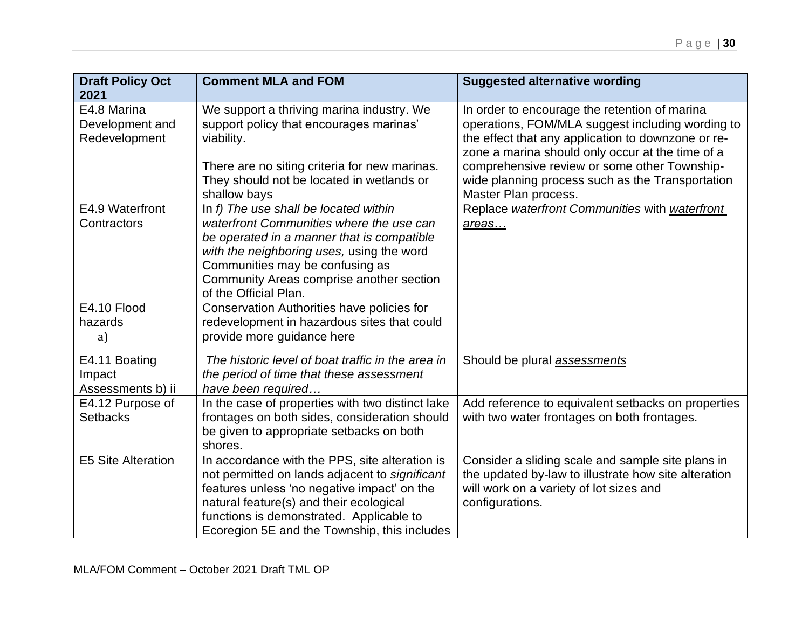| <b>Draft Policy Oct</b><br>2021                 | <b>Comment MLA and FOM</b>                                                                                                                                                                                                                                                             | <b>Suggested alternative wording</b>                                                                                                                                                                        |
|-------------------------------------------------|----------------------------------------------------------------------------------------------------------------------------------------------------------------------------------------------------------------------------------------------------------------------------------------|-------------------------------------------------------------------------------------------------------------------------------------------------------------------------------------------------------------|
| E4.8 Marina<br>Development and<br>Redevelopment | We support a thriving marina industry. We<br>support policy that encourages marinas'<br>viability.                                                                                                                                                                                     | In order to encourage the retention of marina<br>operations, FOM/MLA suggest including wording to<br>the effect that any application to downzone or re-<br>zone a marina should only occur at the time of a |
|                                                 | There are no siting criteria for new marinas.<br>They should not be located in wetlands or<br>shallow bays                                                                                                                                                                             | comprehensive review or some other Township-<br>wide planning process such as the Transportation<br>Master Plan process.                                                                                    |
| E4.9 Waterfront<br>Contractors                  | In f) The use shall be located within<br>waterfront Communities where the use can<br>be operated in a manner that is compatible<br>with the neighboring uses, using the word<br>Communities may be confusing as<br>Community Areas comprise another section<br>of the Official Plan.   | Replace waterfront Communities with waterfront<br>areas                                                                                                                                                     |
| E4.10 Flood<br>hazards<br>a)                    | Conservation Authorities have policies for<br>redevelopment in hazardous sites that could<br>provide more guidance here                                                                                                                                                                |                                                                                                                                                                                                             |
| E4.11 Boating<br>Impact<br>Assessments b) ii    | The historic level of boat traffic in the area in<br>the period of time that these assessment<br>have been required                                                                                                                                                                    | Should be plural <b>assessments</b>                                                                                                                                                                         |
| E4.12 Purpose of<br><b>Setbacks</b>             | In the case of properties with two distinct lake<br>frontages on both sides, consideration should<br>be given to appropriate setbacks on both<br>shores.                                                                                                                               | Add reference to equivalent setbacks on properties<br>with two water frontages on both frontages.                                                                                                           |
| <b>E5 Site Alteration</b>                       | In accordance with the PPS, site alteration is<br>not permitted on lands adjacent to significant<br>features unless 'no negative impact' on the<br>natural feature(s) and their ecological<br>functions is demonstrated. Applicable to<br>Ecoregion 5E and the Township, this includes | Consider a sliding scale and sample site plans in<br>the updated by-law to illustrate how site alteration<br>will work on a variety of lot sizes and<br>configurations.                                     |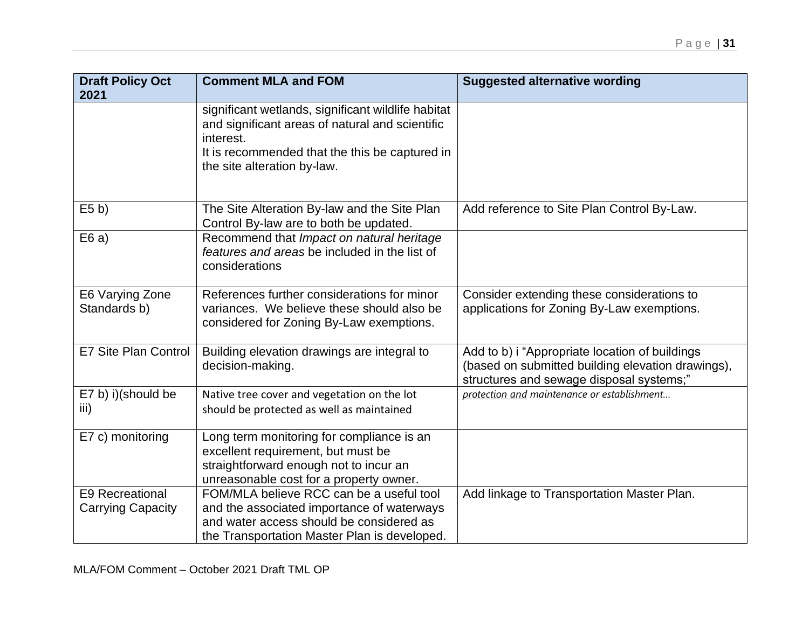| <b>Draft Policy Oct</b><br>2021                    | <b>Comment MLA and FOM</b>                                                                                                                                                                          | <b>Suggested alternative wording</b>                                                                                                            |
|----------------------------------------------------|-----------------------------------------------------------------------------------------------------------------------------------------------------------------------------------------------------|-------------------------------------------------------------------------------------------------------------------------------------------------|
|                                                    | significant wetlands, significant wildlife habitat<br>and significant areas of natural and scientific<br>interest.<br>It is recommended that the this be captured in<br>the site alteration by-law. |                                                                                                                                                 |
| E5 b)                                              | The Site Alteration By-law and the Site Plan<br>Control By-law are to both be updated.                                                                                                              | Add reference to Site Plan Control By-Law.                                                                                                      |
| E6a)                                               | Recommend that Impact on natural heritage<br>features and areas be included in the list of<br>considerations                                                                                        |                                                                                                                                                 |
| E6 Varying Zone<br>Standards b)                    | References further considerations for minor<br>variances. We believe these should also be<br>considered for Zoning By-Law exemptions.                                                               | Consider extending these considerations to<br>applications for Zoning By-Law exemptions.                                                        |
| E7 Site Plan Control                               | Building elevation drawings are integral to<br>decision-making.                                                                                                                                     | Add to b) i "Appropriate location of buildings<br>(based on submitted building elevation drawings),<br>structures and sewage disposal systems;" |
| E7 b) i)(should be<br>iii)                         | Native tree cover and vegetation on the lot<br>should be protected as well as maintained                                                                                                            | protection and maintenance or establishment                                                                                                     |
| E7 c) monitoring                                   | Long term monitoring for compliance is an<br>excellent requirement, but must be<br>straightforward enough not to incur an<br>unreasonable cost for a property owner.                                |                                                                                                                                                 |
| <b>E9 Recreational</b><br><b>Carrying Capacity</b> | FOM/MLA believe RCC can be a useful tool<br>and the associated importance of waterways<br>and water access should be considered as<br>the Transportation Master Plan is developed.                  | Add linkage to Transportation Master Plan.                                                                                                      |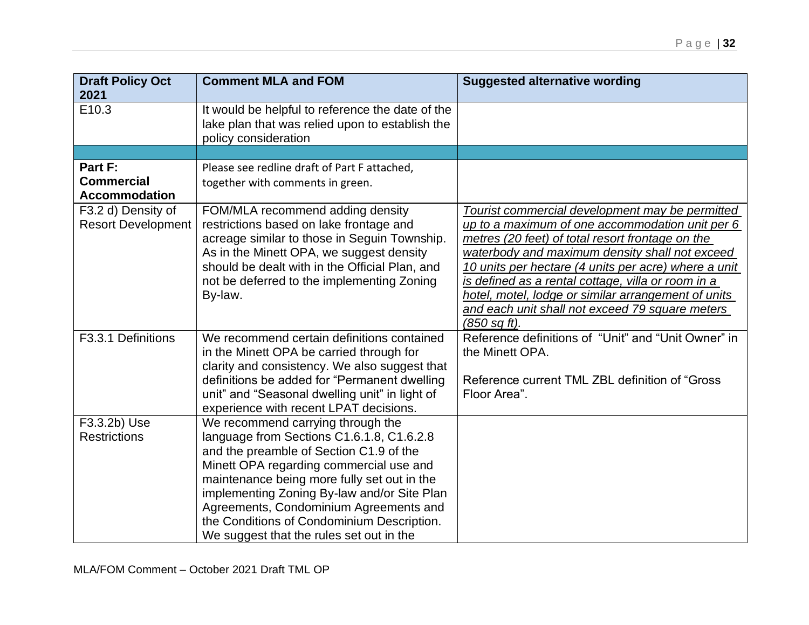| <b>Draft Policy Oct</b><br>2021                      | <b>Comment MLA and FOM</b>                                                                                                                                                                                                                                                                                                                                                                             | <b>Suggested alternative wording</b>                                                                                                                                                                                                                                                                                                                                                                                                                               |
|------------------------------------------------------|--------------------------------------------------------------------------------------------------------------------------------------------------------------------------------------------------------------------------------------------------------------------------------------------------------------------------------------------------------------------------------------------------------|--------------------------------------------------------------------------------------------------------------------------------------------------------------------------------------------------------------------------------------------------------------------------------------------------------------------------------------------------------------------------------------------------------------------------------------------------------------------|
| E <sub>10.3</sub>                                    | It would be helpful to reference the date of the<br>lake plan that was relied upon to establish the<br>policy consideration                                                                                                                                                                                                                                                                            |                                                                                                                                                                                                                                                                                                                                                                                                                                                                    |
|                                                      |                                                                                                                                                                                                                                                                                                                                                                                                        |                                                                                                                                                                                                                                                                                                                                                                                                                                                                    |
| Part F:<br><b>Commercial</b><br><b>Accommodation</b> | Please see redline draft of Part F attached,<br>together with comments in green.                                                                                                                                                                                                                                                                                                                       |                                                                                                                                                                                                                                                                                                                                                                                                                                                                    |
| F3.2 d) Density of<br><b>Resort Development</b>      | FOM/MLA recommend adding density<br>restrictions based on lake frontage and<br>acreage similar to those in Seguin Township.<br>As in the Minett OPA, we suggest density<br>should be dealt with in the Official Plan, and<br>not be deferred to the implementing Zoning<br>By-law.                                                                                                                     | Tourist commercial development may be permitted<br>up to a maximum of one accommodation unit per 6<br>metres (20 feet) of total resort frontage on the<br>waterbody and maximum density shall not exceed<br>10 units per hectare (4 units per acre) where a unit<br>is defined as a rental cottage, villa or room in a<br>hotel, motel, lodge or similar arrangement of units<br>and each unit shall not exceed 79 square meters<br>$(850 \text{ sq } \text{ft}).$ |
| F3.3.1 Definitions                                   | We recommend certain definitions contained<br>in the Minett OPA be carried through for<br>clarity and consistency. We also suggest that<br>definitions be added for "Permanent dwelling<br>unit" and "Seasonal dwelling unit" in light of<br>experience with recent LPAT decisions.                                                                                                                    | Reference definitions of "Unit" and "Unit Owner" in<br>the Minett OPA.<br>Reference current TML ZBL definition of "Gross"<br>Floor Area".                                                                                                                                                                                                                                                                                                                          |
| F3.3.2b) Use<br><b>Restrictions</b>                  | We recommend carrying through the<br>language from Sections C1.6.1.8, C1.6.2.8<br>and the preamble of Section C1.9 of the<br>Minett OPA regarding commercial use and<br>maintenance being more fully set out in the<br>implementing Zoning By-law and/or Site Plan<br>Agreements, Condominium Agreements and<br>the Conditions of Condominium Description.<br>We suggest that the rules set out in the |                                                                                                                                                                                                                                                                                                                                                                                                                                                                    |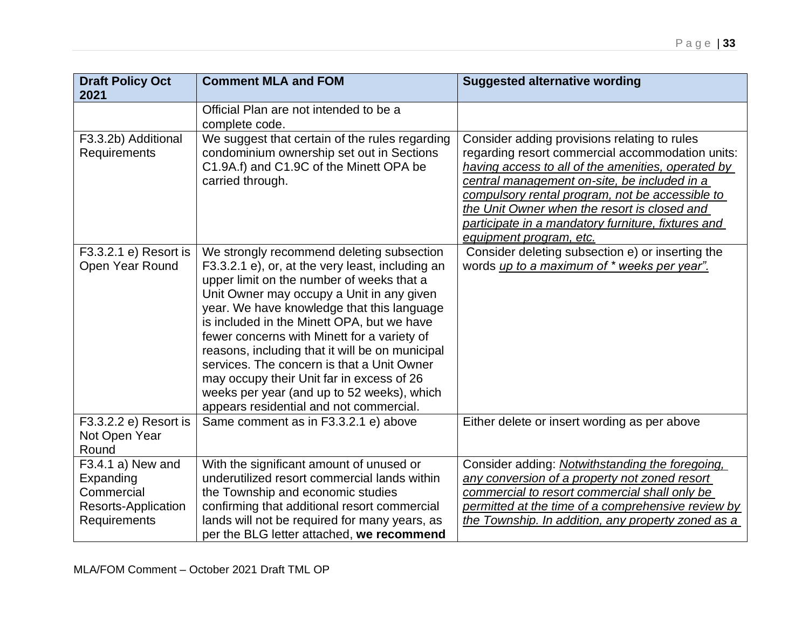| <b>Draft Policy Oct</b>    | <b>Comment MLA and FOM</b>                       | <b>Suggested alternative wording</b>               |
|----------------------------|--------------------------------------------------|----------------------------------------------------|
| 2021                       |                                                  |                                                    |
|                            | Official Plan are not intended to be a           |                                                    |
|                            | complete code.                                   |                                                    |
| F3.3.2b) Additional        | We suggest that certain of the rules regarding   | Consider adding provisions relating to rules       |
| Requirements               | condominium ownership set out in Sections        | regarding resort commercial accommodation units:   |
|                            | C1.9A.f) and C1.9C of the Minett OPA be          | having access to all of the amenities, operated by |
|                            | carried through.                                 | central management on-site, be included in a       |
|                            |                                                  | compulsory rental program, not be accessible to    |
|                            |                                                  | the Unit Owner when the resort is closed and       |
|                            |                                                  | participate in a mandatory furniture, fixtures and |
|                            |                                                  | equipment program, etc.                            |
| F3.3.2.1 e) Resort is      | We strongly recommend deleting subsection        | Consider deleting subsection e) or inserting the   |
| Open Year Round            | F3.3.2.1 e), or, at the very least, including an | words up to a maximum of * weeks per year".        |
|                            | upper limit on the number of weeks that a        |                                                    |
|                            | Unit Owner may occupy a Unit in any given        |                                                    |
|                            | year. We have knowledge that this language       |                                                    |
|                            | is included in the Minett OPA, but we have       |                                                    |
|                            | fewer concerns with Minett for a variety of      |                                                    |
|                            | reasons, including that it will be on municipal  |                                                    |
|                            | services. The concern is that a Unit Owner       |                                                    |
|                            | may occupy their Unit far in excess of 26        |                                                    |
|                            | weeks per year (and up to 52 weeks), which       |                                                    |
|                            | appears residential and not commercial.          |                                                    |
| F3.3.2.2 e) Resort is      | Same comment as in F3.3.2.1 e) above             | Either delete or insert wording as per above       |
| Not Open Year              |                                                  |                                                    |
| Round                      |                                                  |                                                    |
| F3.4.1 a) New and          | With the significant amount of unused or         | Consider adding: Notwithstanding the foregoing,    |
| Expanding                  | underutilized resort commercial lands within     | any conversion of a property not zoned resort      |
| Commercial                 | the Township and economic studies                | commercial to resort commercial shall only be      |
| <b>Resorts-Application</b> | confirming that additional resort commercial     | permitted at the time of a comprehensive review by |
| Requirements               | lands will not be required for many years, as    | the Township. In addition, any property zoned as a |
|                            | per the BLG letter attached, we recommend        |                                                    |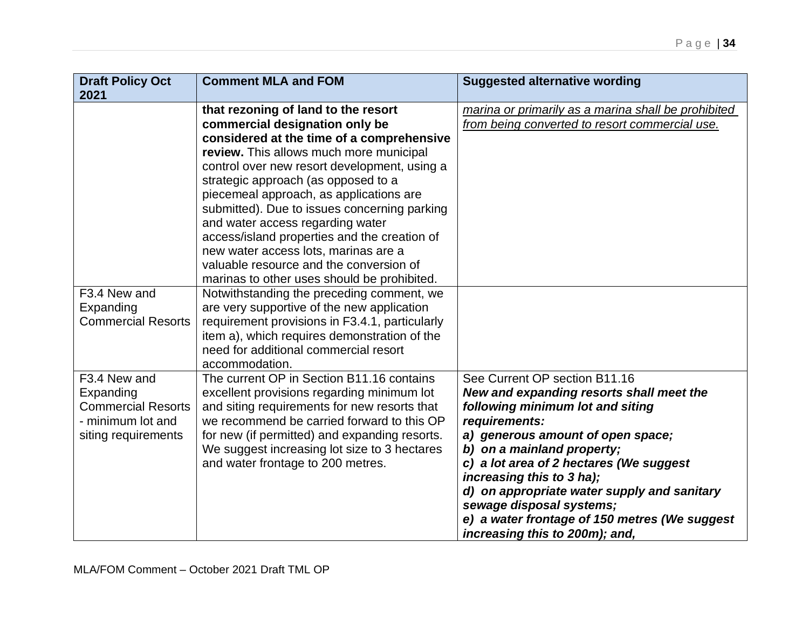| <b>Comment MLA and FOM</b>                | <b>Suggested alternative wording</b>                                                                                                                                                                                                                                                                                                                                                                                                                                                                                                                                                                                                                                                                                                                                                               |
|-------------------------------------------|----------------------------------------------------------------------------------------------------------------------------------------------------------------------------------------------------------------------------------------------------------------------------------------------------------------------------------------------------------------------------------------------------------------------------------------------------------------------------------------------------------------------------------------------------------------------------------------------------------------------------------------------------------------------------------------------------------------------------------------------------------------------------------------------------|
|                                           | marina or primarily as a marina shall be prohibited                                                                                                                                                                                                                                                                                                                                                                                                                                                                                                                                                                                                                                                                                                                                                |
| commercial designation only be            | from being converted to resort commercial use.                                                                                                                                                                                                                                                                                                                                                                                                                                                                                                                                                                                                                                                                                                                                                     |
| considered at the time of a comprehensive |                                                                                                                                                                                                                                                                                                                                                                                                                                                                                                                                                                                                                                                                                                                                                                                                    |
| review. This allows much more municipal   |                                                                                                                                                                                                                                                                                                                                                                                                                                                                                                                                                                                                                                                                                                                                                                                                    |
|                                           |                                                                                                                                                                                                                                                                                                                                                                                                                                                                                                                                                                                                                                                                                                                                                                                                    |
|                                           |                                                                                                                                                                                                                                                                                                                                                                                                                                                                                                                                                                                                                                                                                                                                                                                                    |
|                                           |                                                                                                                                                                                                                                                                                                                                                                                                                                                                                                                                                                                                                                                                                                                                                                                                    |
|                                           |                                                                                                                                                                                                                                                                                                                                                                                                                                                                                                                                                                                                                                                                                                                                                                                                    |
|                                           |                                                                                                                                                                                                                                                                                                                                                                                                                                                                                                                                                                                                                                                                                                                                                                                                    |
| new water access lots, marinas are a      |                                                                                                                                                                                                                                                                                                                                                                                                                                                                                                                                                                                                                                                                                                                                                                                                    |
| valuable resource and the conversion of   |                                                                                                                                                                                                                                                                                                                                                                                                                                                                                                                                                                                                                                                                                                                                                                                                    |
|                                           |                                                                                                                                                                                                                                                                                                                                                                                                                                                                                                                                                                                                                                                                                                                                                                                                    |
|                                           |                                                                                                                                                                                                                                                                                                                                                                                                                                                                                                                                                                                                                                                                                                                                                                                                    |
|                                           |                                                                                                                                                                                                                                                                                                                                                                                                                                                                                                                                                                                                                                                                                                                                                                                                    |
|                                           |                                                                                                                                                                                                                                                                                                                                                                                                                                                                                                                                                                                                                                                                                                                                                                                                    |
| need for additional commercial resort     |                                                                                                                                                                                                                                                                                                                                                                                                                                                                                                                                                                                                                                                                                                                                                                                                    |
| accommodation.                            |                                                                                                                                                                                                                                                                                                                                                                                                                                                                                                                                                                                                                                                                                                                                                                                                    |
| The current OP in Section B11.16 contains | See Current OP section B11.16                                                                                                                                                                                                                                                                                                                                                                                                                                                                                                                                                                                                                                                                                                                                                                      |
|                                           | New and expanding resorts shall meet the                                                                                                                                                                                                                                                                                                                                                                                                                                                                                                                                                                                                                                                                                                                                                           |
|                                           | following minimum lot and siting                                                                                                                                                                                                                                                                                                                                                                                                                                                                                                                                                                                                                                                                                                                                                                   |
|                                           | requirements:<br>a) generous amount of open space;                                                                                                                                                                                                                                                                                                                                                                                                                                                                                                                                                                                                                                                                                                                                                 |
|                                           | b) on a mainland property;                                                                                                                                                                                                                                                                                                                                                                                                                                                                                                                                                                                                                                                                                                                                                                         |
| and water frontage to 200 metres.         | c) a lot area of 2 hectares (We suggest                                                                                                                                                                                                                                                                                                                                                                                                                                                                                                                                                                                                                                                                                                                                                            |
|                                           | increasing this to 3 ha);                                                                                                                                                                                                                                                                                                                                                                                                                                                                                                                                                                                                                                                                                                                                                                          |
|                                           | d) on appropriate water supply and sanitary                                                                                                                                                                                                                                                                                                                                                                                                                                                                                                                                                                                                                                                                                                                                                        |
|                                           | sewage disposal systems;                                                                                                                                                                                                                                                                                                                                                                                                                                                                                                                                                                                                                                                                                                                                                                           |
|                                           | e) a water frontage of 150 metres (We suggest<br>increasing this to 200m); and,                                                                                                                                                                                                                                                                                                                                                                                                                                                                                                                                                                                                                                                                                                                    |
|                                           | that rezoning of land to the resort<br>control over new resort development, using a<br>strategic approach (as opposed to a<br>piecemeal approach, as applications are<br>submitted). Due to issues concerning parking<br>and water access regarding water<br>access/island properties and the creation of<br>marinas to other uses should be prohibited.<br>Notwithstanding the preceding comment, we<br>are very supportive of the new application<br>requirement provisions in F3.4.1, particularly<br>item a), which requires demonstration of the<br>excellent provisions regarding minimum lot<br>and siting requirements for new resorts that<br>we recommend be carried forward to this OP<br>for new (if permitted) and expanding resorts.<br>We suggest increasing lot size to 3 hectares |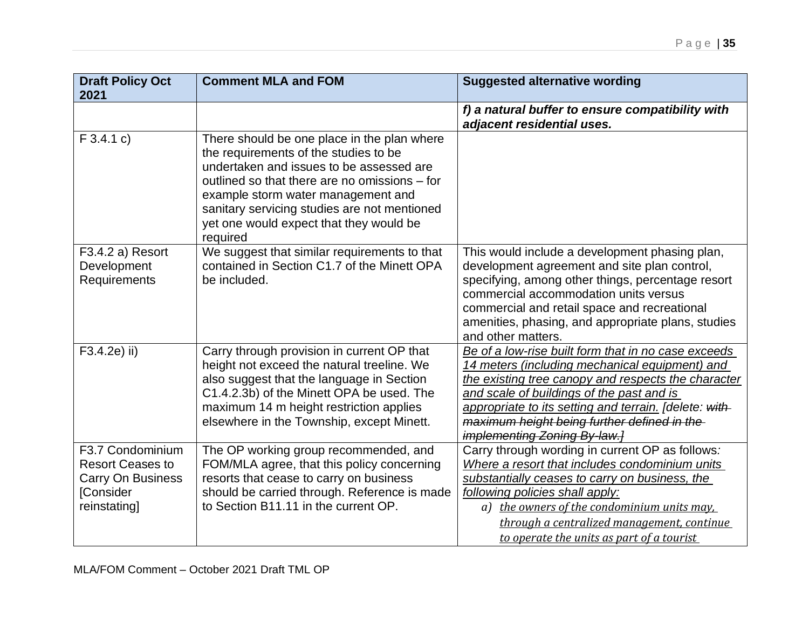| <b>Draft Policy Oct</b><br>2021                                                                      | <b>Comment MLA and FOM</b>                                                                                                                                                                                                                                                                                                     | <b>Suggested alternative wording</b>                                                                                                                                                                                                                                                                                                                      |
|------------------------------------------------------------------------------------------------------|--------------------------------------------------------------------------------------------------------------------------------------------------------------------------------------------------------------------------------------------------------------------------------------------------------------------------------|-----------------------------------------------------------------------------------------------------------------------------------------------------------------------------------------------------------------------------------------------------------------------------------------------------------------------------------------------------------|
|                                                                                                      |                                                                                                                                                                                                                                                                                                                                | f) a natural buffer to ensure compatibility with<br>adjacent residential uses.                                                                                                                                                                                                                                                                            |
| $F$ 3.4.1 c)                                                                                         | There should be one place in the plan where<br>the requirements of the studies to be<br>undertaken and issues to be assessed are<br>outlined so that there are no omissions – for<br>example storm water management and<br>sanitary servicing studies are not mentioned<br>yet one would expect that they would be<br>required |                                                                                                                                                                                                                                                                                                                                                           |
| F3.4.2 a) Resort<br>Development<br>Requirements                                                      | We suggest that similar requirements to that<br>contained in Section C1.7 of the Minett OPA<br>be included.                                                                                                                                                                                                                    | This would include a development phasing plan,<br>development agreement and site plan control,<br>specifying, among other things, percentage resort<br>commercial accommodation units versus<br>commercial and retail space and recreational<br>amenities, phasing, and appropriate plans, studies<br>and other matters.                                  |
| F3.4.2e) ii)                                                                                         | Carry through provision in current OP that<br>height not exceed the natural treeline. We<br>also suggest that the language in Section<br>C1.4.2.3b) of the Minett OPA be used. The<br>maximum 14 m height restriction applies<br>elsewhere in the Township, except Minett.                                                     | Be of a low-rise built form that in no case exceeds<br>14 meters (including mechanical equipment) and<br>the existing tree canopy and respects the character<br>and scale of buildings of the past and is<br>appropriate to its setting and terrain. [delete: with-<br>maximum height being further defined in the<br><i>implementing Zoning By-law.]</i> |
| F3.7 Condominium<br><b>Resort Ceases to</b><br><b>Carry On Business</b><br>[Consider<br>reinstating] | The OP working group recommended, and<br>FOM/MLA agree, that this policy concerning<br>resorts that cease to carry on business<br>should be carried through. Reference is made<br>to Section B11.11 in the current OP.                                                                                                         | Carry through wording in current OP as follows:<br>Where a resort that includes condominium units<br>substantially ceases to carry on business, the<br>following policies shall apply:<br>a) the owners of the condominium units may.<br>through a centralized management, continue<br>to operate the units as part of a tourist                          |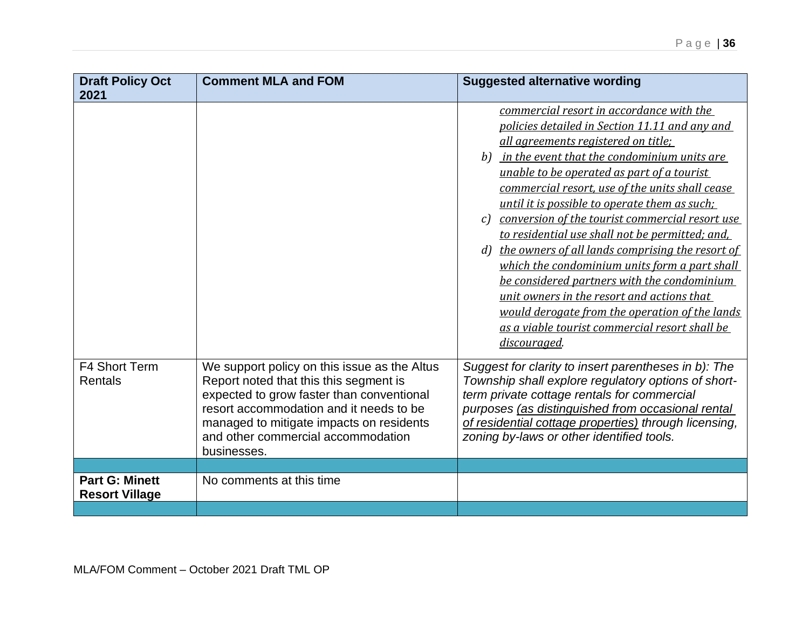| <b>Draft Policy Oct</b><br>2021                | <b>Comment MLA and FOM</b>                                                                                                                                                                                                                                                      | <b>Suggested alternative wording</b>                                                                                                                                                                                                                                                                                                                                                                                                                                                                                                                                                                                                                                                                                                                                                   |
|------------------------------------------------|---------------------------------------------------------------------------------------------------------------------------------------------------------------------------------------------------------------------------------------------------------------------------------|----------------------------------------------------------------------------------------------------------------------------------------------------------------------------------------------------------------------------------------------------------------------------------------------------------------------------------------------------------------------------------------------------------------------------------------------------------------------------------------------------------------------------------------------------------------------------------------------------------------------------------------------------------------------------------------------------------------------------------------------------------------------------------------|
|                                                |                                                                                                                                                                                                                                                                                 | commercial resort in accordance with the<br>policies detailed in Section 11.11 and any and<br>all agreements registered on title;<br>b) in the event that the condominium units are<br>unable to be operated as part of a tourist<br>commercial resort, use of the units shall cease<br>until it is possible to operate them as such;<br>conversion of the tourist commercial resort use<br>c <sub>l</sub><br>to residential use shall not be permitted; and,<br>d) the owners of all lands comprising the resort of<br>which the condominium units form a part shall<br>be considered partners with the condominium<br>unit owners in the resort and actions that<br>would derogate from the operation of the lands<br>as a viable tourist commercial resort shall be<br>discouraged. |
| F4 Short Term<br>Rentals                       | We support policy on this issue as the Altus<br>Report noted that this this segment is<br>expected to grow faster than conventional<br>resort accommodation and it needs to be<br>managed to mitigate impacts on residents<br>and other commercial accommodation<br>businesses. | Suggest for clarity to insert parentheses in b): The<br>Township shall explore regulatory options of short-<br>term private cottage rentals for commercial<br>purposes (as distinguished from occasional rental<br>of residential cottage properties) through licensing,<br>zoning by-laws or other identified tools.                                                                                                                                                                                                                                                                                                                                                                                                                                                                  |
|                                                |                                                                                                                                                                                                                                                                                 |                                                                                                                                                                                                                                                                                                                                                                                                                                                                                                                                                                                                                                                                                                                                                                                        |
| <b>Part G: Minett</b><br><b>Resort Village</b> | No comments at this time                                                                                                                                                                                                                                                        |                                                                                                                                                                                                                                                                                                                                                                                                                                                                                                                                                                                                                                                                                                                                                                                        |
|                                                |                                                                                                                                                                                                                                                                                 |                                                                                                                                                                                                                                                                                                                                                                                                                                                                                                                                                                                                                                                                                                                                                                                        |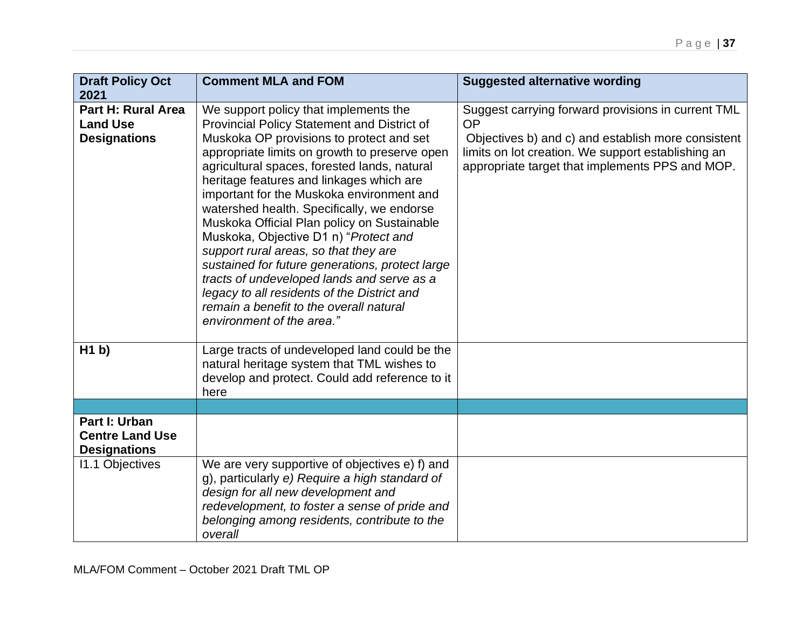| <b>Draft Policy Oct</b><br>2021                                     | <b>Comment MLA and FOM</b>                                                                                                                                                                                                                                                                                                                                                                                                                                                                                                                                                                                                                                                                                                        | <b>Suggested alternative wording</b>                                                                                                                                                                                           |
|---------------------------------------------------------------------|-----------------------------------------------------------------------------------------------------------------------------------------------------------------------------------------------------------------------------------------------------------------------------------------------------------------------------------------------------------------------------------------------------------------------------------------------------------------------------------------------------------------------------------------------------------------------------------------------------------------------------------------------------------------------------------------------------------------------------------|--------------------------------------------------------------------------------------------------------------------------------------------------------------------------------------------------------------------------------|
| <b>Part H: Rural Area</b><br><b>Land Use</b><br><b>Designations</b> | We support policy that implements the<br>Provincial Policy Statement and District of<br>Muskoka OP provisions to protect and set<br>appropriate limits on growth to preserve open<br>agricultural spaces, forested lands, natural<br>heritage features and linkages which are<br>important for the Muskoka environment and<br>watershed health. Specifically, we endorse<br>Muskoka Official Plan policy on Sustainable<br>Muskoka, Objective D1 n) "Protect and<br>support rural areas, so that they are<br>sustained for future generations, protect large<br>tracts of undeveloped lands and serve as a<br>legacy to all residents of the District and<br>remain a benefit to the overall natural<br>environment of the area." | Suggest carrying forward provisions in current TML<br><b>OP</b><br>Objectives b) and c) and establish more consistent<br>limits on lot creation. We support establishing an<br>appropriate target that implements PPS and MOP. |
| H1 b                                                                | Large tracts of undeveloped land could be the<br>natural heritage system that TML wishes to<br>develop and protect. Could add reference to it<br>here                                                                                                                                                                                                                                                                                                                                                                                                                                                                                                                                                                             |                                                                                                                                                                                                                                |
|                                                                     |                                                                                                                                                                                                                                                                                                                                                                                                                                                                                                                                                                                                                                                                                                                                   |                                                                                                                                                                                                                                |
| Part I: Urban<br><b>Centre Land Use</b><br><b>Designations</b>      |                                                                                                                                                                                                                                                                                                                                                                                                                                                                                                                                                                                                                                                                                                                                   |                                                                                                                                                                                                                                |
| 11.1 Objectives                                                     | We are very supportive of objectives e) f) and<br>g), particularly e) Require a high standard of<br>design for all new development and<br>redevelopment, to foster a sense of pride and<br>belonging among residents, contribute to the<br>overall                                                                                                                                                                                                                                                                                                                                                                                                                                                                                |                                                                                                                                                                                                                                |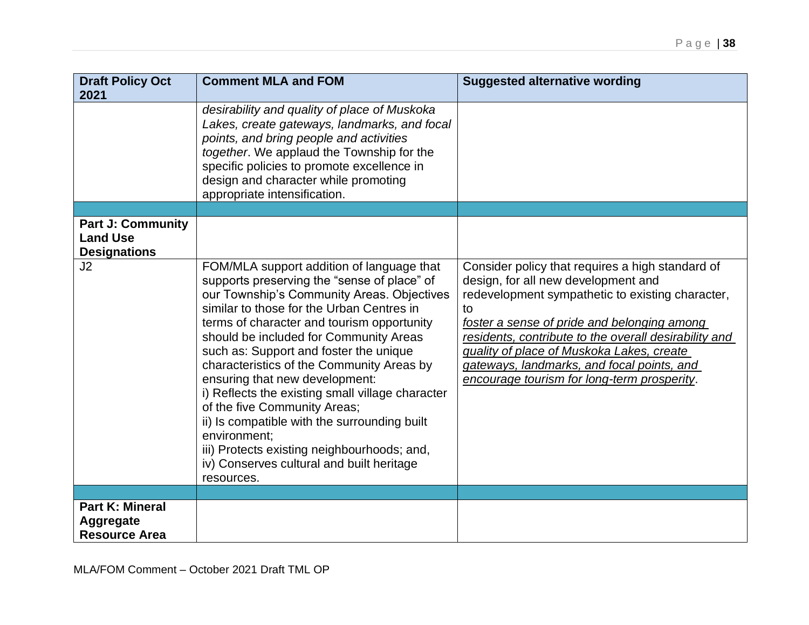| <b>Draft Policy Oct</b><br>2021                                    | <b>Comment MLA and FOM</b>                                                                                                                                                                                                                                                                                                                                                                                                                                                                                                                                                                                                                                         | <b>Suggested alternative wording</b>                                                                                                                                                                                                                                                                                                                                                                |
|--------------------------------------------------------------------|--------------------------------------------------------------------------------------------------------------------------------------------------------------------------------------------------------------------------------------------------------------------------------------------------------------------------------------------------------------------------------------------------------------------------------------------------------------------------------------------------------------------------------------------------------------------------------------------------------------------------------------------------------------------|-----------------------------------------------------------------------------------------------------------------------------------------------------------------------------------------------------------------------------------------------------------------------------------------------------------------------------------------------------------------------------------------------------|
|                                                                    | desirability and quality of place of Muskoka<br>Lakes, create gateways, landmarks, and focal<br>points, and bring people and activities<br>together. We applaud the Township for the<br>specific policies to promote excellence in<br>design and character while promoting<br>appropriate intensification.                                                                                                                                                                                                                                                                                                                                                         |                                                                                                                                                                                                                                                                                                                                                                                                     |
|                                                                    |                                                                                                                                                                                                                                                                                                                                                                                                                                                                                                                                                                                                                                                                    |                                                                                                                                                                                                                                                                                                                                                                                                     |
| <b>Part J: Community</b><br><b>Land Use</b><br><b>Designations</b> |                                                                                                                                                                                                                                                                                                                                                                                                                                                                                                                                                                                                                                                                    |                                                                                                                                                                                                                                                                                                                                                                                                     |
| J2                                                                 | FOM/MLA support addition of language that<br>supports preserving the "sense of place" of<br>our Township's Community Areas. Objectives<br>similar to those for the Urban Centres in<br>terms of character and tourism opportunity<br>should be included for Community Areas<br>such as: Support and foster the unique<br>characteristics of the Community Areas by<br>ensuring that new development:<br>i) Reflects the existing small village character<br>of the five Community Areas;<br>ii) Is compatible with the surrounding built<br>environment:<br>iii) Protects existing neighbourhoods; and,<br>iv) Conserves cultural and built heritage<br>resources. | Consider policy that requires a high standard of<br>design, for all new development and<br>redevelopment sympathetic to existing character,<br>to<br>foster a sense of pride and belonging among<br>residents, contribute to the overall desirability and<br>quality of place of Muskoka Lakes, create<br>gateways, landmarks, and focal points, and<br>encourage tourism for long-term prosperity. |
|                                                                    |                                                                                                                                                                                                                                                                                                                                                                                                                                                                                                                                                                                                                                                                    |                                                                                                                                                                                                                                                                                                                                                                                                     |
| <b>Part K: Mineral</b><br>Aggregate<br><b>Resource Area</b>        |                                                                                                                                                                                                                                                                                                                                                                                                                                                                                                                                                                                                                                                                    |                                                                                                                                                                                                                                                                                                                                                                                                     |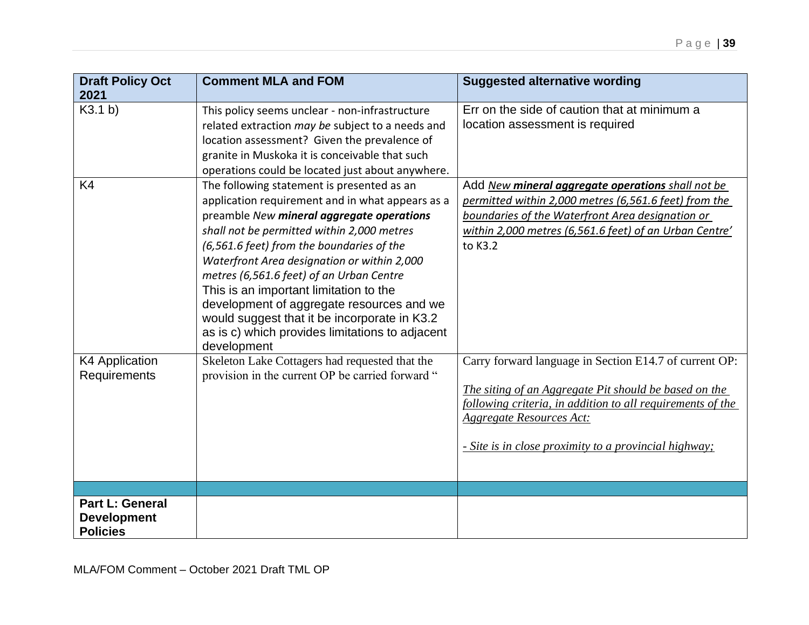| <b>Draft Policy Oct</b><br>2021              | <b>Comment MLA and FOM</b>                                                                                                                                                                                                                                                                                                                                                                                                                                                                                                                 | <b>Suggested alternative wording</b>                                                                                                                                                                                                                                      |
|----------------------------------------------|--------------------------------------------------------------------------------------------------------------------------------------------------------------------------------------------------------------------------------------------------------------------------------------------------------------------------------------------------------------------------------------------------------------------------------------------------------------------------------------------------------------------------------------------|---------------------------------------------------------------------------------------------------------------------------------------------------------------------------------------------------------------------------------------------------------------------------|
| K3.1 b)                                      | This policy seems unclear - non-infrastructure<br>related extraction may be subject to a needs and<br>location assessment? Given the prevalence of<br>granite in Muskoka it is conceivable that such<br>operations could be located just about anywhere.                                                                                                                                                                                                                                                                                   | Err on the side of caution that at minimum a<br>location assessment is required                                                                                                                                                                                           |
| K4                                           | The following statement is presented as an<br>application requirement and in what appears as a<br>preamble New mineral aggregate operations<br>shall not be permitted within 2,000 metres<br>(6,561.6 feet) from the boundaries of the<br>Waterfront Area designation or within 2,000<br>metres (6,561.6 feet) of an Urban Centre<br>This is an important limitation to the<br>development of aggregate resources and we<br>would suggest that it be incorporate in K3.2<br>as is c) which provides limitations to adjacent<br>development | Add New mineral aggregate operations shall not be<br>permitted within 2,000 metres (6,561.6 feet) from the<br>boundaries of the Waterfront Area designation or<br>within 2,000 metres (6,561.6 feet) of an Urban Centre'<br>to K3.2                                       |
| K4 Application<br>Requirements               | Skeleton Lake Cottagers had requested that the<br>provision in the current OP be carried forward "                                                                                                                                                                                                                                                                                                                                                                                                                                         | Carry forward language in Section E14.7 of current OP:<br>The siting of an Aggregate Pit should be based on the<br>following criteria, in addition to all requirements of the<br><b>Aggregate Resources Act:</b><br>- Site is in close proximity to a provincial highway; |
| <b>Part L: General</b><br><b>Development</b> |                                                                                                                                                                                                                                                                                                                                                                                                                                                                                                                                            |                                                                                                                                                                                                                                                                           |
| <b>Policies</b>                              |                                                                                                                                                                                                                                                                                                                                                                                                                                                                                                                                            |                                                                                                                                                                                                                                                                           |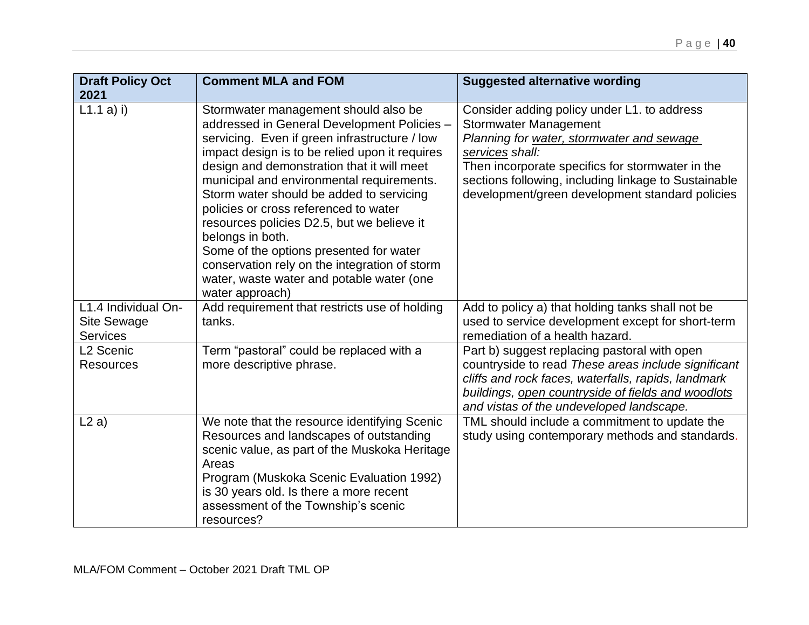| <b>Draft Policy Oct</b><br>2021                              | <b>Comment MLA and FOM</b>                                                                                                                                                                                                                                                                                                                                                                                                                                                                                                                                                                           | <b>Suggested alternative wording</b>                                                                                                                                                                                                                                                                       |
|--------------------------------------------------------------|------------------------------------------------------------------------------------------------------------------------------------------------------------------------------------------------------------------------------------------------------------------------------------------------------------------------------------------------------------------------------------------------------------------------------------------------------------------------------------------------------------------------------------------------------------------------------------------------------|------------------------------------------------------------------------------------------------------------------------------------------------------------------------------------------------------------------------------------------------------------------------------------------------------------|
| L1.1 a) i)                                                   | Stormwater management should also be<br>addressed in General Development Policies -<br>servicing. Even if green infrastructure / low<br>impact design is to be relied upon it requires<br>design and demonstration that it will meet<br>municipal and environmental requirements.<br>Storm water should be added to servicing<br>policies or cross referenced to water<br>resources policies D2.5, but we believe it<br>belongs in both.<br>Some of the options presented for water<br>conservation rely on the integration of storm<br>water, waste water and potable water (one<br>water approach) | Consider adding policy under L1. to address<br><b>Stormwater Management</b><br>Planning for water, stormwater and sewage<br>services shall:<br>Then incorporate specifics for stormwater in the<br>sections following, including linkage to Sustainable<br>development/green development standard policies |
| L1.4 Individual On-<br><b>Site Sewage</b><br><b>Services</b> | Add requirement that restricts use of holding<br>tanks.                                                                                                                                                                                                                                                                                                                                                                                                                                                                                                                                              | Add to policy a) that holding tanks shall not be<br>used to service development except for short-term<br>remediation of a health hazard.                                                                                                                                                                   |
| L <sub>2</sub> Scenic<br><b>Resources</b>                    | Term "pastoral" could be replaced with a<br>more descriptive phrase.                                                                                                                                                                                                                                                                                                                                                                                                                                                                                                                                 | Part b) suggest replacing pastoral with open<br>countryside to read These areas include significant<br>cliffs and rock faces, waterfalls, rapids, landmark<br>buildings, open countryside of fields and woodlots<br>and vistas of the undeveloped landscape.                                               |
| L2a)                                                         | We note that the resource identifying Scenic<br>Resources and landscapes of outstanding<br>scenic value, as part of the Muskoka Heritage<br>Areas<br>Program (Muskoka Scenic Evaluation 1992)<br>is 30 years old. Is there a more recent<br>assessment of the Township's scenic<br>resources?                                                                                                                                                                                                                                                                                                        | TML should include a commitment to update the<br>study using contemporary methods and standards.                                                                                                                                                                                                           |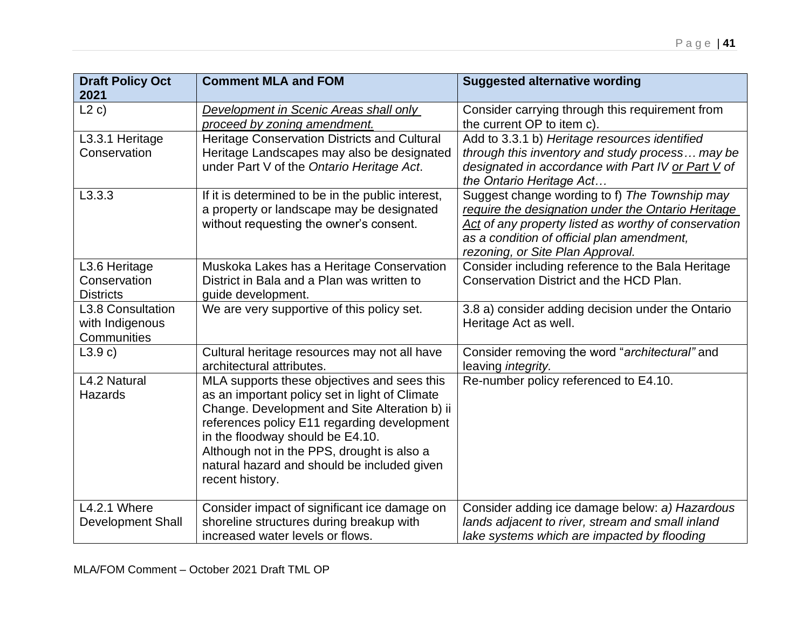| <b>Draft Policy Oct</b><br>2021                     | <b>Comment MLA and FOM</b>                                                                                                                                                                                                                                                                                                                        | <b>Suggested alternative wording</b>                                                                                                                                                                                                          |
|-----------------------------------------------------|---------------------------------------------------------------------------------------------------------------------------------------------------------------------------------------------------------------------------------------------------------------------------------------------------------------------------------------------------|-----------------------------------------------------------------------------------------------------------------------------------------------------------------------------------------------------------------------------------------------|
| L2c)                                                | Development in Scenic Areas shall only<br>proceed by zoning amendment.                                                                                                                                                                                                                                                                            | Consider carrying through this requirement from<br>the current OP to item c).                                                                                                                                                                 |
| L3.3.1 Heritage<br>Conservation                     | <b>Heritage Conservation Districts and Cultural</b><br>Heritage Landscapes may also be designated<br>under Part V of the Ontario Heritage Act.                                                                                                                                                                                                    | Add to 3.3.1 b) Heritage resources identified<br>through this inventory and study process may be<br>designated in accordance with Part IV or Part V of<br>the Ontario Heritage Act                                                            |
| L3.3.3                                              | If it is determined to be in the public interest,<br>a property or landscape may be designated<br>without requesting the owner's consent.                                                                                                                                                                                                         | Suggest change wording to f) The Township may<br>require the designation under the Ontario Heritage<br>Act of any property listed as worthy of conservation<br>as a condition of official plan amendment,<br>rezoning, or Site Plan Approval. |
| L3.6 Heritage<br>Conservation<br><b>Districts</b>   | Muskoka Lakes has a Heritage Conservation<br>District in Bala and a Plan was written to<br>guide development.                                                                                                                                                                                                                                     | Consider including reference to the Bala Heritage<br>Conservation District and the HCD Plan.                                                                                                                                                  |
| L3.8 Consultation<br>with Indigenous<br>Communities | We are very supportive of this policy set.                                                                                                                                                                                                                                                                                                        | 3.8 a) consider adding decision under the Ontario<br>Heritage Act as well.                                                                                                                                                                    |
| L3.9c)                                              | Cultural heritage resources may not all have<br>architectural attributes.                                                                                                                                                                                                                                                                         | Consider removing the word "architectural" and<br>leaving integrity.                                                                                                                                                                          |
| L4.2 Natural<br>Hazards                             | MLA supports these objectives and sees this<br>as an important policy set in light of Climate<br>Change. Development and Site Alteration b) ii<br>references policy E11 regarding development<br>in the floodway should be E4.10.<br>Although not in the PPS, drought is also a<br>natural hazard and should be included given<br>recent history. | Re-number policy referenced to E4.10.                                                                                                                                                                                                         |
| <b>L4.2.1 Where</b><br><b>Development Shall</b>     | Consider impact of significant ice damage on<br>shoreline structures during breakup with<br>increased water levels or flows.                                                                                                                                                                                                                      | Consider adding ice damage below: a) Hazardous<br>lands adjacent to river, stream and small inland<br>lake systems which are impacted by flooding                                                                                             |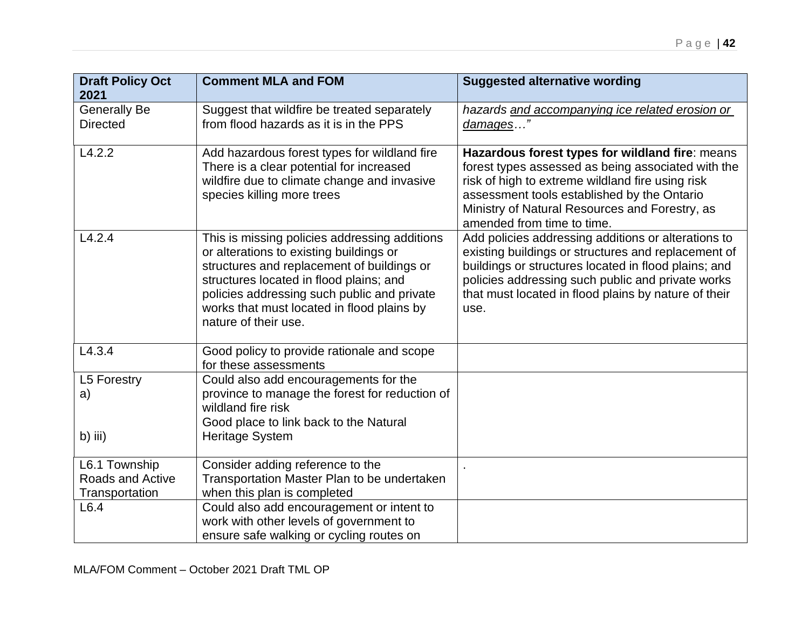| <b>Draft Policy Oct</b><br>2021                            | <b>Comment MLA and FOM</b>                                                                                                                                                                                                                                                                             | <b>Suggested alternative wording</b>                                                                                                                                                                                                                                                     |
|------------------------------------------------------------|--------------------------------------------------------------------------------------------------------------------------------------------------------------------------------------------------------------------------------------------------------------------------------------------------------|------------------------------------------------------------------------------------------------------------------------------------------------------------------------------------------------------------------------------------------------------------------------------------------|
| <b>Generally Be</b><br><b>Directed</b>                     | Suggest that wildfire be treated separately<br>from flood hazards as it is in the PPS                                                                                                                                                                                                                  | hazards and accompanying ice related erosion or<br>damages"                                                                                                                                                                                                                              |
| L4.2.2                                                     | Add hazardous forest types for wildland fire<br>There is a clear potential for increased<br>wildfire due to climate change and invasive<br>species killing more trees                                                                                                                                  | Hazardous forest types for wildland fire: means<br>forest types assessed as being associated with the<br>risk of high to extreme wildland fire using risk<br>assessment tools established by the Ontario<br>Ministry of Natural Resources and Forestry, as<br>amended from time to time. |
| L4.2.4                                                     | This is missing policies addressing additions<br>or alterations to existing buildings or<br>structures and replacement of buildings or<br>structures located in flood plains; and<br>policies addressing such public and private<br>works that must located in flood plains by<br>nature of their use. | Add policies addressing additions or alterations to<br>existing buildings or structures and replacement of<br>buildings or structures located in flood plains; and<br>policies addressing such public and private works<br>that must located in flood plains by nature of their<br>use.  |
| L4.3.4                                                     | Good policy to provide rationale and scope<br>for these assessments                                                                                                                                                                                                                                    |                                                                                                                                                                                                                                                                                          |
| L5 Forestry<br>a)                                          | Could also add encouragements for the<br>province to manage the forest for reduction of<br>wildland fire risk<br>Good place to link back to the Natural                                                                                                                                                |                                                                                                                                                                                                                                                                                          |
| b) iii)                                                    | Heritage System                                                                                                                                                                                                                                                                                        |                                                                                                                                                                                                                                                                                          |
| L6.1 Township<br><b>Roads and Active</b><br>Transportation | Consider adding reference to the<br>Transportation Master Plan to be undertaken<br>when this plan is completed                                                                                                                                                                                         |                                                                                                                                                                                                                                                                                          |
| L6.4                                                       | Could also add encouragement or intent to<br>work with other levels of government to<br>ensure safe walking or cycling routes on                                                                                                                                                                       |                                                                                                                                                                                                                                                                                          |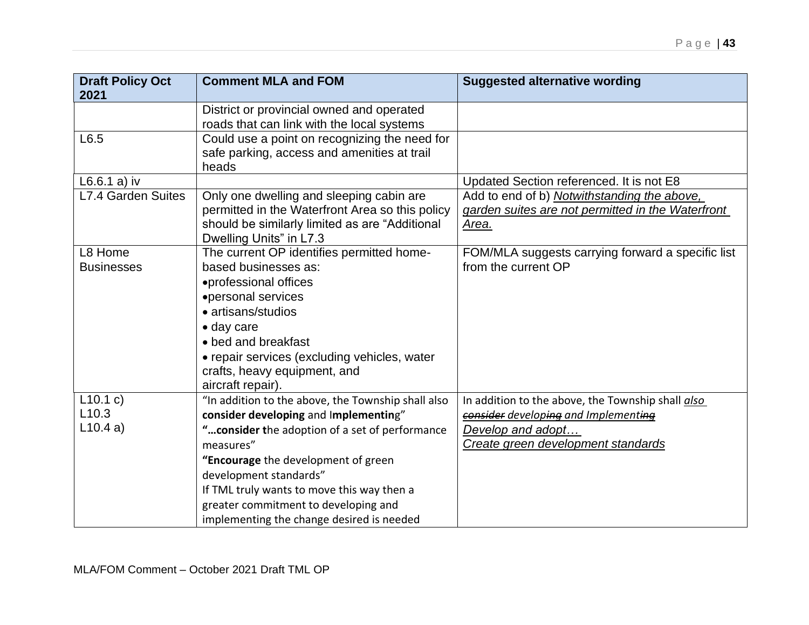| <b>Draft Policy Oct</b><br>2021 | <b>Comment MLA and FOM</b>                                                                                                                                                                                                                                                               | <b>Suggested alternative wording</b>                                                                      |
|---------------------------------|------------------------------------------------------------------------------------------------------------------------------------------------------------------------------------------------------------------------------------------------------------------------------------------|-----------------------------------------------------------------------------------------------------------|
|                                 | District or provincial owned and operated<br>roads that can link with the local systems                                                                                                                                                                                                  |                                                                                                           |
| L6.5                            | Could use a point on recognizing the need for<br>safe parking, access and amenities at trail<br>heads                                                                                                                                                                                    |                                                                                                           |
| $L6.6.1$ a) iv                  |                                                                                                                                                                                                                                                                                          | Updated Section referenced. It is not E8                                                                  |
| L7.4 Garden Suites              | Only one dwelling and sleeping cabin are<br>permitted in the Waterfront Area so this policy<br>should be similarly limited as are "Additional<br>Dwelling Units" in L7.3                                                                                                                 | Add to end of b) Notwithstanding the above,<br>garden suites are not permitted in the Waterfront<br>Area. |
| L8 Home<br><b>Businesses</b>    | The current OP identifies permitted home-<br>based businesses as:<br>•professional offices<br>•personal services<br>• artisans/studios<br>$\bullet$ day care<br>• bed and breakfast<br>• repair services (excluding vehicles, water<br>crafts, heavy equipment, and<br>aircraft repair). | FOM/MLA suggests carrying forward a specific list<br>from the current OP                                  |
| L10.1 c)                        | "In addition to the above, the Township shall also                                                                                                                                                                                                                                       | In addition to the above, the Township shall also                                                         |
| L <sub>10.3</sub>               | consider developing and Implementing"                                                                                                                                                                                                                                                    | consider developing and Implementing                                                                      |
| L10.4a)                         | " consider the adoption of a set of performance                                                                                                                                                                                                                                          | Develop and adopt                                                                                         |
|                                 | measures"                                                                                                                                                                                                                                                                                | Create green development standards                                                                        |
|                                 | "Encourage the development of green                                                                                                                                                                                                                                                      |                                                                                                           |
|                                 | development standards"                                                                                                                                                                                                                                                                   |                                                                                                           |
|                                 | If TML truly wants to move this way then a                                                                                                                                                                                                                                               |                                                                                                           |
|                                 | greater commitment to developing and                                                                                                                                                                                                                                                     |                                                                                                           |
|                                 | implementing the change desired is needed                                                                                                                                                                                                                                                |                                                                                                           |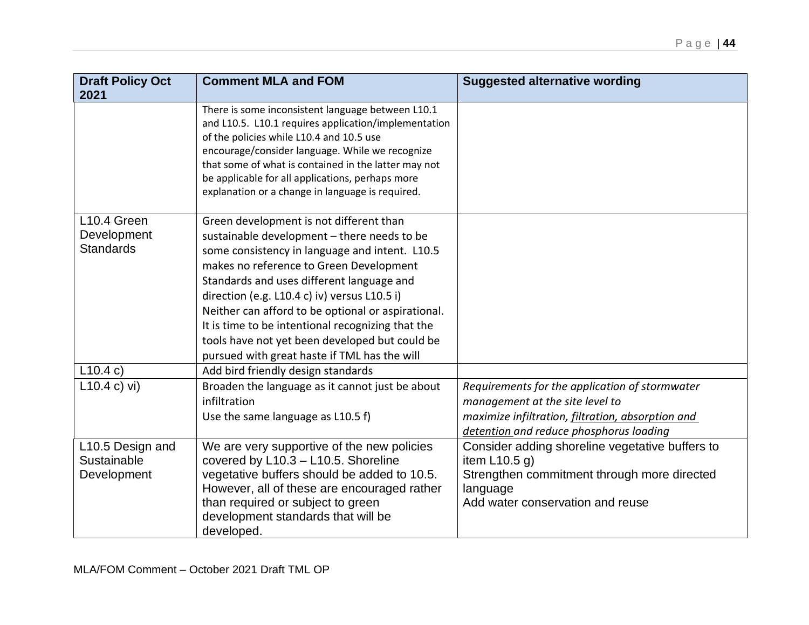| <b>Draft Policy Oct</b><br>2021                | <b>Comment MLA and FOM</b>                                                                                                                                                                                                                                                                                                                                                                                                                                                                    | <b>Suggested alternative wording</b>                                                                                                                                              |
|------------------------------------------------|-----------------------------------------------------------------------------------------------------------------------------------------------------------------------------------------------------------------------------------------------------------------------------------------------------------------------------------------------------------------------------------------------------------------------------------------------------------------------------------------------|-----------------------------------------------------------------------------------------------------------------------------------------------------------------------------------|
|                                                | There is some inconsistent language between L10.1<br>and L10.5. L10.1 requires application/implementation<br>of the policies while L10.4 and 10.5 use<br>encourage/consider language. While we recognize<br>that some of what is contained in the latter may not<br>be applicable for all applications, perhaps more<br>explanation or a change in language is required.                                                                                                                      |                                                                                                                                                                                   |
| L10.4 Green<br>Development<br><b>Standards</b> | Green development is not different than<br>sustainable development - there needs to be<br>some consistency in language and intent. L10.5<br>makes no reference to Green Development<br>Standards and uses different language and<br>direction (e.g. L10.4 c) iv) versus L10.5 i)<br>Neither can afford to be optional or aspirational.<br>It is time to be intentional recognizing that the<br>tools have not yet been developed but could be<br>pursued with great haste if TML has the will |                                                                                                                                                                                   |
| L10.4 c)                                       | Add bird friendly design standards                                                                                                                                                                                                                                                                                                                                                                                                                                                            |                                                                                                                                                                                   |
| L10.4 c) vi)                                   | Broaden the language as it cannot just be about<br>infiltration<br>Use the same language as L10.5 f)                                                                                                                                                                                                                                                                                                                                                                                          | Requirements for the application of stormwater<br>management at the site level to<br>maximize infiltration, filtration, absorption and<br>detention and reduce phosphorus loading |
| L10.5 Design and<br>Sustainable<br>Development | We are very supportive of the new policies<br>covered by L10.3 - L10.5. Shoreline<br>vegetative buffers should be added to 10.5.<br>However, all of these are encouraged rather<br>than required or subject to green<br>development standards that will be<br>developed.                                                                                                                                                                                                                      | Consider adding shoreline vegetative buffers to<br>item L10.5 $q$ )<br>Strengthen commitment through more directed<br>language<br>Add water conservation and reuse                |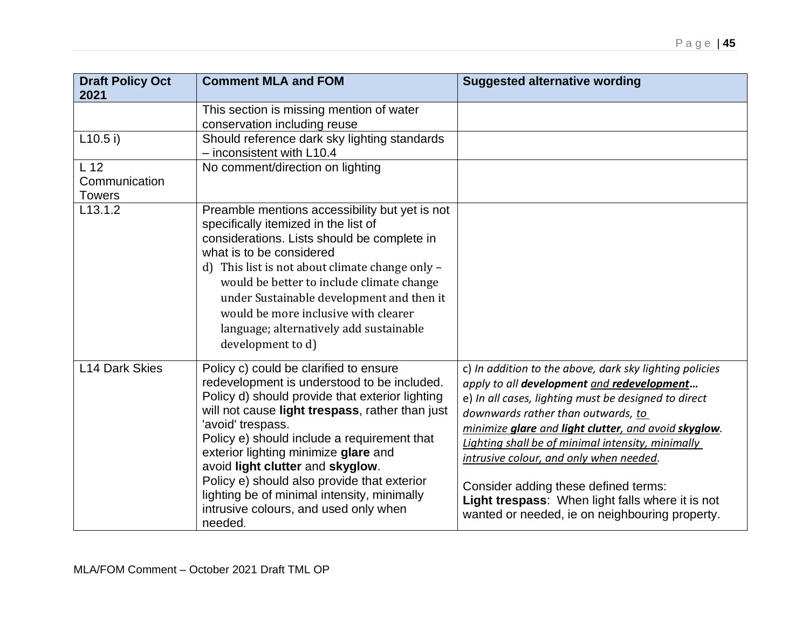| <b>Draft Policy Oct</b>        | <b>Comment MLA and FOM</b>                                                                                                                                                                                                                                                                                                                                                                                                                                                                    | <b>Suggested alternative wording</b>                                                                                                                                                                                                                                                                                                                                                                                                                                                                      |
|--------------------------------|-----------------------------------------------------------------------------------------------------------------------------------------------------------------------------------------------------------------------------------------------------------------------------------------------------------------------------------------------------------------------------------------------------------------------------------------------------------------------------------------------|-----------------------------------------------------------------------------------------------------------------------------------------------------------------------------------------------------------------------------------------------------------------------------------------------------------------------------------------------------------------------------------------------------------------------------------------------------------------------------------------------------------|
| 2021                           |                                                                                                                                                                                                                                                                                                                                                                                                                                                                                               |                                                                                                                                                                                                                                                                                                                                                                                                                                                                                                           |
|                                | This section is missing mention of water<br>conservation including reuse                                                                                                                                                                                                                                                                                                                                                                                                                      |                                                                                                                                                                                                                                                                                                                                                                                                                                                                                                           |
| L10.5 i)                       | Should reference dark sky lighting standards<br>$-$ inconsistent with L10.4                                                                                                                                                                                                                                                                                                                                                                                                                   |                                                                                                                                                                                                                                                                                                                                                                                                                                                                                                           |
| L <sub>12</sub>                | No comment/direction on lighting                                                                                                                                                                                                                                                                                                                                                                                                                                                              |                                                                                                                                                                                                                                                                                                                                                                                                                                                                                                           |
| Communication<br><b>Towers</b> |                                                                                                                                                                                                                                                                                                                                                                                                                                                                                               |                                                                                                                                                                                                                                                                                                                                                                                                                                                                                                           |
| L <sub>13.1.2</sub>            | Preamble mentions accessibility but yet is not<br>specifically itemized in the list of<br>considerations. Lists should be complete in<br>what is to be considered<br>d) This list is not about climate change only -<br>would be better to include climate change<br>under Sustainable development and then it<br>would be more inclusive with clearer<br>language; alternatively add sustainable<br>development to d)                                                                        |                                                                                                                                                                                                                                                                                                                                                                                                                                                                                                           |
| <b>L14 Dark Skies</b>          | Policy c) could be clarified to ensure<br>redevelopment is understood to be included.<br>Policy d) should provide that exterior lighting<br>will not cause light trespass, rather than just<br>'avoid' trespass.<br>Policy e) should include a requirement that<br>exterior lighting minimize glare and<br>avoid light clutter and skyglow.<br>Policy e) should also provide that exterior<br>lighting be of minimal intensity, minimally<br>intrusive colours, and used only when<br>needed. | c) In addition to the above, dark sky lighting policies<br>apply to all development and redevelopment<br>e) In all cases, lighting must be designed to direct<br>downwards rather than outwards, to<br>minimize glare and light clutter, and avoid skyglow.<br>Lighting shall be of minimal intensity, minimally<br>intrusive colour, and only when needed.<br>Consider adding these defined terms:<br>Light trespass: When light falls where it is not<br>wanted or needed, ie on neighbouring property. |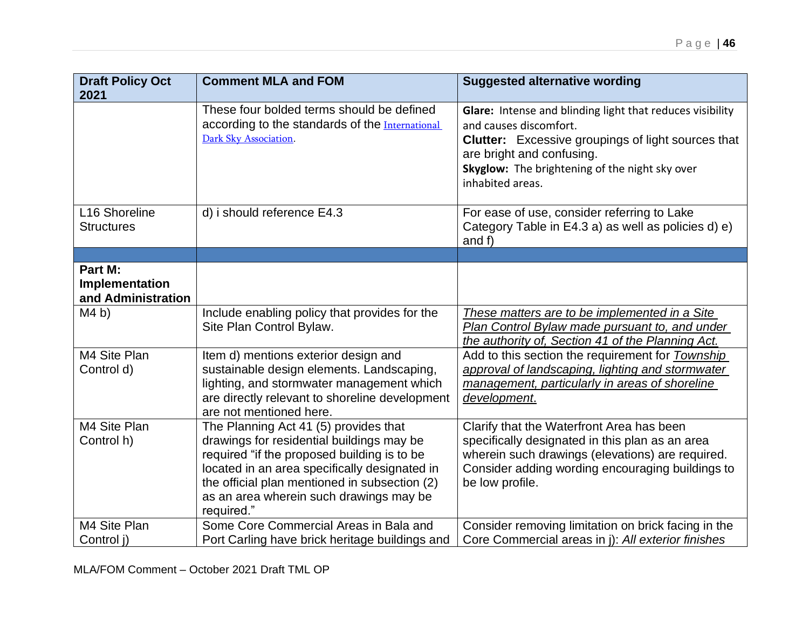| <b>Draft Policy Oct</b>                         | <b>Comment MLA and FOM</b>                                                                                                                                                                                                                                                                   | <b>Suggested alternative wording</b>                                                                                                                                                                                                                |
|-------------------------------------------------|----------------------------------------------------------------------------------------------------------------------------------------------------------------------------------------------------------------------------------------------------------------------------------------------|-----------------------------------------------------------------------------------------------------------------------------------------------------------------------------------------------------------------------------------------------------|
| 2021                                            | These four bolded terms should be defined<br>according to the standards of the International<br>Dark Sky Association.                                                                                                                                                                        | Glare: Intense and blinding light that reduces visibility<br>and causes discomfort.<br><b>Clutter:</b> Excessive groupings of light sources that<br>are bright and confusing.<br>Skyglow: The brightening of the night sky over<br>inhabited areas. |
| L16 Shoreline<br><b>Structures</b>              | d) i should reference E4.3                                                                                                                                                                                                                                                                   | For ease of use, consider referring to Lake<br>Category Table in E4.3 a) as well as policies d) e)<br>and f)                                                                                                                                        |
|                                                 |                                                                                                                                                                                                                                                                                              |                                                                                                                                                                                                                                                     |
| Part M:<br>Implementation<br>and Administration |                                                                                                                                                                                                                                                                                              |                                                                                                                                                                                                                                                     |
| M4 b)                                           | Include enabling policy that provides for the<br>Site Plan Control Bylaw.                                                                                                                                                                                                                    | These matters are to be implemented in a Site<br>Plan Control Bylaw made pursuant to, and under<br>the authority of, Section 41 of the Planning Act.                                                                                                |
| M4 Site Plan<br>Control d)                      | Item d) mentions exterior design and<br>sustainable design elements. Landscaping,<br>lighting, and stormwater management which<br>are directly relevant to shoreline development<br>are not mentioned here.                                                                                  | Add to this section the requirement for Township<br>approval of landscaping, lighting and stormwater<br>management, particularly in areas of shoreline<br>development.                                                                              |
| M4 Site Plan<br>Control h)                      | The Planning Act 41 (5) provides that<br>drawings for residential buildings may be<br>required "if the proposed building is to be<br>located in an area specifically designated in<br>the official plan mentioned in subsection (2)<br>as an area wherein such drawings may be<br>required." | Clarify that the Waterfront Area has been<br>specifically designated in this plan as an area<br>wherein such drawings (elevations) are required.<br>Consider adding wording encouraging buildings to<br>be low profile.                             |
| M4 Site Plan<br>Control j)                      | Some Core Commercial Areas in Bala and<br>Port Carling have brick heritage buildings and                                                                                                                                                                                                     | Consider removing limitation on brick facing in the<br>Core Commercial areas in j): All exterior finishes                                                                                                                                           |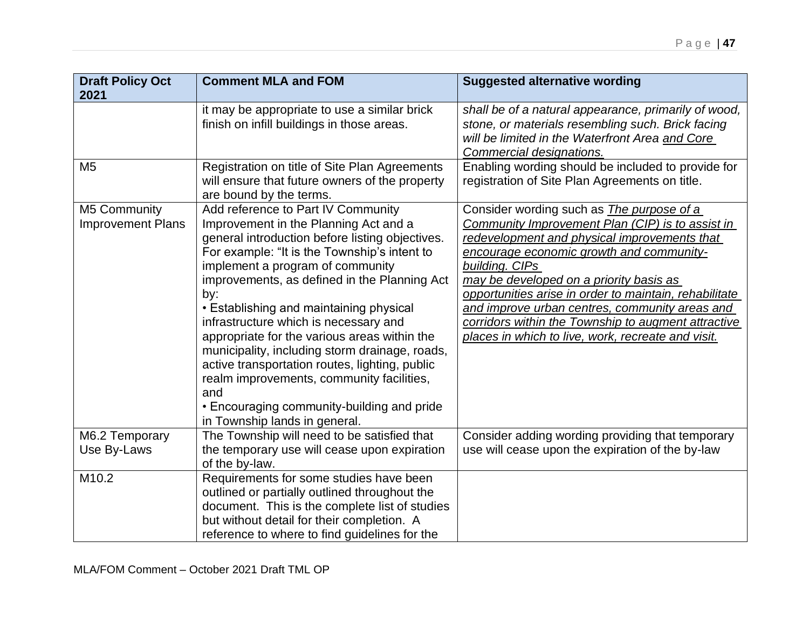| <b>Draft Policy Oct</b>                  | <b>Comment MLA and FOM</b>                                                                                                                                                                                                                                                                                                                                                                                                                                                                                                                                                                                                                           | <b>Suggested alternative wording</b>                                                                                                                                                                                                                                                                                                                                                                                                                                                   |
|------------------------------------------|------------------------------------------------------------------------------------------------------------------------------------------------------------------------------------------------------------------------------------------------------------------------------------------------------------------------------------------------------------------------------------------------------------------------------------------------------------------------------------------------------------------------------------------------------------------------------------------------------------------------------------------------------|----------------------------------------------------------------------------------------------------------------------------------------------------------------------------------------------------------------------------------------------------------------------------------------------------------------------------------------------------------------------------------------------------------------------------------------------------------------------------------------|
| 2021                                     |                                                                                                                                                                                                                                                                                                                                                                                                                                                                                                                                                                                                                                                      |                                                                                                                                                                                                                                                                                                                                                                                                                                                                                        |
|                                          | it may be appropriate to use a similar brick<br>finish on infill buildings in those areas.                                                                                                                                                                                                                                                                                                                                                                                                                                                                                                                                                           | shall be of a natural appearance, primarily of wood,<br>stone, or materials resembling such. Brick facing<br>will be limited in the Waterfront Area and Core<br>Commercial designations.                                                                                                                                                                                                                                                                                               |
| M <sub>5</sub>                           | Registration on title of Site Plan Agreements<br>will ensure that future owners of the property<br>are bound by the terms.                                                                                                                                                                                                                                                                                                                                                                                                                                                                                                                           | Enabling wording should be included to provide for<br>registration of Site Plan Agreements on title.                                                                                                                                                                                                                                                                                                                                                                                   |
| M5 Community<br><b>Improvement Plans</b> | Add reference to Part IV Community<br>Improvement in the Planning Act and a<br>general introduction before listing objectives.<br>For example: "It is the Township's intent to<br>implement a program of community<br>improvements, as defined in the Planning Act<br>by:<br>• Establishing and maintaining physical<br>infrastructure which is necessary and<br>appropriate for the various areas within the<br>municipality, including storm drainage, roads,<br>active transportation routes, lighting, public<br>realm improvements, community facilities,<br>and<br>• Encouraging community-building and pride<br>in Township lands in general. | Consider wording such as <i>The purpose of a</i><br>Community Improvement Plan (CIP) is to assist in<br>redevelopment and physical improvements that<br>encourage economic growth and community-<br>building. CIPs<br>may be developed on a priority basis as<br>opportunities arise in order to maintain, rehabilitate<br>and improve urban centres, community areas and<br>corridors within the Township to augment attractive<br>places in which to live, work, recreate and visit. |
| M6.2 Temporary<br>Use By-Laws            | The Township will need to be satisfied that<br>the temporary use will cease upon expiration<br>of the by-law.                                                                                                                                                                                                                                                                                                                                                                                                                                                                                                                                        | Consider adding wording providing that temporary<br>use will cease upon the expiration of the by-law                                                                                                                                                                                                                                                                                                                                                                                   |
| M10.2                                    | Requirements for some studies have been<br>outlined or partially outlined throughout the<br>document. This is the complete list of studies<br>but without detail for their completion. A<br>reference to where to find guidelines for the                                                                                                                                                                                                                                                                                                                                                                                                            |                                                                                                                                                                                                                                                                                                                                                                                                                                                                                        |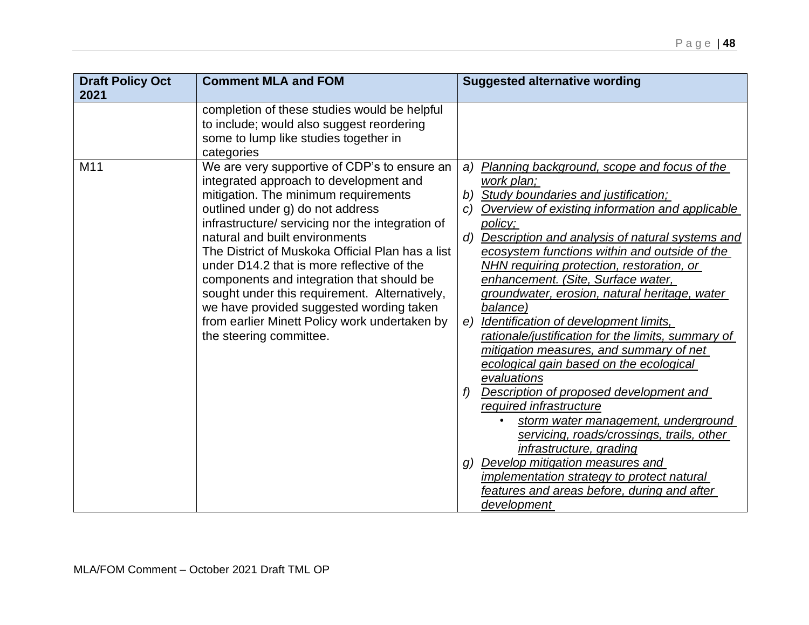| <b>Draft Policy Oct</b><br>2021 | <b>Comment MLA and FOM</b>                                                                                                                                                                                                                                                                                                                                                                                                                                                                                                                                                       | <b>Suggested alternative wording</b>                                                                                                                                                                                                                                                                                                                                                                                                                                                                                                                                                                                                                                                                                                                                                                                                                                                                                                                                                                     |
|---------------------------------|----------------------------------------------------------------------------------------------------------------------------------------------------------------------------------------------------------------------------------------------------------------------------------------------------------------------------------------------------------------------------------------------------------------------------------------------------------------------------------------------------------------------------------------------------------------------------------|----------------------------------------------------------------------------------------------------------------------------------------------------------------------------------------------------------------------------------------------------------------------------------------------------------------------------------------------------------------------------------------------------------------------------------------------------------------------------------------------------------------------------------------------------------------------------------------------------------------------------------------------------------------------------------------------------------------------------------------------------------------------------------------------------------------------------------------------------------------------------------------------------------------------------------------------------------------------------------------------------------|
|                                 | completion of these studies would be helpful<br>to include; would also suggest reordering<br>some to lump like studies together in<br>categories                                                                                                                                                                                                                                                                                                                                                                                                                                 |                                                                                                                                                                                                                                                                                                                                                                                                                                                                                                                                                                                                                                                                                                                                                                                                                                                                                                                                                                                                          |
| M <sub>11</sub>                 | We are very supportive of CDP's to ensure an<br>integrated approach to development and<br>mitigation. The minimum requirements<br>outlined under g) do not address<br>infrastructure/ servicing nor the integration of<br>natural and built environments<br>The District of Muskoka Official Plan has a list<br>under D14.2 that is more reflective of the<br>components and integration that should be<br>sought under this requirement. Alternatively,<br>we have provided suggested wording taken<br>from earlier Minett Policy work undertaken by<br>the steering committee. | Planning background, scope and focus of the<br>a)<br>work plan;<br>b) Study boundaries and justification;<br>Overview of existing information and applicable<br>C)<br>policy;<br>Description and analysis of natural systems and<br>d)<br>ecosystem functions within and outside of the<br>NHN requiring protection, restoration, or<br>enhancement. (Site, Surface water,<br>groundwater, erosion, natural heritage, water<br>balance)<br>e) Identification of development limits,<br>rationale/justification for the limits, summary of<br>mitigation measures, and summary of net<br>ecological gain based on the ecological<br>evaluations<br>Description of proposed development and<br>f)<br>required infrastructure<br>storm water management, underground<br>$\bullet$<br>servicing, roads/crossings, trails, other<br>infrastructure, grading<br>g) Develop mitigation measures and<br>implementation strategy to protect natural<br>features and areas before, during and after<br>development |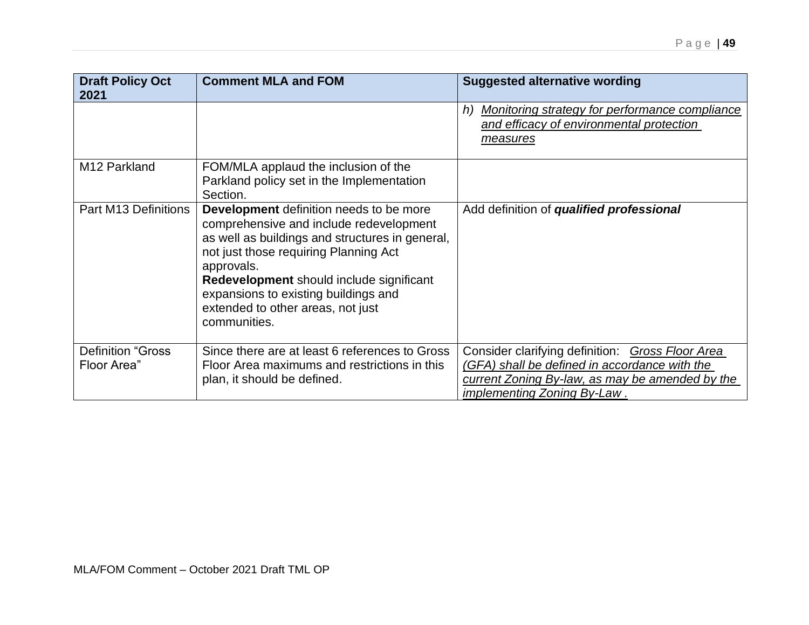| <b>Draft Policy Oct</b><br>2021         | <b>Comment MLA and FOM</b>                                                                                                                                                                                                                                                                                                            | <b>Suggested alternative wording</b>                                                                                                                                                       |
|-----------------------------------------|---------------------------------------------------------------------------------------------------------------------------------------------------------------------------------------------------------------------------------------------------------------------------------------------------------------------------------------|--------------------------------------------------------------------------------------------------------------------------------------------------------------------------------------------|
|                                         |                                                                                                                                                                                                                                                                                                                                       | h) Monitoring strategy for performance compliance<br>and efficacy of environmental protection<br><u>measures</u>                                                                           |
| M12 Parkland                            | FOM/MLA applaud the inclusion of the<br>Parkland policy set in the Implementation<br>Section.                                                                                                                                                                                                                                         |                                                                                                                                                                                            |
| <b>Part M13 Definitions</b>             | Development definition needs to be more<br>comprehensive and include redevelopment<br>as well as buildings and structures in general,<br>not just those requiring Planning Act<br>approvals.<br>Redevelopment should include significant<br>expansions to existing buildings and<br>extended to other areas, not just<br>communities. | Add definition of qualified professional                                                                                                                                                   |
| <b>Definition "Gross</b><br>Floor Area" | Since there are at least 6 references to Gross<br>Floor Area maximums and restrictions in this<br>plan, it should be defined.                                                                                                                                                                                                         | Consider clarifying definition: Gross Floor Area<br>(GFA) shall be defined in accordance with the<br>current Zoning By-law, as may be amended by the<br><i>implementing Zoning By-Law.</i> |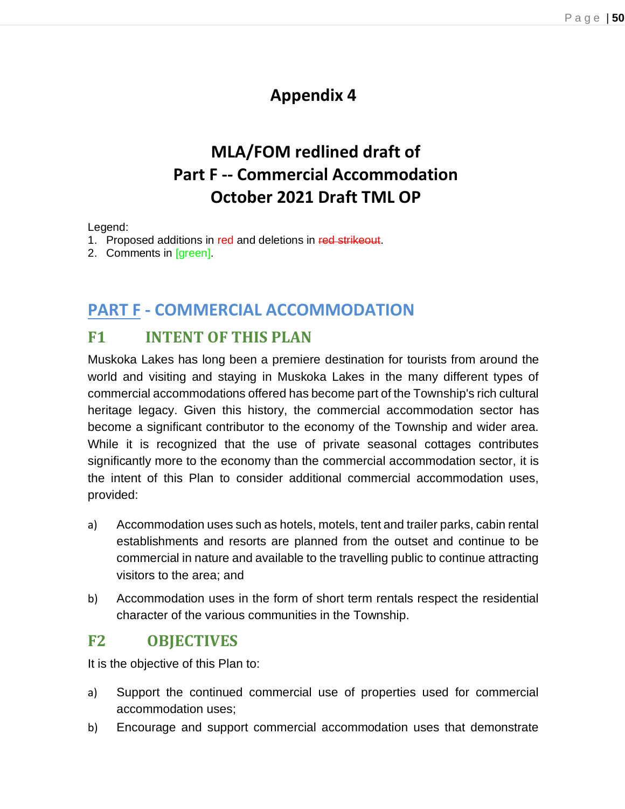# **Appendix 4**

# **MLA/FOM redlined draft of Part F -- Commercial Accommodation October 2021 Draft TML OP**

#### Legend:

- 1. Proposed additions in red and deletions in red strikeout.
- 2. Comments in [green].

## **PART F - COMMERCIAL ACCOMMODATION**

## **F1 INTENT OF THIS PLAN**

Muskoka Lakes has long been a premiere destination for tourists from around the world and visiting and staying in Muskoka Lakes in the many different types of commercial accommodations offered has become part of the Township's rich cultural heritage legacy. Given this history, the commercial accommodation sector has become a significant contributor to the economy of the Township and wider area. While it is recognized that the use of private seasonal cottages contributes significantly more to the economy than the commercial accommodation sector, it is the intent of this Plan to consider additional commercial accommodation uses, provided:

- a) Accommodation uses such as hotels, motels, tent and trailer parks, cabin rental establishments and resorts are planned from the outset and continue to be commercial in nature and available to the travelling public to continue attracting visitors to the area; and
- b) Accommodation uses in the form of short term rentals respect the residential character of the various communities in the Township.

## **F2 OBJECTIVES**

It is the objective of this Plan to:

- a) Support the continued commercial use of properties used for commercial accommodation uses;
- b) Encourage and support commercial accommodation uses that demonstrate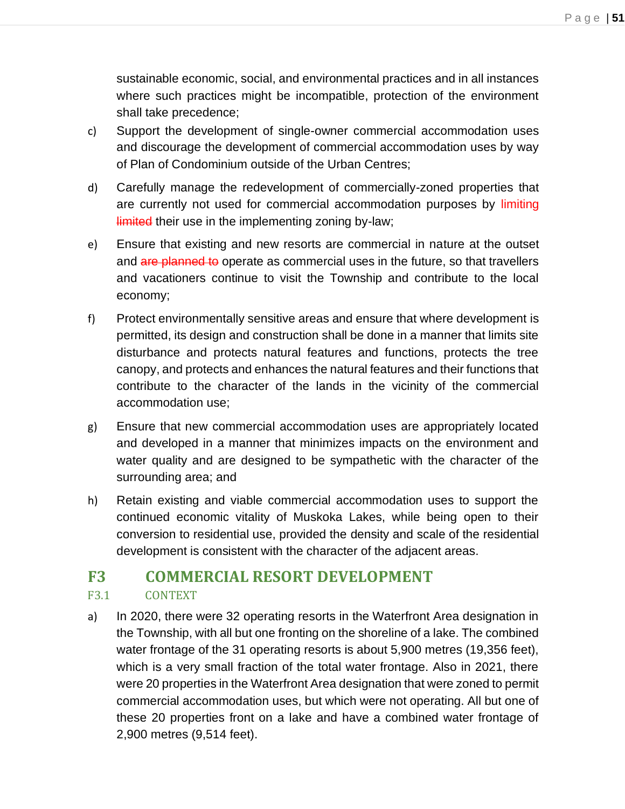sustainable economic, social, and environmental practices and in all instances where such practices might be incompatible, protection of the environment shall take precedence;

- c) Support the development of single-owner commercial accommodation uses and discourage the development of commercial accommodation uses by way of Plan of Condominium outside of the Urban Centres;
- d) Carefully manage the redevelopment of commercially-zoned properties that are currently not used for commercial accommodation purposes by limiting limited their use in the implementing zoning by-law;
- e) Ensure that existing and new resorts are commercial in nature at the outset and are planned to operate as commercial uses in the future, so that travellers and vacationers continue to visit the Township and contribute to the local economy;
- f) Protect environmentally sensitive areas and ensure that where development is permitted, its design and construction shall be done in a manner that limits site disturbance and protects natural features and functions, protects the tree canopy, and protects and enhances the natural features and their functions that contribute to the character of the lands in the vicinity of the commercial accommodation use;
- g) Ensure that new commercial accommodation uses are appropriately located and developed in a manner that minimizes impacts on the environment and water quality and are designed to be sympathetic with the character of the surrounding area; and
- h) Retain existing and viable commercial accommodation uses to support the continued economic vitality of Muskoka Lakes, while being open to their conversion to residential use, provided the density and scale of the residential development is consistent with the character of the adjacent areas.

## **F3 COMMERCIAL RESORT DEVELOPMENT**

### F3.1 CONTEXT

a) In 2020, there were 32 operating resorts in the Waterfront Area designation in the Township, with all but one fronting on the shoreline of a lake. The combined water frontage of the 31 operating resorts is about 5,900 metres (19,356 feet), which is a very small fraction of the total water frontage. Also in 2021, there were 20 properties in the Waterfront Area designation that were zoned to permit commercial accommodation uses, but which were not operating. All but one of these 20 properties front on a lake and have a combined water frontage of 2,900 metres (9,514 feet).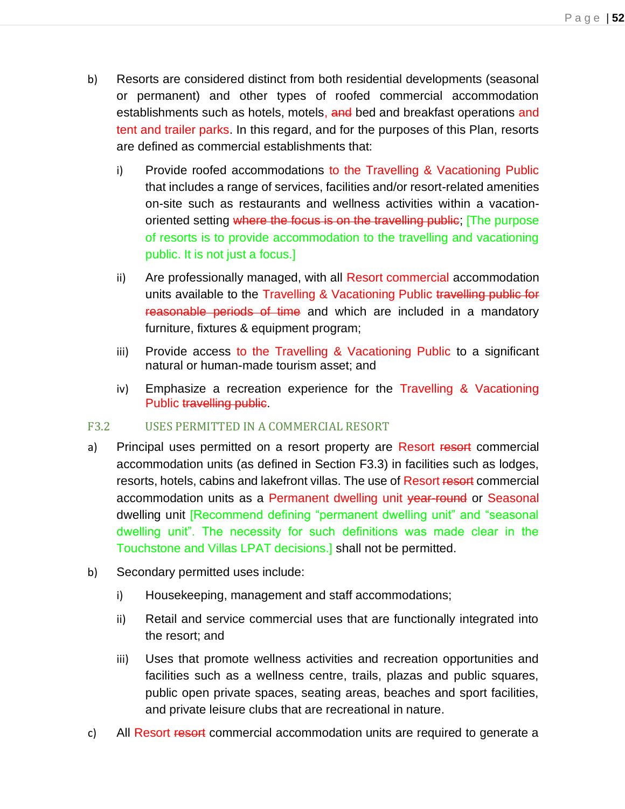- b) Resorts are considered distinct from both residential developments (seasonal or permanent) and other types of roofed commercial accommodation establishments such as hotels, motels, and bed and breakfast operations and tent and trailer parks. In this regard, and for the purposes of this Plan, resorts are defined as commercial establishments that:
	- i) Provide roofed accommodations to the Travelling & Vacationing Public that includes a range of services, facilities and/or resort-related amenities on-site such as restaurants and wellness activities within a vacationoriented setting where the focus is on the travelling public; The purpose of resorts is to provide accommodation to the travelling and vacationing public. It is not just a focus.]
	- ii) Are professionally managed, with all Resort commercial accommodation units available to the Travelling & Vacationing Public travelling public for reasonable periods of time and which are included in a mandatory furniture, fixtures & equipment program;
	- iii) Provide access to the Travelling & Vacationing Public to a significant natural or human-made tourism asset; and
	- iv) Emphasize a recreation experience for the Travelling & Vacationing Public travelling public.

#### F3.2 USES PERMITTED IN A COMMERCIAL RESORT

- a) Principal uses permitted on a resort property are Resort resort commercial accommodation units (as defined in Section F3.3) in facilities such as lodges, resorts, hotels, cabins and lakefront villas. The use of Resort resort commercial accommodation units as a Permanent dwelling unit year-round or Seasonal dwelling unit [Recommend defining "permanent dwelling unit" and "seasonal dwelling unit". The necessity for such definitions was made clear in the Touchstone and Villas LPAT decisions.] shall not be permitted.
- b) Secondary permitted uses include:
	- i) Housekeeping, management and staff accommodations;
	- ii) Retail and service commercial uses that are functionally integrated into the resort; and
	- iii) Uses that promote wellness activities and recreation opportunities and facilities such as a wellness centre, trails, plazas and public squares, public open private spaces, seating areas, beaches and sport facilities, and private leisure clubs that are recreational in nature.
- c) All Resort resort commercial accommodation units are required to generate a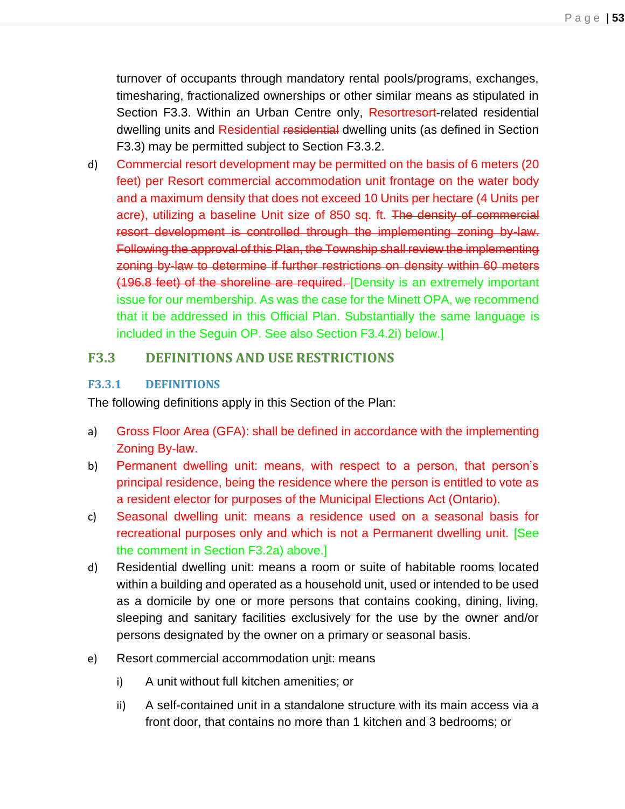turnover of occupants through mandatory rental pools/programs, exchanges, timesharing, fractionalized ownerships or other similar means as stipulated in Section F3.3. Within an Urban Centre only, Resortresort-related residential dwelling units and Residential residential dwelling units (as defined in Section F3.3) may be permitted subject to Section F3.3.2.

d) Commercial resort development may be permitted on the basis of 6 meters (20 feet) per Resort commercial accommodation unit frontage on the water body and a maximum density that does not exceed 10 Units per hectare (4 Units per acre), utilizing a baseline Unit size of 850 sq. ft. The density of commercial resort development is controlled through the implementing zoning by-law. Following the approval of this Plan, the Township shall review the implementing zoning by-law to determine if further restrictions on density within 60 meters (196.8 feet) of the shoreline are required. [Density is an extremely important issue for our membership. As was the case for the Minett OPA, we recommend that it be addressed in this Official Plan. Substantially the same language is included in the Seguin OP. See also Section F3.4.2i) below.]

### **F3.3 DEFINITIONS AND USE RESTRICTIONS**

#### **F3.3.1 DEFINITIONS**

The following definitions apply in this Section of the Plan:

- a) Gross Floor Area (GFA): shall be defined in accordance with the implementing Zoning By-law.
- b) Permanent dwelling unit: means, with respect to a person, that person's principal residence, being the residence where the person is entitled to vote as a resident elector for purposes of the Municipal Elections Act (Ontario).
- c) Seasonal dwelling unit: means a residence used on a seasonal basis for recreational purposes only and which is not a Permanent dwelling unit. [See the comment in Section F3.2a) above.]
- d) Residential dwelling unit: means a room or suite of habitable rooms located within a building and operated as a household unit, used or intended to be used as a domicile by one or more persons that contains cooking, dining, living, sleeping and sanitary facilities exclusively for the use by the owner and/or persons designated by the owner on a primary or seasonal basis.
- e) Resort commercial accommodation unit: means
	- i) A unit without full kitchen amenities; or
	- ii) A self-contained unit in a standalone structure with its main access via a front door, that contains no more than 1 kitchen and 3 bedrooms; or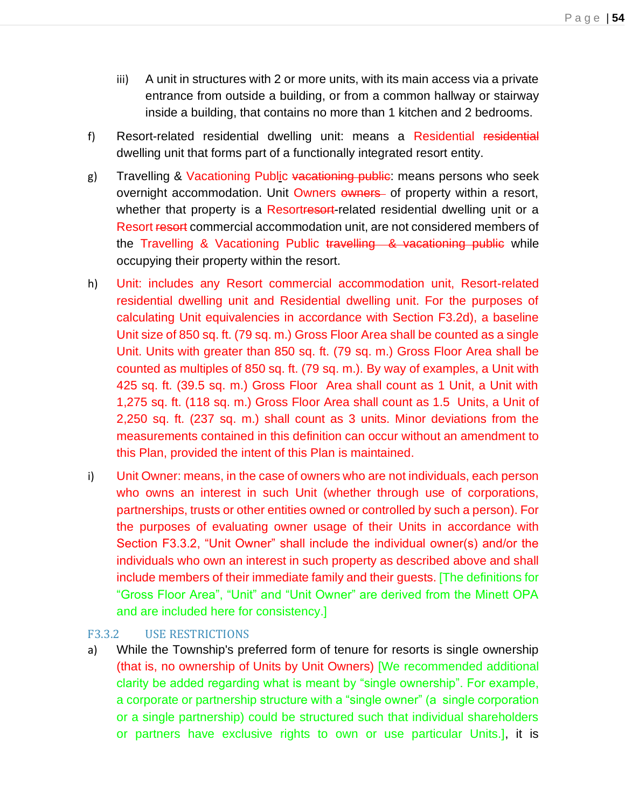- iii) A unit in structures with 2 or more units, with its main access via a private entrance from outside a building, or from a common hallway or stairway inside a building, that contains no more than 1 kitchen and 2 bedrooms.
- f) Resort-related residential dwelling unit: means a Residential residential dwelling unit that forms part of a functionally integrated resort entity.
- g) Travelling & Vacationing Public vacationing public: means persons who seek overnight accommodation. Unit Owners owners of property within a resort, whether that property is a Resortresort-related residential dwelling unit or a Resort resort commercial accommodation unit, are not considered members of the Travelling & Vacationing Public travelling & vacationing public while occupying their property within the resort.
- h) Unit: includes any Resort commercial accommodation unit, Resort-related residential dwelling unit and Residential dwelling unit. For the purposes of calculating Unit equivalencies in accordance with Section F3.2d), a baseline Unit size of 850 sq. ft. (79 sq. m.) Gross Floor Area shall be counted as a single Unit. Units with greater than 850 sq. ft. (79 sq. m.) Gross Floor Area shall be counted as multiples of 850 sq. ft. (79 sq. m.). By way of examples, a Unit with 425 sq. ft. (39.5 sq. m.) Gross Floor Area shall count as 1 Unit, a Unit with 1,275 sq. ft. (118 sq. m.) Gross Floor Area shall count as 1.5 Units, a Unit of 2,250 sq. ft. (237 sq. m.) shall count as 3 units. Minor deviations from the measurements contained in this definition can occur without an amendment to this Plan, provided the intent of this Plan is maintained.
- i) Unit Owner: means, in the case of owners who are not individuals, each person who owns an interest in such Unit (whether through use of corporations, partnerships, trusts or other entities owned or controlled by such a person). For the purposes of evaluating owner usage of their Units in accordance with Section F3.3.2, "Unit Owner" shall include the individual owner(s) and/or the individuals who own an interest in such property as described above and shall include members of their immediate family and their guests. [The definitions for "Gross Floor Area", "Unit" and "Unit Owner" are derived from the Minett OPA and are included here for consistency.]

#### F3.3.2 USE RESTRICTIONS

a) While the Township's preferred form of tenure for resorts is single ownership (that is, no ownership of Units by Unit Owners) [We recommended additional clarity be added regarding what is meant by "single ownership". For example, a corporate or partnership structure with a "single owner" (a single corporation or a single partnership) could be structured such that individual shareholders or partners have exclusive rights to own or use particular Units.], it is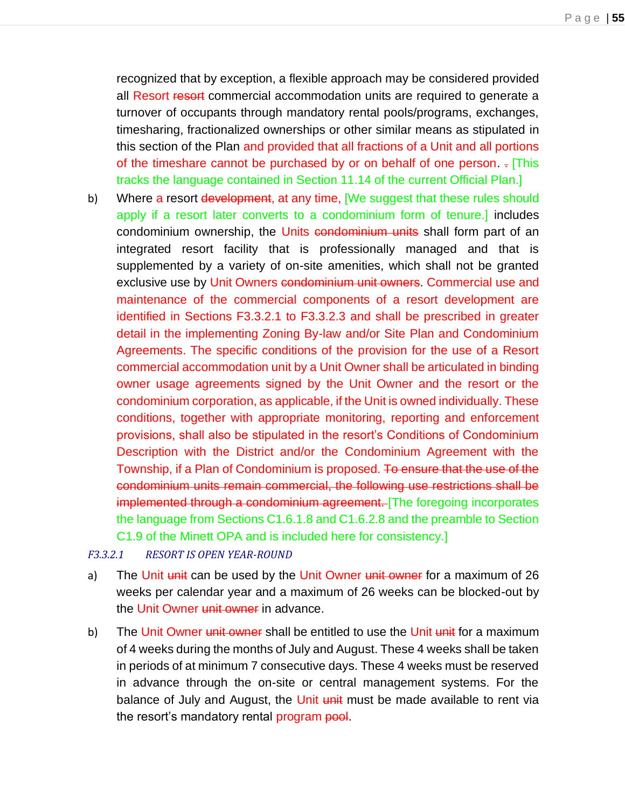recognized that by exception, a flexible approach may be considered provided all Resort resort commercial accommodation units are required to generate a turnover of occupants through mandatory rental pools/programs, exchanges, timesharing, fractionalized ownerships or other similar means as stipulated in this section of the Plan and provided that all fractions of a Unit and all portions of the timeshare cannot be purchased by or on behalf of one person. . [This tracks the language contained in Section 11.14 of the current Official Plan.]

b) Where a resort development, at any time, [We suggest that these rules should apply if a resort later converts to a condominium form of tenure.] includes condominium ownership, the Units condominium units shall form part of an integrated resort facility that is professionally managed and that is supplemented by a variety of on-site amenities, which shall not be granted exclusive use by Unit Owners condominium unit owners. Commercial use and maintenance of the commercial components of a resort development are identified in Sections F3.3.2.1 to F3.3.2.3 and shall be prescribed in greater detail in the implementing Zoning By-law and/or Site Plan and Condominium Agreements. The specific conditions of the provision for the use of a Resort commercial accommodation unit by a Unit Owner shall be articulated in binding owner usage agreements signed by the Unit Owner and the resort or the condominium corporation, as applicable, if the Unit is owned individually. These conditions, together with appropriate monitoring, reporting and enforcement provisions, shall also be stipulated in the resort's Conditions of Condominium Description with the District and/or the Condominium Agreement with the Township, if a Plan of Condominium is proposed. To ensure that the use of the condominium units remain commercial, the following use restrictions shall be implemented through a condominium agreement. The foregoing incorporates the language from Sections C1.6.1.8 and C1.6.2.8 and the preamble to Section C1.9 of the Minett OPA and is included here for consistency.]

#### *F3.3.2.1 RESORT IS OPEN YEAR-ROUND*

- a) The Unit unit can be used by the Unit Owner unit owner for a maximum of 26 weeks per calendar year and a maximum of 26 weeks can be blocked-out by the Unit Owner unit owner in advance.
- b) The Unit Owner unit owner shall be entitled to use the Unit unit for a maximum of 4 weeks during the months of July and August. These 4 weeks shall be taken in periods of at minimum 7 consecutive days. These 4 weeks must be reserved in advance through the on-site or central management systems. For the balance of July and August, the Unit unit must be made available to rent via the resort's mandatory rental program pool.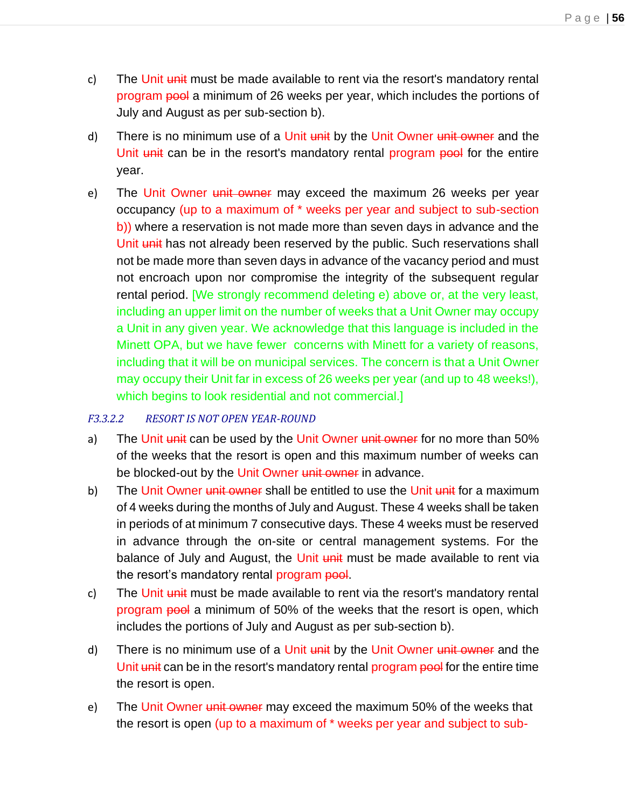- c) The Unit unit must be made available to rent via the resort's mandatory rental program pool a minimum of 26 weeks per year, which includes the portions of July and August as per sub-section b).
- d) There is no minimum use of a Unit unit by the Unit Owner unit owner and the Unit unit can be in the resort's mandatory rental program pool for the entire year.
- e) The Unit Owner unit owner may exceed the maximum 26 weeks per year occupancy (up to a maximum of \* weeks per year and subject to sub-section b)) where a reservation is not made more than seven days in advance and the Unit unit has not already been reserved by the public. Such reservations shall not be made more than seven days in advance of the vacancy period and must not encroach upon nor compromise the integrity of the subsequent regular rental period. [We strongly recommend deleting e) above or, at the very least, including an upper limit on the number of weeks that a Unit Owner may occupy a Unit in any given year. We acknowledge that this language is included in the Minett OPA, but we have fewer concerns with Minett for a variety of reasons, including that it will be on municipal services. The concern is that a Unit Owner may occupy their Unit far in excess of 26 weeks per year (and up to 48 weeks!), which begins to look residential and not commercial.]

#### *F3.3.2.2 RESORT IS NOT OPEN YEAR-ROUND*

- a) The Unit unit can be used by the Unit Owner unit owner for no more than 50% of the weeks that the resort is open and this maximum number of weeks can be blocked-out by the Unit Owner unit owner in advance.
- b) The Unit Owner unit owner shall be entitled to use the Unit unit for a maximum of 4 weeks during the months of July and August. These 4 weeks shall be taken in periods of at minimum 7 consecutive days. These 4 weeks must be reserved in advance through the on-site or central management systems. For the balance of July and August, the Unit unit must be made available to rent via the resort's mandatory rental program pool.
- c) The Unit unit must be made available to rent via the resort's mandatory rental program pool a minimum of 50% of the weeks that the resort is open, which includes the portions of July and August as per sub-section b).
- d) There is no minimum use of a Unit unit by the Unit Owner unit owner and the Unit unit can be in the resort's mandatory rental program pool for the entire time the resort is open.
- e) The Unit Owner unit owner may exceed the maximum 50% of the weeks that the resort is open (up to a maximum of \* weeks per year and subject to sub-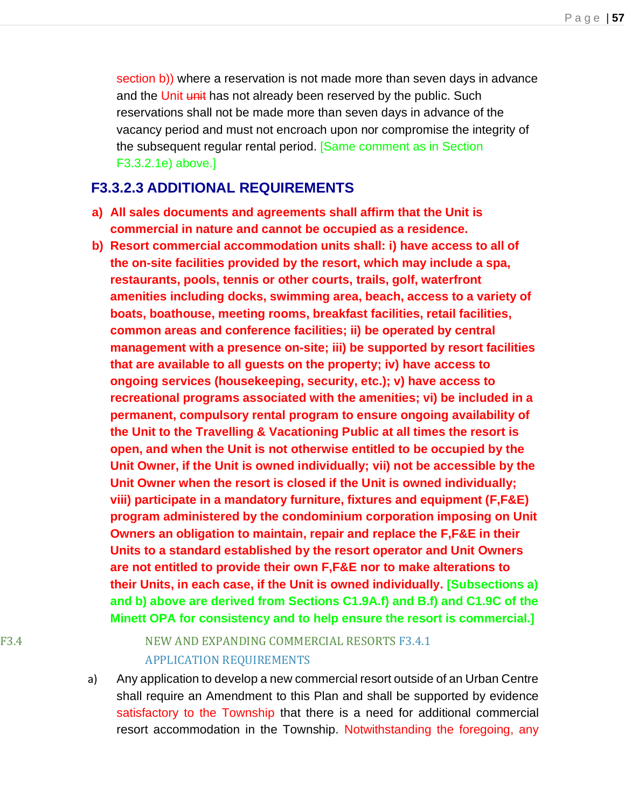section b)) where a reservation is not made more than seven days in advance and the Unit unit has not already been reserved by the public. Such reservations shall not be made more than seven days in advance of the vacancy period and must not encroach upon nor compromise the integrity of the subsequent regular rental period. [Same comment as in Section F3.3.2.1e) above.]

### **F3.3.2.3 ADDITIONAL REQUIREMENTS**

- **a) All sales documents and agreements shall affirm that the Unit is commercial in nature and cannot be occupied as a residence.**
- **b) Resort commercial accommodation units shall: i) have access to all of the on-site facilities provided by the resort, which may include a spa, restaurants, pools, tennis or other courts, trails, golf, waterfront amenities including docks, swimming area, beach, access to a variety of boats, boathouse, meeting rooms, breakfast facilities, retail facilities, common areas and conference facilities; ii) be operated by central management with a presence on-site; iii) be supported by resort facilities that are available to all guests on the property; iv) have access to ongoing services (housekeeping, security, etc.); v) have access to recreational programs associated with the amenities; vi) be included in a permanent, compulsory rental program to ensure ongoing availability of the Unit to the Travelling & Vacationing Public at all times the resort is open, and when the Unit is not otherwise entitled to be occupied by the Unit Owner, if the Unit is owned individually; vii) not be accessible by the Unit Owner when the resort is closed if the Unit is owned individually; viii) participate in a mandatory furniture, fixtures and equipment (F,F&E) program administered by the condominium corporation imposing on Unit Owners an obligation to maintain, repair and replace the F,F&E in their Units to a standard established by the resort operator and Unit Owners are not entitled to provide their own F,F&E nor to make alterations to their Units, in each case, if the Unit is owned individually. [Subsections a) and b) above are derived from Sections C1.9A.f) and B.f) and C1.9C of the Minett OPA for consistency and to help ensure the resort is commercial.]**

## F3.4 NEW AND EXPANDING COMMERCIAL RESORTS F3.4.1 APPLICATION REQUIREMENTS

a) Any application to develop a new commercial resort outside of an Urban Centre shall require an Amendment to this Plan and shall be supported by evidence satisfactory to the Township that there is a need for additional commercial resort accommodation in the Township. Notwithstanding the foregoing, any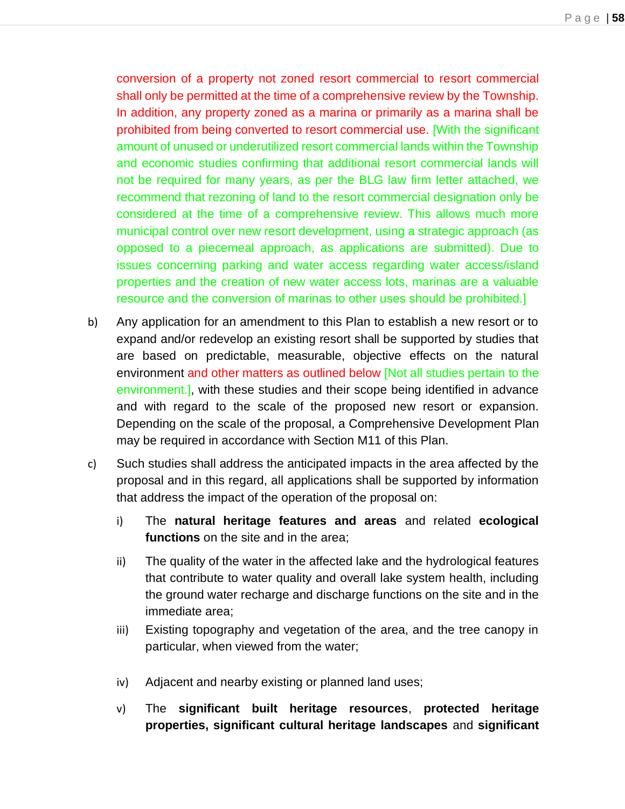conversion of a property not zoned resort commercial to resort commercial shall only be permitted at the time of a comprehensive review by the Township. In addition, any property zoned as a marina or primarily as a marina shall be prohibited from being converted to resort commercial use. [With the significant amount of unused or underutilized resort commercial lands within the Township and economic studies confirming that additional resort commercial lands will not be required for many years, as per the BLG law firm letter attached, we recommend that rezoning of land to the resort commercial designation only be considered at the time of a comprehensive review. This allows much more municipal control over new resort development, using a strategic approach (as opposed to a piecemeal approach, as applications are submitted). Due to issues concerning parking and water access regarding water access/island properties and the creation of new water access lots, marinas are a valuable resource and the conversion of marinas to other uses should be prohibited.]

- b) Any application for an amendment to this Plan to establish a new resort or to expand and/or redevelop an existing resort shall be supported by studies that are based on predictable, measurable, objective effects on the natural environment and other matters as outlined below [Not all studies pertain to the environment.], with these studies and their scope being identified in advance and with regard to the scale of the proposed new resort or expansion. Depending on the scale of the proposal, a Comprehensive Development Plan may be required in accordance with Section M11 of this Plan.
- c) Such studies shall address the anticipated impacts in the area affected by the proposal and in this regard, all applications shall be supported by information that address the impact of the operation of the proposal on:
	- i) The **natural heritage features and areas** and related **ecological functions** on the site and in the area;
	- ii) The quality of the water in the affected lake and the hydrological features that contribute to water quality and overall lake system health, including the ground water recharge and discharge functions on the site and in the immediate area;
	- iii) Existing topography and vegetation of the area, and the tree canopy in particular, when viewed from the water;
	- iv) Adjacent and nearby existing or planned land uses;
	- v) The **significant built heritage resources**, **protected heritage properties, significant cultural heritage landscapes** and **significant**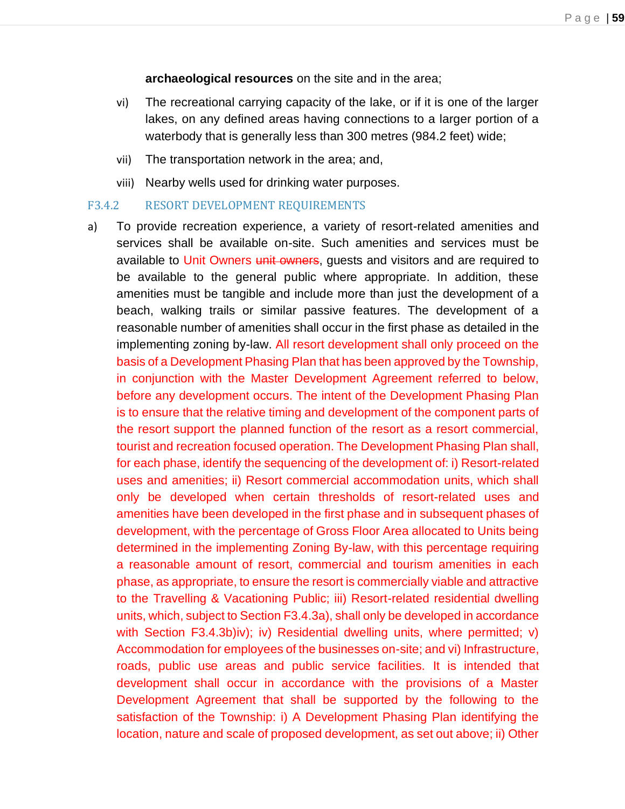**archaeological resources** on the site and in the area;

- vi) The recreational carrying capacity of the lake, or if it is one of the larger lakes, on any defined areas having connections to a larger portion of a waterbody that is generally less than 300 metres (984.2 feet) wide;
- vii) The transportation network in the area; and,
- viii) Nearby wells used for drinking water purposes.

#### F3.4.2 RESORT DEVELOPMENT REQUIREMENTS

a) To provide recreation experience, a variety of resort-related amenities and services shall be available on-site. Such amenities and services must be available to Unit Owners unit owners, quests and visitors and are required to be available to the general public where appropriate. In addition, these amenities must be tangible and include more than just the development of a beach, walking trails or similar passive features. The development of a reasonable number of amenities shall occur in the first phase as detailed in the implementing zoning by-law. All resort development shall only proceed on the basis of a Development Phasing Plan that has been approved by the Township, in conjunction with the Master Development Agreement referred to below, before any development occurs. The intent of the Development Phasing Plan is to ensure that the relative timing and development of the component parts of the resort support the planned function of the resort as a resort commercial, tourist and recreation focused operation. The Development Phasing Plan shall, for each phase, identify the sequencing of the development of: i) Resort-related uses and amenities; ii) Resort commercial accommodation units, which shall only be developed when certain thresholds of resort-related uses and amenities have been developed in the first phase and in subsequent phases of development, with the percentage of Gross Floor Area allocated to Units being determined in the implementing Zoning By-law, with this percentage requiring a reasonable amount of resort, commercial and tourism amenities in each phase, as appropriate, to ensure the resort is commercially viable and attractive to the Travelling & Vacationing Public; iii) Resort-related residential dwelling units, which, subject to Section F3.4.3a), shall only be developed in accordance with Section F3.4.3b)iv); iv) Residential dwelling units, where permitted; v) Accommodation for employees of the businesses on-site; and vi) Infrastructure, roads, public use areas and public service facilities. It is intended that development shall occur in accordance with the provisions of a Master Development Agreement that shall be supported by the following to the satisfaction of the Township: i) A Development Phasing Plan identifying the location, nature and scale of proposed development, as set out above; ii) Other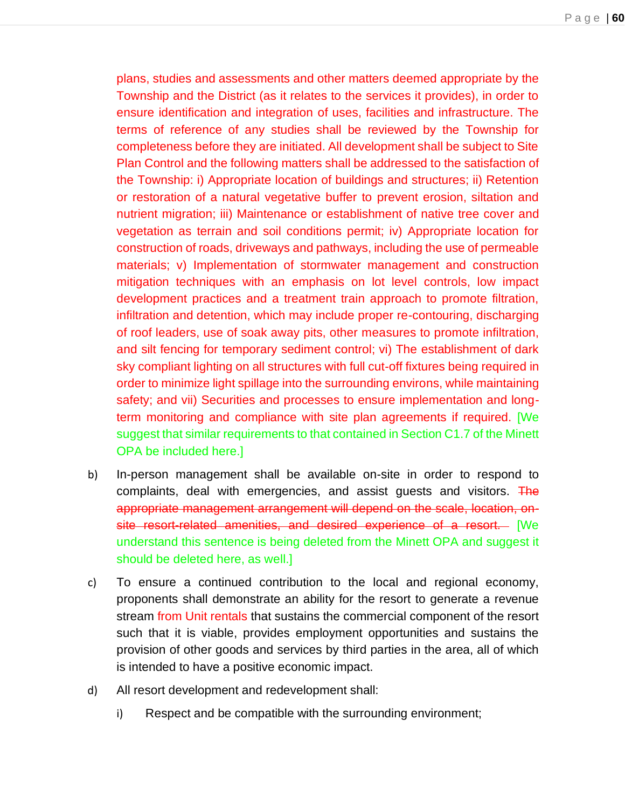plans, studies and assessments and other matters deemed appropriate by the Township and the District (as it relates to the services it provides), in order to ensure identification and integration of uses, facilities and infrastructure. The terms of reference of any studies shall be reviewed by the Township for completeness before they are initiated. All development shall be subject to Site Plan Control and the following matters shall be addressed to the satisfaction of the Township: i) Appropriate location of buildings and structures; ii) Retention or restoration of a natural vegetative buffer to prevent erosion, siltation and nutrient migration; iii) Maintenance or establishment of native tree cover and vegetation as terrain and soil conditions permit; iv) Appropriate location for construction of roads, driveways and pathways, including the use of permeable materials; v) Implementation of stormwater management and construction mitigation techniques with an emphasis on lot level controls, low impact development practices and a treatment train approach to promote filtration, infiltration and detention, which may include proper re-contouring, discharging of roof leaders, use of soak away pits, other measures to promote infiltration, and silt fencing for temporary sediment control; vi) The establishment of dark sky compliant lighting on all structures with full cut-off fixtures being required in order to minimize light spillage into the surrounding environs, while maintaining safety; and vii) Securities and processes to ensure implementation and longterm monitoring and compliance with site plan agreements if required. [We suggest that similar requirements to that contained in Section C1.7 of the Minett OPA be included here.]

- b) In-person management shall be available on-site in order to respond to complaints, deal with emergencies, and assist guests and visitors. The appropriate management arrangement will depend on the scale, location, onsite resort-related amenities, and desired experience of a resort. [We understand this sentence is being deleted from the Minett OPA and suggest it should be deleted here, as well.]
- c) To ensure a continued contribution to the local and regional economy, proponents shall demonstrate an ability for the resort to generate a revenue stream from Unit rentals that sustains the commercial component of the resort such that it is viable, provides employment opportunities and sustains the provision of other goods and services by third parties in the area, all of which is intended to have a positive economic impact.
- d) All resort development and redevelopment shall:
	- i) Respect and be compatible with the surrounding environment;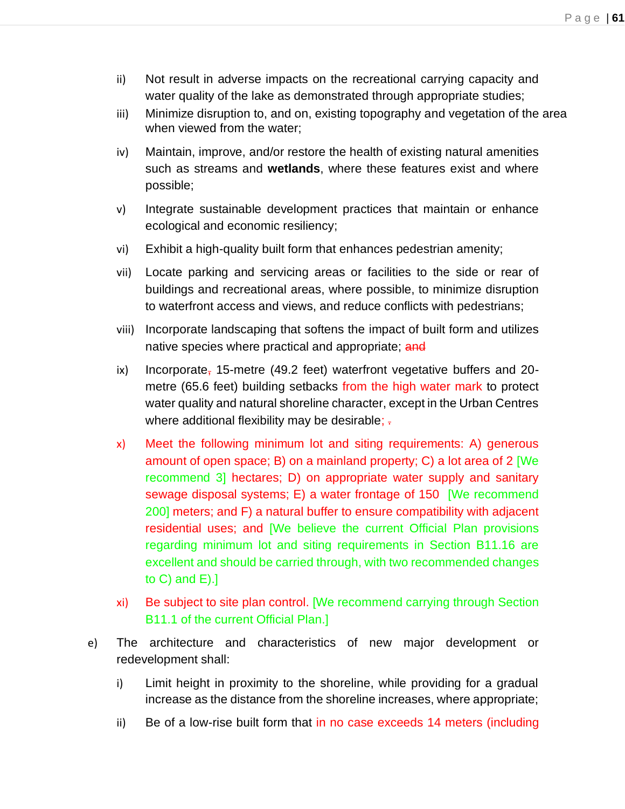- ii) Not result in adverse impacts on the recreational carrying capacity and water quality of the lake as demonstrated through appropriate studies;
- iii) Minimize disruption to, and on, existing topography and vegetation of the area when viewed from the water;
- iv) Maintain, improve, and/or restore the health of existing natural amenities such as streams and **wetlands**, where these features exist and where possible;
- v) Integrate sustainable development practices that maintain or enhance ecological and economic resiliency;
- vi) Exhibit a high-quality built form that enhances pedestrian amenity;
- vii) Locate parking and servicing areas or facilities to the side or rear of buildings and recreational areas, where possible, to minimize disruption to waterfront access and views, and reduce conflicts with pedestrians;
- viii) Incorporate landscaping that softens the impact of built form and utilizes native species where practical and appropriate; and
- ix) Incorporate, 15-metre (49.2 feet) waterfront vegetative buffers and 20metre (65.6 feet) building setbacks from the high water mark to protect water quality and natural shoreline character, except in the Urban Centres where additional flexibility may be desirable;  $\frac{1}{x}$
- x) Meet the following minimum lot and siting requirements: A) generous amount of open space; B) on a mainland property; C) a lot area of 2 [We recommend 3] hectares; D) on appropriate water supply and sanitary sewage disposal systems; E) a water frontage of 150 [We recommend 200] meters; and F) a natural buffer to ensure compatibility with adjacent residential uses; and [We believe the current Official Plan provisions regarding minimum lot and siting requirements in Section B11.16 are excellent and should be carried through, with two recommended changes to  $C$ ) and  $E$ ).]
- xi) Be subject to site plan control. [We recommend carrying through Section B11.1 of the current Official Plan.]
- e) The architecture and characteristics of new major development or redevelopment shall:
	- i) Limit height in proximity to the shoreline, while providing for a gradual increase as the distance from the shoreline increases, where appropriate;
	- ii) Be of a low-rise built form that in no case exceeds 14 meters (including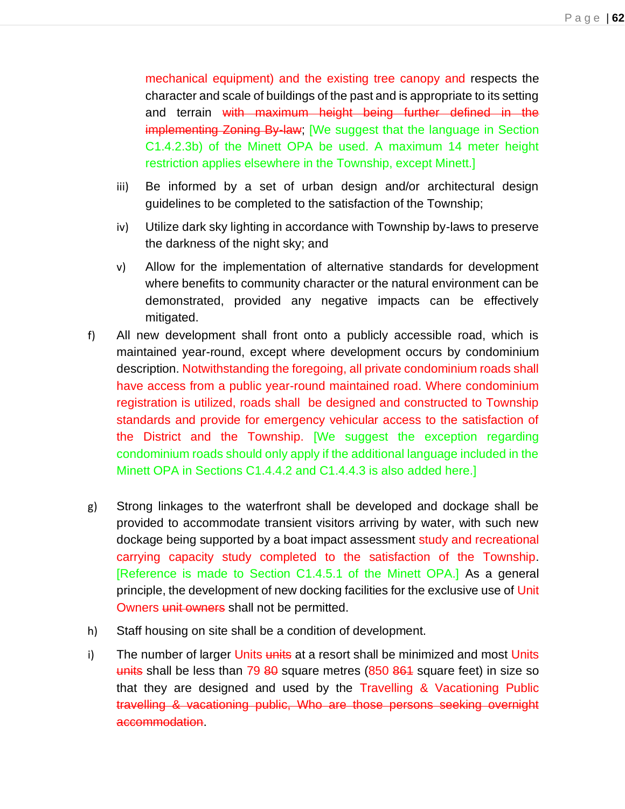mechanical equipment) and the existing tree canopy and respects the character and scale of buildings of the past and is appropriate to its setting and terrain with maximum height being further defined in the implementing Zoning By-law; [We suggest that the language in Section C1.4.2.3b) of the Minett OPA be used. A maximum 14 meter height restriction applies elsewhere in the Township, except Minett.]

- iii) Be informed by a set of urban design and/or architectural design guidelines to be completed to the satisfaction of the Township;
- iv) Utilize dark sky lighting in accordance with Township by-laws to preserve the darkness of the night sky; and
- v) Allow for the implementation of alternative standards for development where benefits to community character or the natural environment can be demonstrated, provided any negative impacts can be effectively mitigated.
- f) All new development shall front onto a publicly accessible road, which is maintained year-round, except where development occurs by condominium description. Notwithstanding the foregoing, all private condominium roads shall have access from a public year-round maintained road. Where condominium registration is utilized, roads shall be designed and constructed to Township standards and provide for emergency vehicular access to the satisfaction of the District and the Township. [We suggest the exception regarding condominium roads should only apply if the additional language included in the Minett OPA in Sections C1.4.4.2 and C1.4.4.3 is also added here.]
- g) Strong linkages to the waterfront shall be developed and dockage shall be provided to accommodate transient visitors arriving by water, with such new dockage being supported by a boat impact assessment study and recreational carrying capacity study completed to the satisfaction of the Township. [Reference is made to Section C1.4.5.1 of the Minett OPA.] As a general principle, the development of new docking facilities for the exclusive use of Unit Owners unit owners shall not be permitted.
- h) Staff housing on site shall be a condition of development.
- i) The number of larger Units units at a resort shall be minimized and most Units units shall be less than 79 80 square metres (850 864 square feet) in size so that they are designed and used by the Travelling & Vacationing Public travelling & vacationing public, Who are those persons seeking overnight accommodation.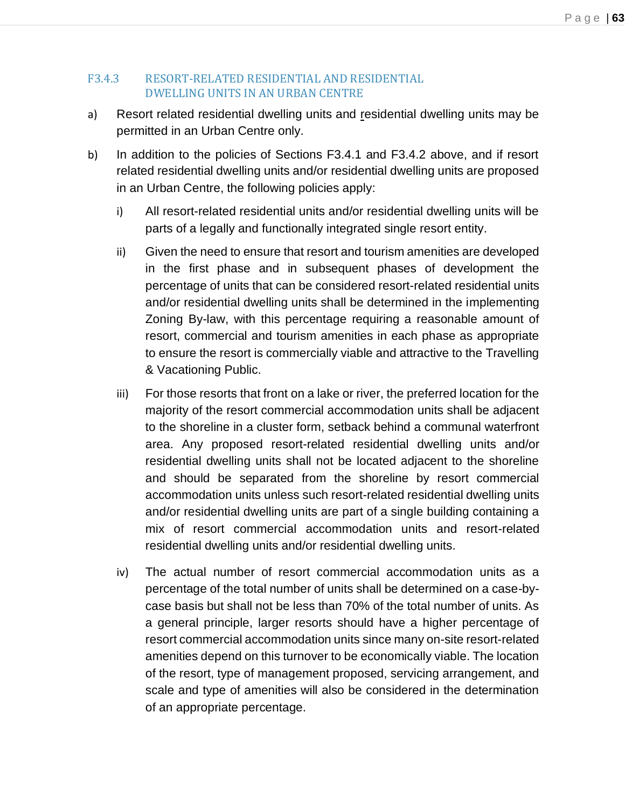#### F3.4.3 RESORT-RELATED RESIDENTIAL AND RESIDENTIAL DWELLING UNITS IN AN URBAN CENTRE

- a) Resort related residential dwelling units and residential dwelling units may be permitted in an Urban Centre only.
- b) In addition to the policies of Sections F3.4.1 and F3.4.2 above, and if resort related residential dwelling units and/or residential dwelling units are proposed in an Urban Centre, the following policies apply:
	- i) All resort-related residential units and/or residential dwelling units will be parts of a legally and functionally integrated single resort entity.
	- ii) Given the need to ensure that resort and tourism amenities are developed in the first phase and in subsequent phases of development the percentage of units that can be considered resort-related residential units and/or residential dwelling units shall be determined in the implementing Zoning By-law, with this percentage requiring a reasonable amount of resort, commercial and tourism amenities in each phase as appropriate to ensure the resort is commercially viable and attractive to the Travelling & Vacationing Public.
	- iii) For those resorts that front on a lake or river, the preferred location for the majority of the resort commercial accommodation units shall be adjacent to the shoreline in a cluster form, setback behind a communal waterfront area. Any proposed resort-related residential dwelling units and/or residential dwelling units shall not be located adjacent to the shoreline and should be separated from the shoreline by resort commercial accommodation units unless such resort-related residential dwelling units and/or residential dwelling units are part of a single building containing a mix of resort commercial accommodation units and resort-related residential dwelling units and/or residential dwelling units.
	- iv) The actual number of resort commercial accommodation units as a percentage of the total number of units shall be determined on a case-bycase basis but shall not be less than 70% of the total number of units. As a general principle, larger resorts should have a higher percentage of resort commercial accommodation units since many on-site resort-related amenities depend on this turnover to be economically viable. The location of the resort, type of management proposed, servicing arrangement, and scale and type of amenities will also be considered in the determination of an appropriate percentage.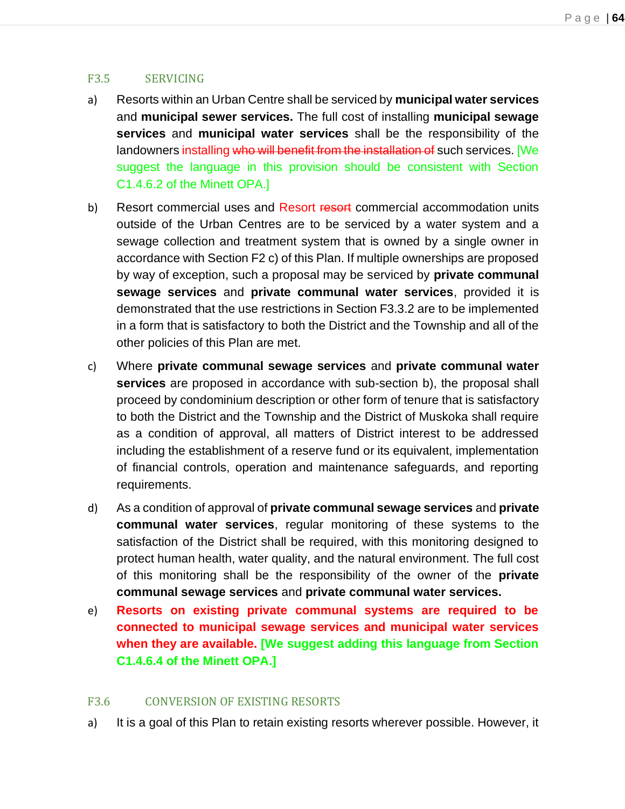#### F3.5 SERVICING

- a) Resorts within an Urban Centre shall be serviced by **municipal water services**  and **municipal sewer services.** The full cost of installing **municipal sewage services** and **municipal water services** shall be the responsibility of the landowners installing who will benefit from the installation of such services. [We suggest the language in this provision should be consistent with Section C1.4.6.2 of the Minett OPA.]
- b) Resort commercial uses and Resort resort commercial accommodation units outside of the Urban Centres are to be serviced by a water system and a sewage collection and treatment system that is owned by a single owner in accordance with Section F2 c) of this Plan. If multiple ownerships are proposed by way of exception, such a proposal may be serviced by **private communal sewage services** and **private communal water services**, provided it is demonstrated that the use restrictions in Section F3.3.2 are to be implemented in a form that is satisfactory to both the District and the Township and all of the other policies of this Plan are met.
- c) Where **private communal sewage services** and **private communal water services** are proposed in accordance with sub-section b), the proposal shall proceed by condominium description or other form of tenure that is satisfactory to both the District and the Township and the District of Muskoka shall require as a condition of approval, all matters of District interest to be addressed including the establishment of a reserve fund or its equivalent, implementation of financial controls, operation and maintenance safeguards, and reporting requirements.
- d) As a condition of approval of **private communal sewage services** and **private communal water services**, regular monitoring of these systems to the satisfaction of the District shall be required, with this monitoring designed to protect human health, water quality, and the natural environment. The full cost of this monitoring shall be the responsibility of the owner of the **private communal sewage services** and **private communal water services.**
- e) **Resorts on existing private communal systems are required to be connected to municipal sewage services and municipal water services when they are available. [We suggest adding this language from Section C1.4.6.4 of the Minett OPA.]**

#### F3.6 CONVERSION OF EXISTING RESORTS

a) It is a goal of this Plan to retain existing resorts wherever possible. However, it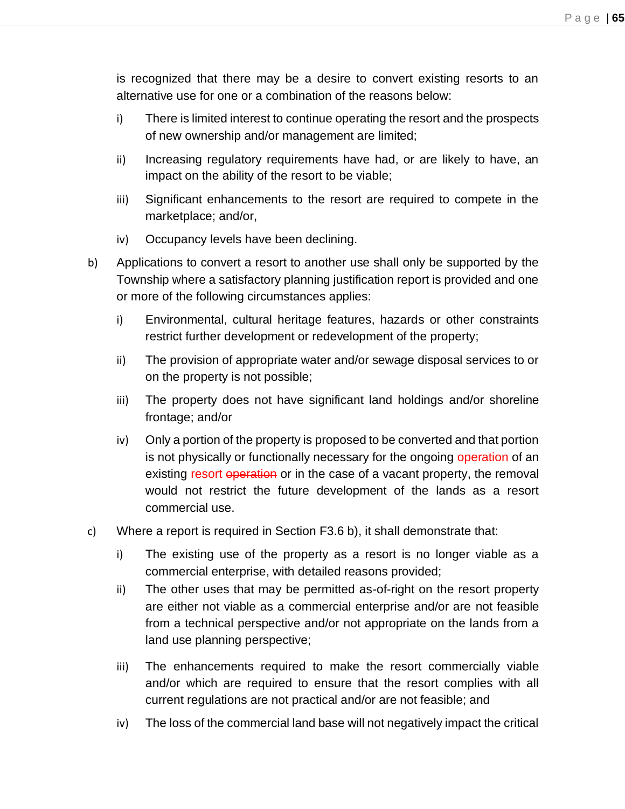is recognized that there may be a desire to convert existing resorts to an alternative use for one or a combination of the reasons below:

- i) There is limited interest to continue operating the resort and the prospects of new ownership and/or management are limited;
- ii) Increasing regulatory requirements have had, or are likely to have, an impact on the ability of the resort to be viable;
- iii) Significant enhancements to the resort are required to compete in the marketplace; and/or,
- iv) Occupancy levels have been declining.
- b) Applications to convert a resort to another use shall only be supported by the Township where a satisfactory planning justification report is provided and one or more of the following circumstances applies:
	- i) Environmental, cultural heritage features, hazards or other constraints restrict further development or redevelopment of the property;
	- ii) The provision of appropriate water and/or sewage disposal services to or on the property is not possible;
	- iii) The property does not have significant land holdings and/or shoreline frontage; and/or
	- iv) Only a portion of the property is proposed to be converted and that portion is not physically or functionally necessary for the ongoing operation of an existing resort operation or in the case of a vacant property, the removal would not restrict the future development of the lands as a resort commercial use.
- c) Where a report is required in Section F3.6 b), it shall demonstrate that:
	- i) The existing use of the property as a resort is no longer viable as a commercial enterprise, with detailed reasons provided;
	- ii) The other uses that may be permitted as-of-right on the resort property are either not viable as a commercial enterprise and/or are not feasible from a technical perspective and/or not appropriate on the lands from a land use planning perspective;
	- iii) The enhancements required to make the resort commercially viable and/or which are required to ensure that the resort complies with all current regulations are not practical and/or are not feasible; and
	- iv) The loss of the commercial land base will not negatively impact the critical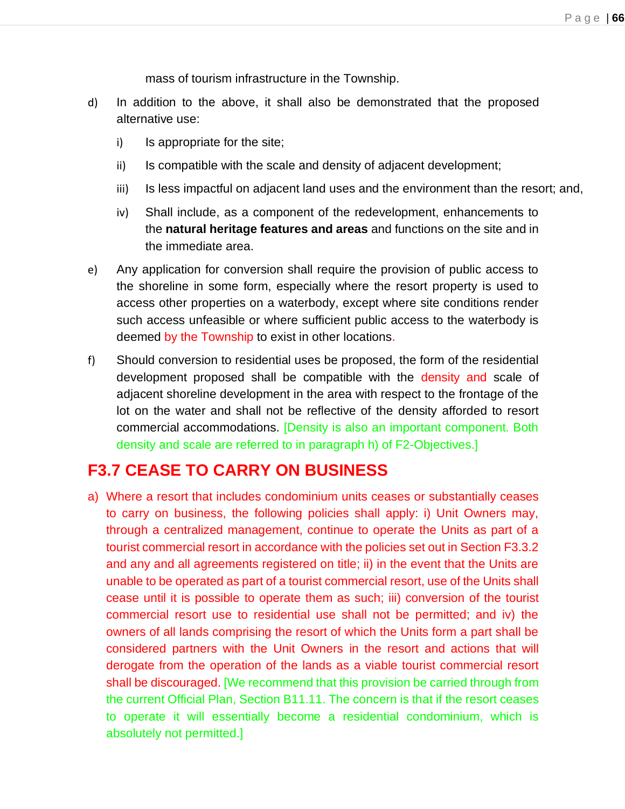mass of tourism infrastructure in the Township.

- d) In addition to the above, it shall also be demonstrated that the proposed alternative use:
	- i) Is appropriate for the site;
	- ii) Is compatible with the scale and density of adjacent development;
	- iii) Is less impactful on adjacent land uses and the environment than the resort; and,
	- iv) Shall include, as a component of the redevelopment, enhancements to the **natural heritage features and areas** and functions on the site and in the immediate area.
- e) Any application for conversion shall require the provision of public access to the shoreline in some form, especially where the resort property is used to access other properties on a waterbody, except where site conditions render such access unfeasible or where sufficient public access to the waterbody is deemed by the Township to exist in other locations.
- f) Should conversion to residential uses be proposed, the form of the residential development proposed shall be compatible with the density and scale of adjacent shoreline development in the area with respect to the frontage of the lot on the water and shall not be reflective of the density afforded to resort commercial accommodations. [Density is also an important component. Both density and scale are referred to in paragraph h) of F2-Objectives.]

## **F3.7 CEASE TO CARRY ON BUSINESS**

a) Where a resort that includes condominium units ceases or substantially ceases to carry on business, the following policies shall apply: i) Unit Owners may, through a centralized management, continue to operate the Units as part of a tourist commercial resort in accordance with the policies set out in Section F3.3.2 and any and all agreements registered on title; ii) in the event that the Units are unable to be operated as part of a tourist commercial resort, use of the Units shall cease until it is possible to operate them as such; iii) conversion of the tourist commercial resort use to residential use shall not be permitted; and iv) the owners of all lands comprising the resort of which the Units form a part shall be considered partners with the Unit Owners in the resort and actions that will derogate from the operation of the lands as a viable tourist commercial resort shall be discouraged. [We recommend that this provision be carried through from the current Official Plan, Section B11.11. The concern is that if the resort ceases to operate it will essentially become a residential condominium, which is absolutely not permitted.]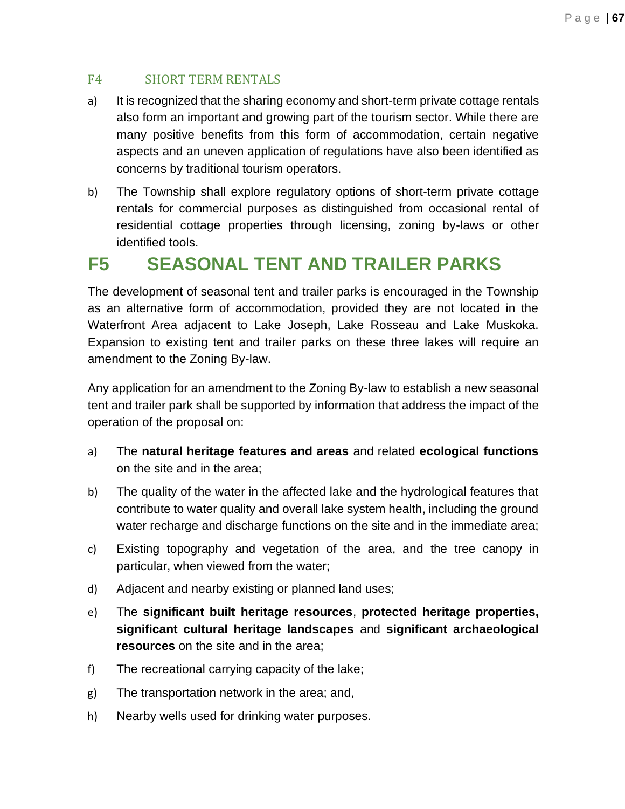### F4 SHORT TERM RENTALS

- a) It is recognized that the sharing economy and short-term private cottage rentals also form an important and growing part of the tourism sector. While there are many positive benefits from this form of accommodation, certain negative aspects and an uneven application of regulations have also been identified as concerns by traditional tourism operators.
- b) The Township shall explore regulatory options of short-term private cottage rentals for commercial purposes as distinguished from occasional rental of residential cottage properties through licensing, zoning by-laws or other identified tools.

# **F5 SEASONAL TENT AND TRAILER PARKS**

The development of seasonal tent and trailer parks is encouraged in the Township as an alternative form of accommodation, provided they are not located in the Waterfront Area adjacent to Lake Joseph, Lake Rosseau and Lake Muskoka. Expansion to existing tent and trailer parks on these three lakes will require an amendment to the Zoning By-law.

Any application for an amendment to the Zoning By-law to establish a new seasonal tent and trailer park shall be supported by information that address the impact of the operation of the proposal on:

- a) The **natural heritage features and areas** and related **ecological functions**  on the site and in the area;
- b) The quality of the water in the affected lake and the hydrological features that contribute to water quality and overall lake system health, including the ground water recharge and discharge functions on the site and in the immediate area;
- c) Existing topography and vegetation of the area, and the tree canopy in particular, when viewed from the water;
- d) Adjacent and nearby existing or planned land uses;
- e) The **significant built heritage resources**, **protected heritage properties, significant cultural heritage landscapes** and **significant archaeological resources** on the site and in the area;
- f) The recreational carrying capacity of the lake;
- g) The transportation network in the area; and,
- h) Nearby wells used for drinking water purposes.